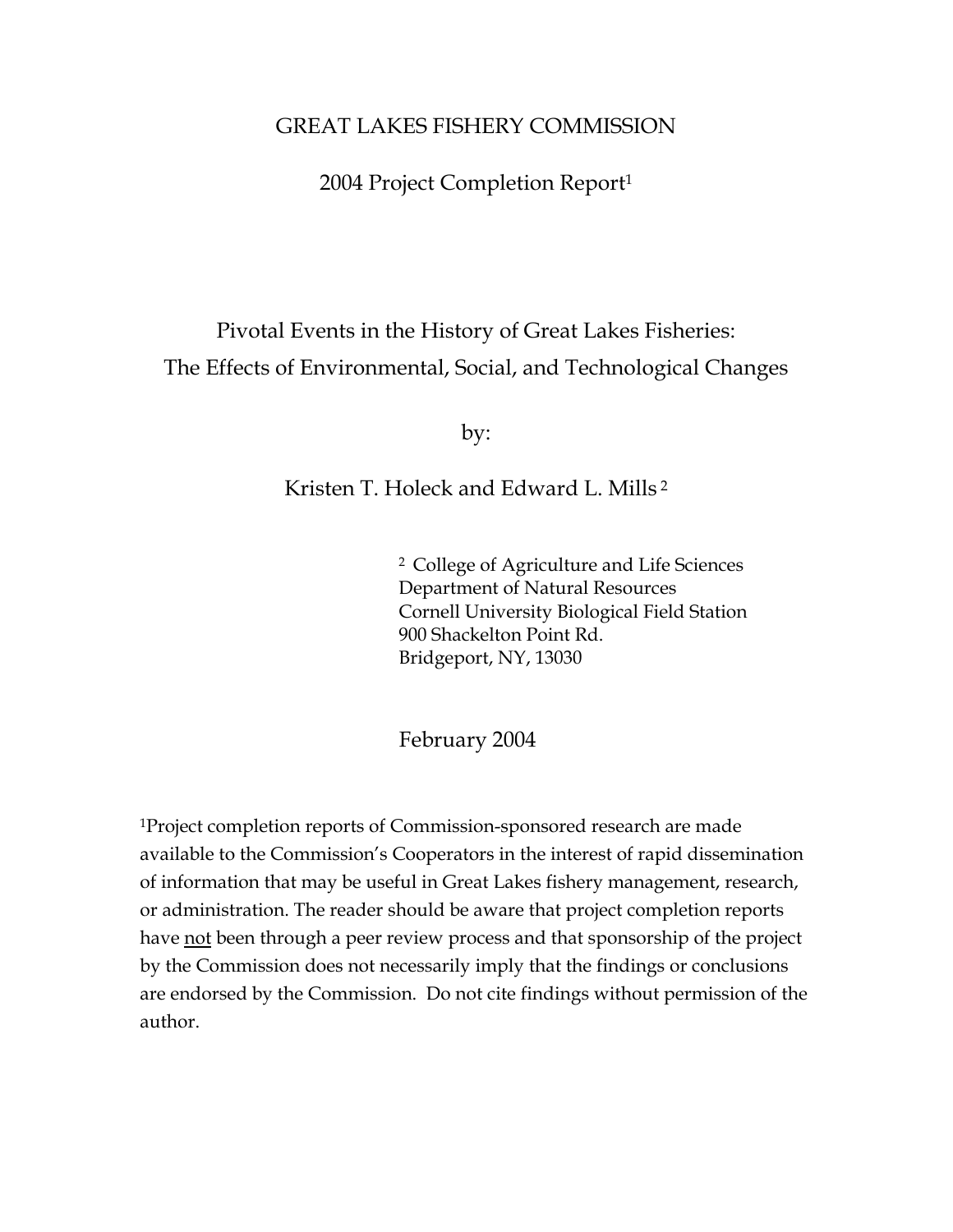# GREAT LAKES FISHERY COMMISSION

2004 Project Completion Report1

# Pivotal Events in the History of Great Lakes Fisheries: The Effects of Environmental, Social, and Technological Changes

by:

# Kristen T. Holeck and Edward L. Mills 2

2 College of Agriculture and Life Sciences Department of Natural Resources Cornell University Biological Field Station 900 Shackelton Point Rd. Bridgeport, NY, 13030

February 2004

1Project completion reports of Commission-sponsored research are made available to the Commission's Cooperators in the interest of rapid dissemination of information that may be useful in Great Lakes fishery management, research, or administration. The reader should be aware that project completion reports have not been through a peer review process and that sponsorship of the project by the Commission does not necessarily imply that the findings or conclusions are endorsed by the Commission. Do not cite findings without permission of the author.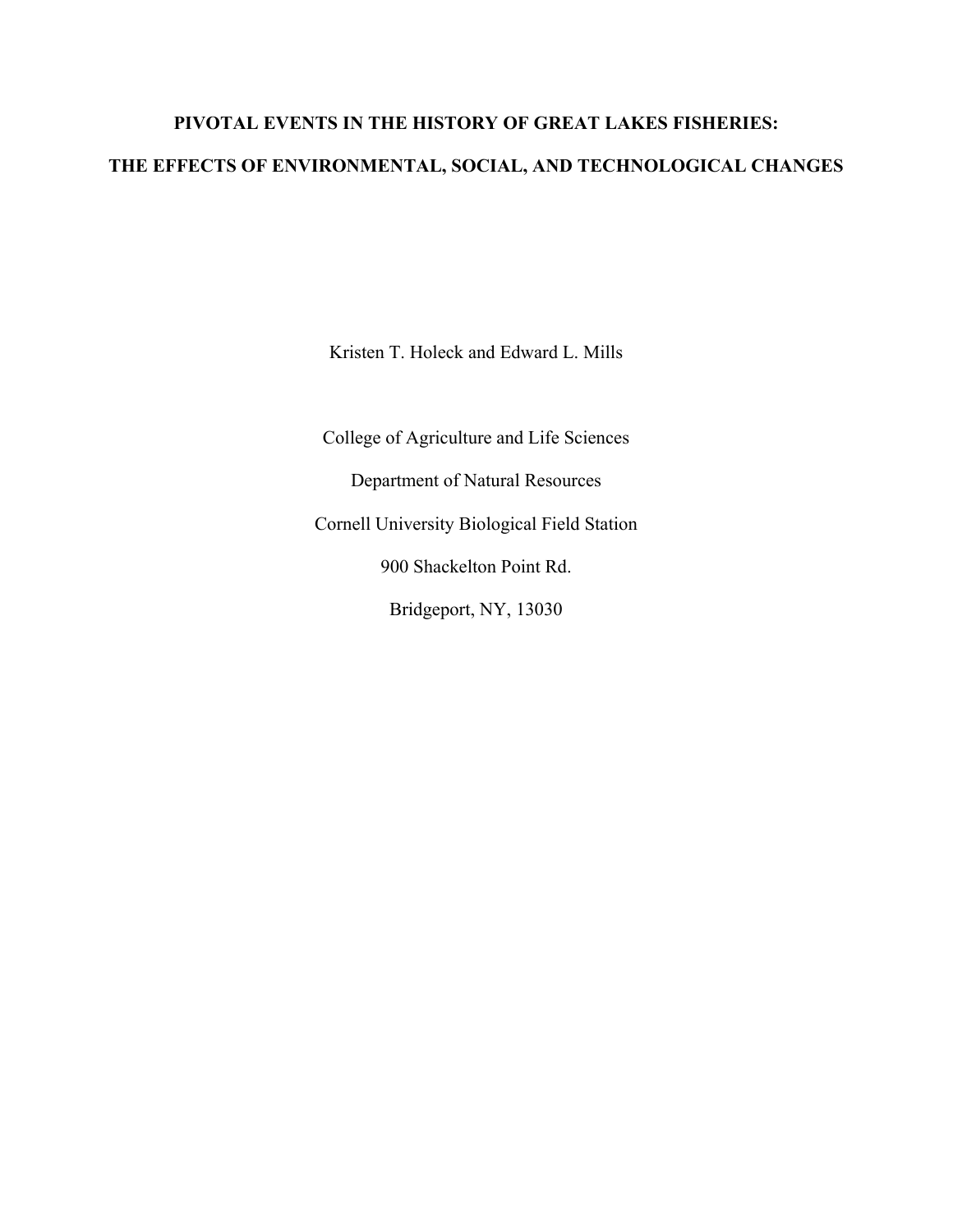# **PIVOTAL EVENTS IN THE HISTORY OF GREAT LAKES FISHERIES: THE EFFECTS OF ENVIRONMENTAL, SOCIAL, AND TECHNOLOGICAL CHANGES**

Kristen T. Holeck and Edward L. Mills

College of Agriculture and Life Sciences Department of Natural Resources Cornell University Biological Field Station 900 Shackelton Point Rd. Bridgeport, NY, 13030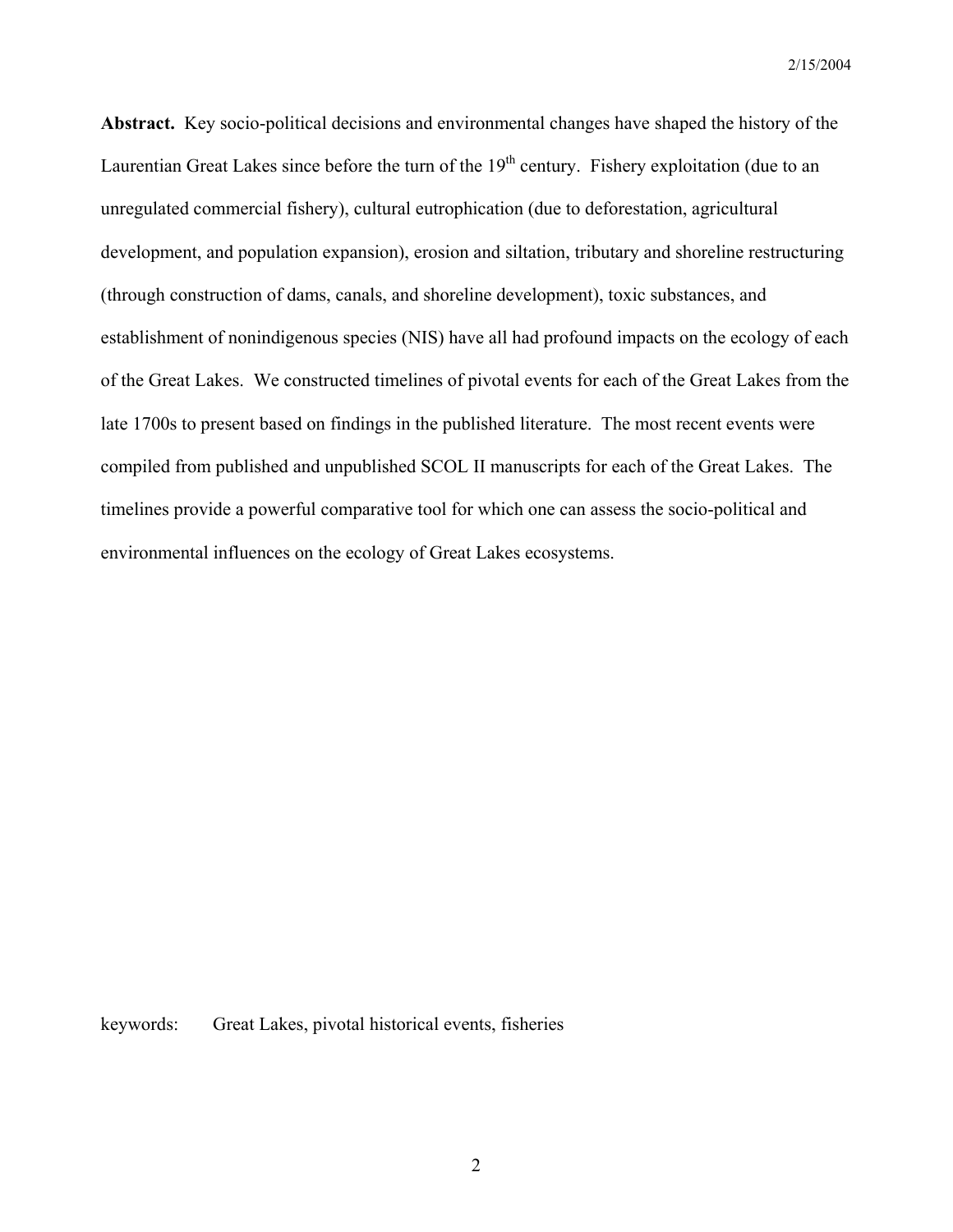**Abstract.** Key socio-political decisions and environmental changes have shaped the history of the Laurentian Great Lakes since before the turn of the  $19<sup>th</sup>$  century. Fishery exploitation (due to an unregulated commercial fishery), cultural eutrophication (due to deforestation, agricultural development, and population expansion), erosion and siltation, tributary and shoreline restructuring (through construction of dams, canals, and shoreline development), toxic substances, and establishment of nonindigenous species (NIS) have all had profound impacts on the ecology of each of the Great Lakes. We constructed timelines of pivotal events for each of the Great Lakes from the late 1700s to present based on findings in the published literature. The most recent events were compiled from published and unpublished SCOL II manuscripts for each of the Great Lakes. The timelines provide a powerful comparative tool for which one can assess the socio-political and environmental influences on the ecology of Great Lakes ecosystems.

keywords: Great Lakes, pivotal historical events, fisheries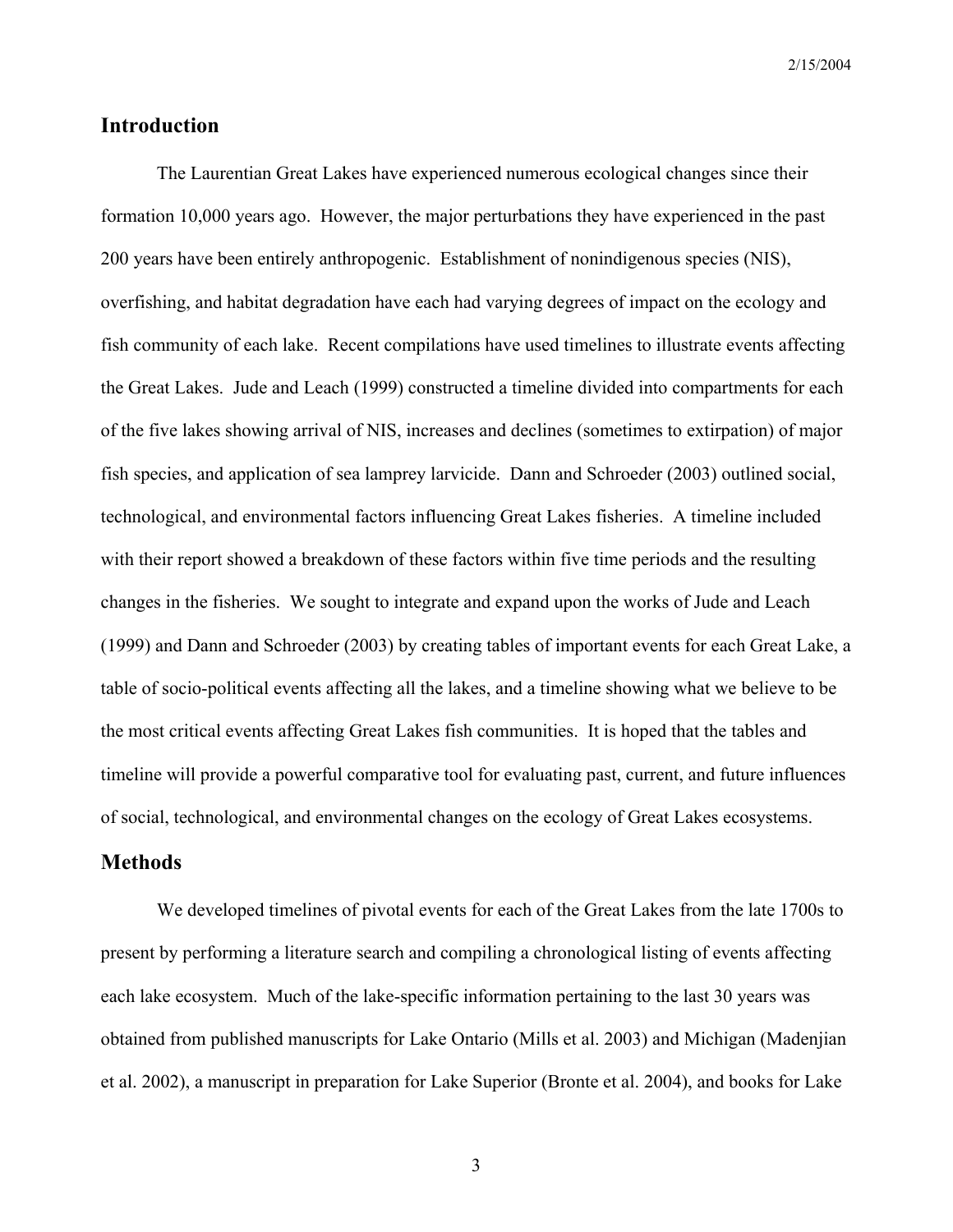## **Introduction**

The Laurentian Great Lakes have experienced numerous ecological changes since their formation 10,000 years ago. However, the major perturbations they have experienced in the past 200 years have been entirely anthropogenic. Establishment of nonindigenous species (NIS), overfishing, and habitat degradation have each had varying degrees of impact on the ecology and fish community of each lake. Recent compilations have used timelines to illustrate events affecting the Great Lakes. Jude and Leach (1999) constructed a timeline divided into compartments for each of the five lakes showing arrival of NIS, increases and declines (sometimes to extirpation) of major fish species, and application of sea lamprey larvicide. Dann and Schroeder (2003) outlined social, technological, and environmental factors influencing Great Lakes fisheries. A timeline included with their report showed a breakdown of these factors within five time periods and the resulting changes in the fisheries. We sought to integrate and expand upon the works of Jude and Leach (1999) and Dann and Schroeder (2003) by creating tables of important events for each Great Lake, a table of socio-political events affecting all the lakes, and a timeline showing what we believe to be the most critical events affecting Great Lakes fish communities. It is hoped that the tables and timeline will provide a powerful comparative tool for evaluating past, current, and future influences of social, technological, and environmental changes on the ecology of Great Lakes ecosystems.

#### **Methods**

We developed timelines of pivotal events for each of the Great Lakes from the late 1700s to present by performing a literature search and compiling a chronological listing of events affecting each lake ecosystem. Much of the lake-specific information pertaining to the last 30 years was obtained from published manuscripts for Lake Ontario (Mills et al. 2003) and Michigan (Madenjian et al. 2002), a manuscript in preparation for Lake Superior (Bronte et al. 2004), and books for Lake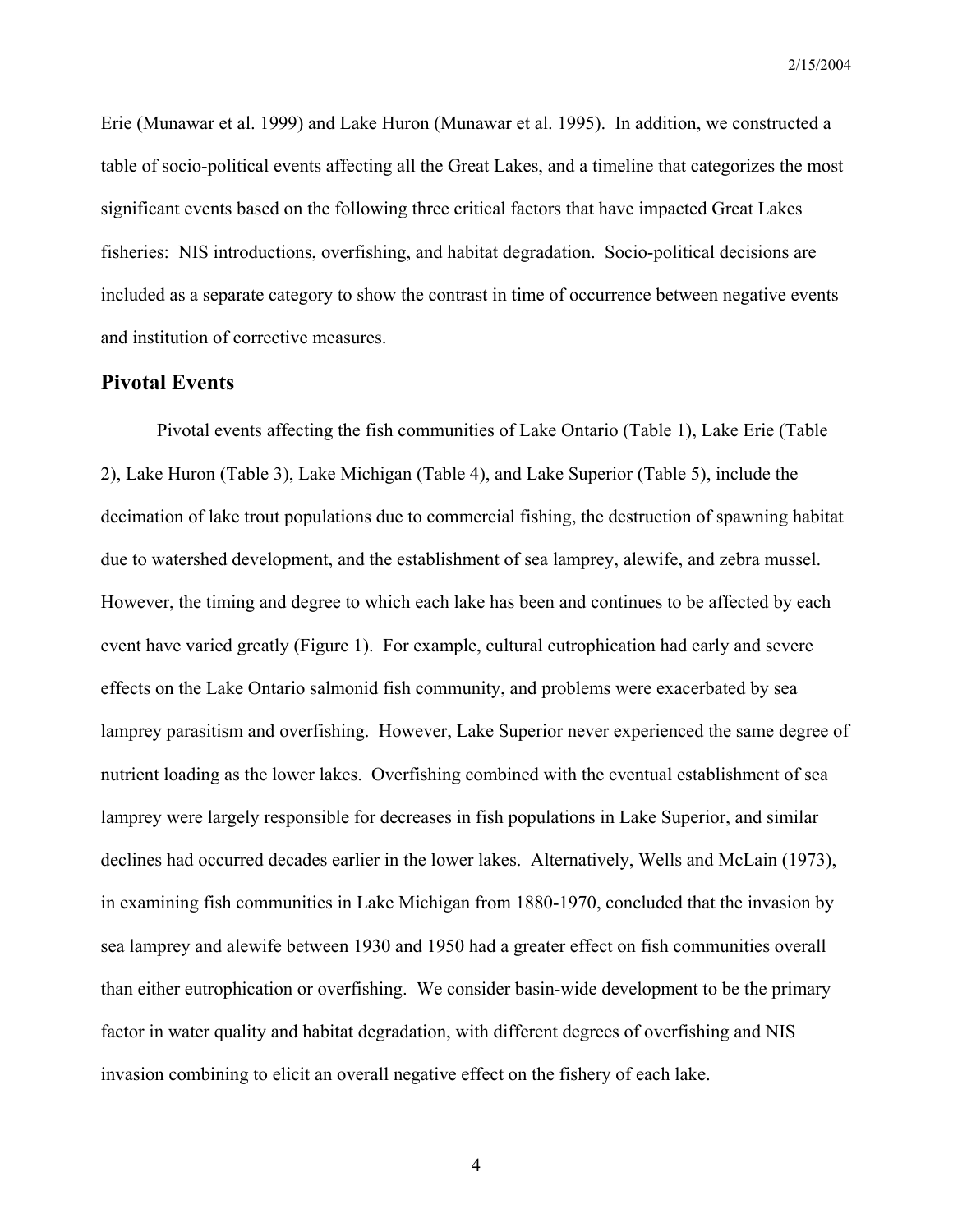Erie (Munawar et al. 1999) and Lake Huron (Munawar et al. 1995). In addition, we constructed a table of socio-political events affecting all the Great Lakes, and a timeline that categorizes the most significant events based on the following three critical factors that have impacted Great Lakes fisheries: NIS introductions, overfishing, and habitat degradation. Socio-political decisions are included as a separate category to show the contrast in time of occurrence between negative events and institution of corrective measures.

#### **Pivotal Events**

Pivotal events affecting the fish communities of Lake Ontario (Table 1), Lake Erie (Table 2), Lake Huron (Table 3), Lake Michigan (Table 4), and Lake Superior (Table 5), include the decimation of lake trout populations due to commercial fishing, the destruction of spawning habitat due to watershed development, and the establishment of sea lamprey, alewife, and zebra mussel. However, the timing and degree to which each lake has been and continues to be affected by each event have varied greatly (Figure 1). For example, cultural eutrophication had early and severe effects on the Lake Ontario salmonid fish community, and problems were exacerbated by sea lamprey parasitism and overfishing. However, Lake Superior never experienced the same degree of nutrient loading as the lower lakes. Overfishing combined with the eventual establishment of sea lamprey were largely responsible for decreases in fish populations in Lake Superior, and similar declines had occurred decades earlier in the lower lakes. Alternatively, Wells and McLain (1973), in examining fish communities in Lake Michigan from 1880-1970, concluded that the invasion by sea lamprey and alewife between 1930 and 1950 had a greater effect on fish communities overall than either eutrophication or overfishing. We consider basin-wide development to be the primary factor in water quality and habitat degradation, with different degrees of overfishing and NIS invasion combining to elicit an overall negative effect on the fishery of each lake.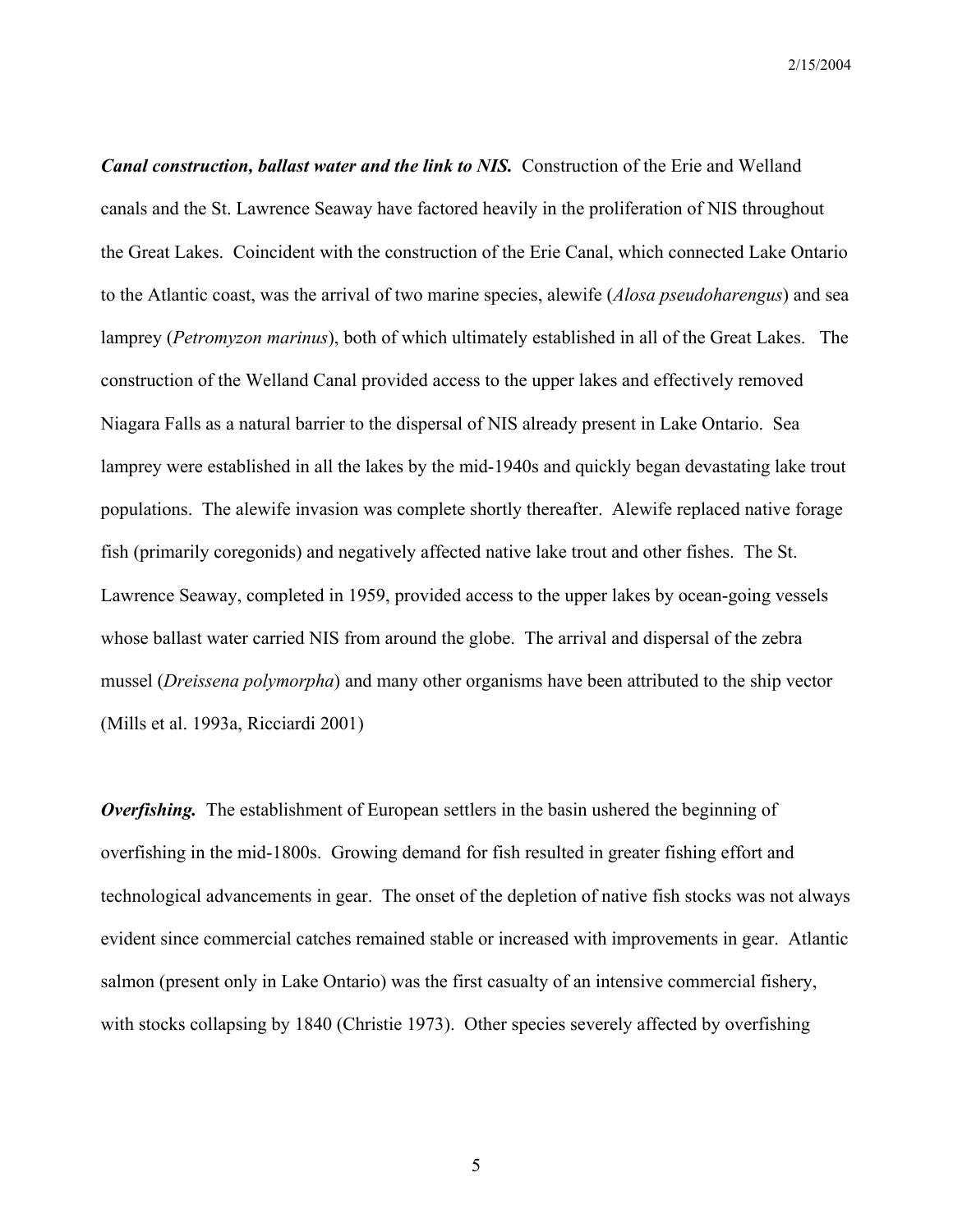*Canal construction, ballast water and the link to NIS.* Construction of the Erie and Welland canals and the St. Lawrence Seaway have factored heavily in the proliferation of NIS throughout the Great Lakes. Coincident with the construction of the Erie Canal, which connected Lake Ontario to the Atlantic coast, was the arrival of two marine species, alewife (*Alosa pseudoharengus*) and sea lamprey (*Petromyzon marinus*), both of which ultimately established in all of the Great Lakes. The construction of the Welland Canal provided access to the upper lakes and effectively removed Niagara Falls as a natural barrier to the dispersal of NIS already present in Lake Ontario. Sea lamprey were established in all the lakes by the mid-1940s and quickly began devastating lake trout populations. The alewife invasion was complete shortly thereafter. Alewife replaced native forage fish (primarily coregonids) and negatively affected native lake trout and other fishes. The St. Lawrence Seaway, completed in 1959, provided access to the upper lakes by ocean-going vessels whose ballast water carried NIS from around the globe. The arrival and dispersal of the zebra mussel (*Dreissena polymorpha*) and many other organisms have been attributed to the ship vector (Mills et al. 1993a, Ricciardi 2001)

*Overfishing.* The establishment of European settlers in the basin ushered the beginning of overfishing in the mid-1800s. Growing demand for fish resulted in greater fishing effort and technological advancements in gear. The onset of the depletion of native fish stocks was not always evident since commercial catches remained stable or increased with improvements in gear. Atlantic salmon (present only in Lake Ontario) was the first casualty of an intensive commercial fishery, with stocks collapsing by 1840 (Christie 1973). Other species severely affected by overfishing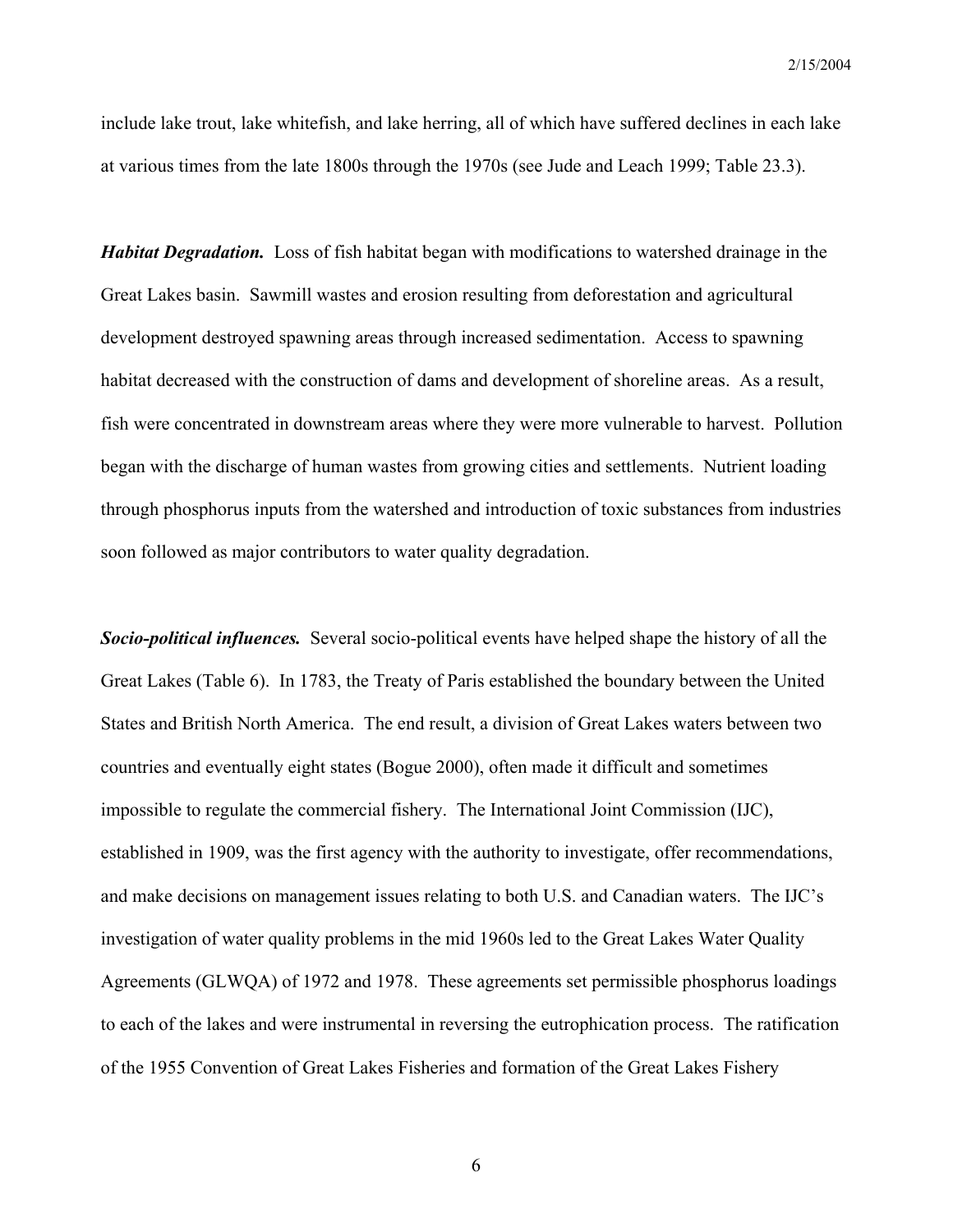include lake trout, lake whitefish, and lake herring, all of which have suffered declines in each lake at various times from the late 1800s through the 1970s (see Jude and Leach 1999; Table 23.3).

*Habitat Degradation.* Loss of fish habitat began with modifications to watershed drainage in the Great Lakes basin. Sawmill wastes and erosion resulting from deforestation and agricultural development destroyed spawning areas through increased sedimentation. Access to spawning habitat decreased with the construction of dams and development of shoreline areas. As a result, fish were concentrated in downstream areas where they were more vulnerable to harvest. Pollution began with the discharge of human wastes from growing cities and settlements. Nutrient loading through phosphorus inputs from the watershed and introduction of toxic substances from industries soon followed as major contributors to water quality degradation.

*Socio-political influences.* Several socio-political events have helped shape the history of all the Great Lakes (Table 6). In 1783, the Treaty of Paris established the boundary between the United States and British North America. The end result, a division of Great Lakes waters between two countries and eventually eight states (Bogue 2000), often made it difficult and sometimes impossible to regulate the commercial fishery. The International Joint Commission (IJC), established in 1909, was the first agency with the authority to investigate, offer recommendations, and make decisions on management issues relating to both U.S. and Canadian waters. The IJC's investigation of water quality problems in the mid 1960s led to the Great Lakes Water Quality Agreements (GLWQA) of 1972 and 1978. These agreements set permissible phosphorus loadings to each of the lakes and were instrumental in reversing the eutrophication process. The ratification of the 1955 Convention of Great Lakes Fisheries and formation of the Great Lakes Fishery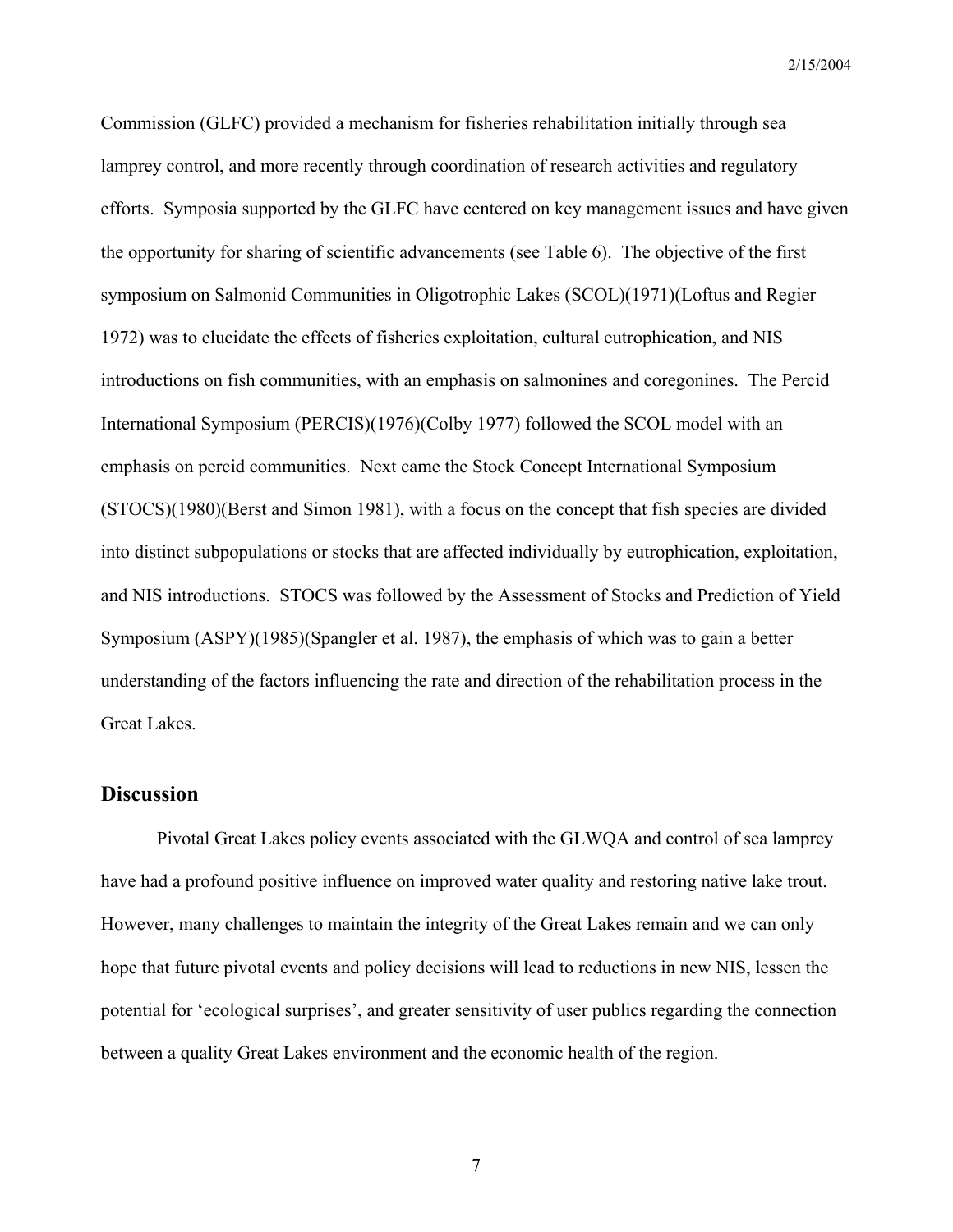Commission (GLFC) provided a mechanism for fisheries rehabilitation initially through sea lamprey control, and more recently through coordination of research activities and regulatory efforts. Symposia supported by the GLFC have centered on key management issues and have given the opportunity for sharing of scientific advancements (see Table 6). The objective of the first symposium on Salmonid Communities in Oligotrophic Lakes (SCOL)(1971)(Loftus and Regier 1972) was to elucidate the effects of fisheries exploitation, cultural eutrophication, and NIS introductions on fish communities, with an emphasis on salmonines and coregonines. The Percid International Symposium (PERCIS)(1976)(Colby 1977) followed the SCOL model with an emphasis on percid communities. Next came the Stock Concept International Symposium (STOCS)(1980)(Berst and Simon 1981), with a focus on the concept that fish species are divided into distinct subpopulations or stocks that are affected individually by eutrophication, exploitation, and NIS introductions. STOCS was followed by the Assessment of Stocks and Prediction of Yield Symposium (ASPY)(1985)(Spangler et al. 1987), the emphasis of which was to gain a better understanding of the factors influencing the rate and direction of the rehabilitation process in the Great Lakes.

### **Discussion**

Pivotal Great Lakes policy events associated with the GLWQA and control of sea lamprey have had a profound positive influence on improved water quality and restoring native lake trout. However, many challenges to maintain the integrity of the Great Lakes remain and we can only hope that future pivotal events and policy decisions will lead to reductions in new NIS, lessen the potential for 'ecological surprises', and greater sensitivity of user publics regarding the connection between a quality Great Lakes environment and the economic health of the region.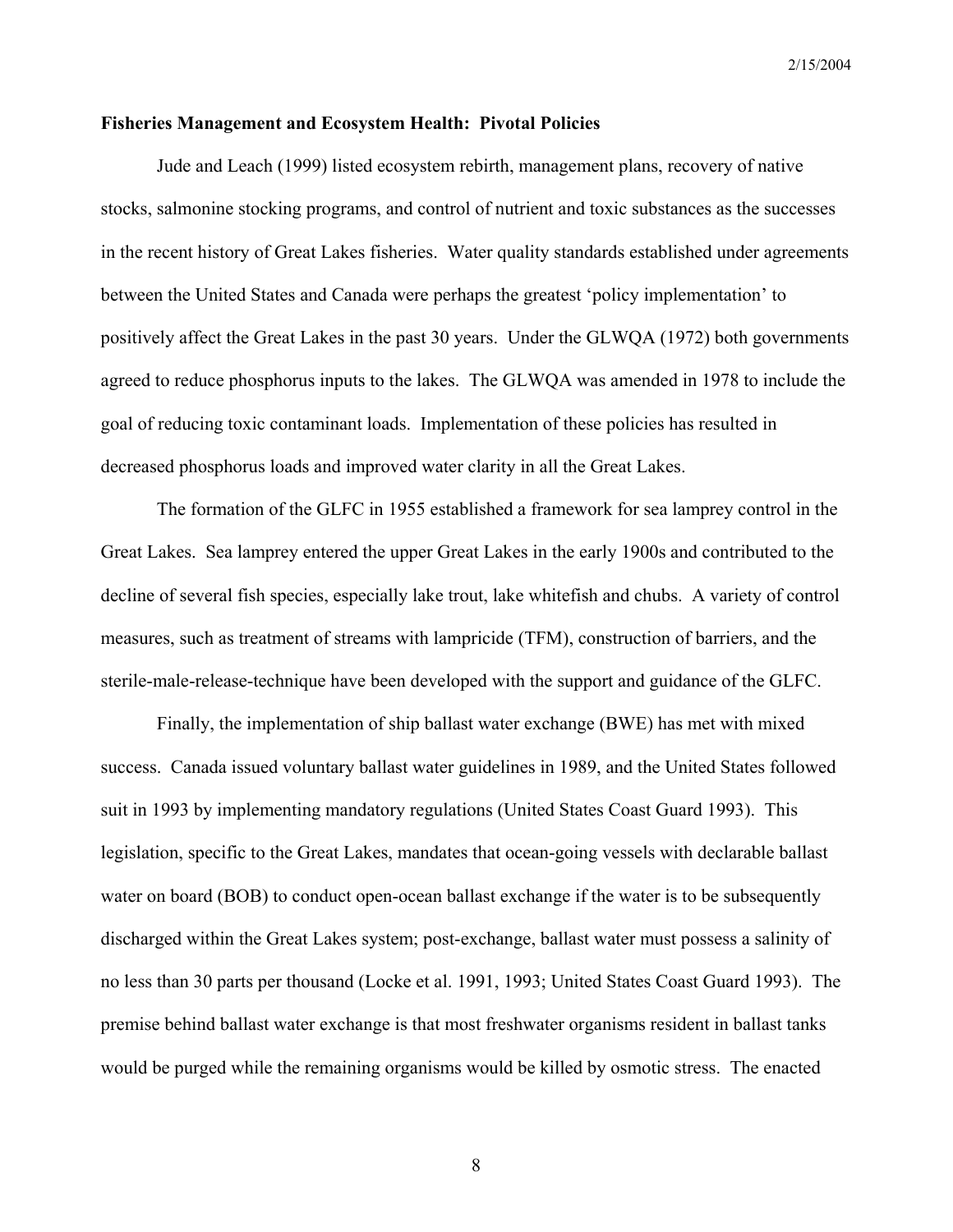#### **Fisheries Management and Ecosystem Health: Pivotal Policies**

Jude and Leach (1999) listed ecosystem rebirth, management plans, recovery of native stocks, salmonine stocking programs, and control of nutrient and toxic substances as the successes in the recent history of Great Lakes fisheries. Water quality standards established under agreements between the United States and Canada were perhaps the greatest 'policy implementation' to positively affect the Great Lakes in the past 30 years. Under the GLWQA (1972) both governments agreed to reduce phosphorus inputs to the lakes. The GLWQA was amended in 1978 to include the goal of reducing toxic contaminant loads. Implementation of these policies has resulted in decreased phosphorus loads and improved water clarity in all the Great Lakes.

The formation of the GLFC in 1955 established a framework for sea lamprey control in the Great Lakes. Sea lamprey entered the upper Great Lakes in the early 1900s and contributed to the decline of several fish species, especially lake trout, lake whitefish and chubs. A variety of control measures, such as treatment of streams with lampricide (TFM), construction of barriers, and the sterile-male-release-technique have been developed with the support and guidance of the GLFC.

Finally, the implementation of ship ballast water exchange (BWE) has met with mixed success. Canada issued voluntary ballast water guidelines in 1989, and the United States followed suit in 1993 by implementing mandatory regulations (United States Coast Guard 1993). This legislation, specific to the Great Lakes, mandates that ocean-going vessels with declarable ballast water on board (BOB) to conduct open-ocean ballast exchange if the water is to be subsequently discharged within the Great Lakes system; post-exchange, ballast water must possess a salinity of no less than 30 parts per thousand (Locke et al. 1991, 1993; United States Coast Guard 1993). The premise behind ballast water exchange is that most freshwater organisms resident in ballast tanks would be purged while the remaining organisms would be killed by osmotic stress. The enacted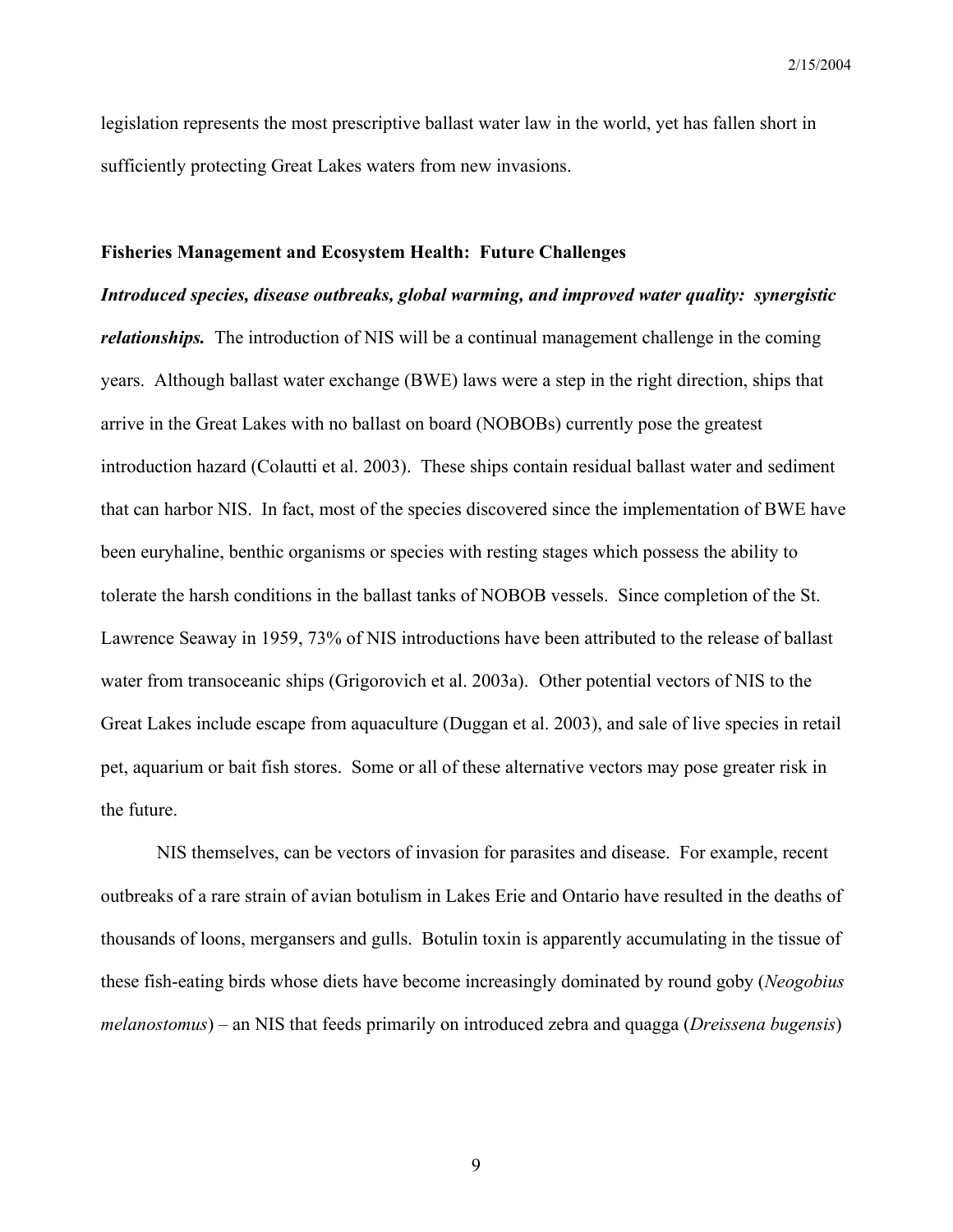legislation represents the most prescriptive ballast water law in the world, yet has fallen short in sufficiently protecting Great Lakes waters from new invasions.

#### **Fisheries Management and Ecosystem Health: Future Challenges**

*Introduced species, disease outbreaks, global warming, and improved water quality: synergistic relationships.* The introduction of NIS will be a continual management challenge in the coming years. Although ballast water exchange (BWE) laws were a step in the right direction, ships that arrive in the Great Lakes with no ballast on board (NOBOBs) currently pose the greatest introduction hazard (Colautti et al. 2003). These ships contain residual ballast water and sediment that can harbor NIS. In fact, most of the species discovered since the implementation of BWE have been euryhaline, benthic organisms or species with resting stages which possess the ability to tolerate the harsh conditions in the ballast tanks of NOBOB vessels. Since completion of the St. Lawrence Seaway in 1959, 73% of NIS introductions have been attributed to the release of ballast water from transoceanic ships (Grigorovich et al. 2003a). Other potential vectors of NIS to the Great Lakes include escape from aquaculture (Duggan et al. 2003), and sale of live species in retail pet, aquarium or bait fish stores. Some or all of these alternative vectors may pose greater risk in the future.

NIS themselves, can be vectors of invasion for parasites and disease. For example, recent outbreaks of a rare strain of avian botulism in Lakes Erie and Ontario have resulted in the deaths of thousands of loons, mergansers and gulls. Botulin toxin is apparently accumulating in the tissue of these fish-eating birds whose diets have become increasingly dominated by round goby (*Neogobius melanostomus*) – an NIS that feeds primarily on introduced zebra and quagga (*Dreissena bugensis*)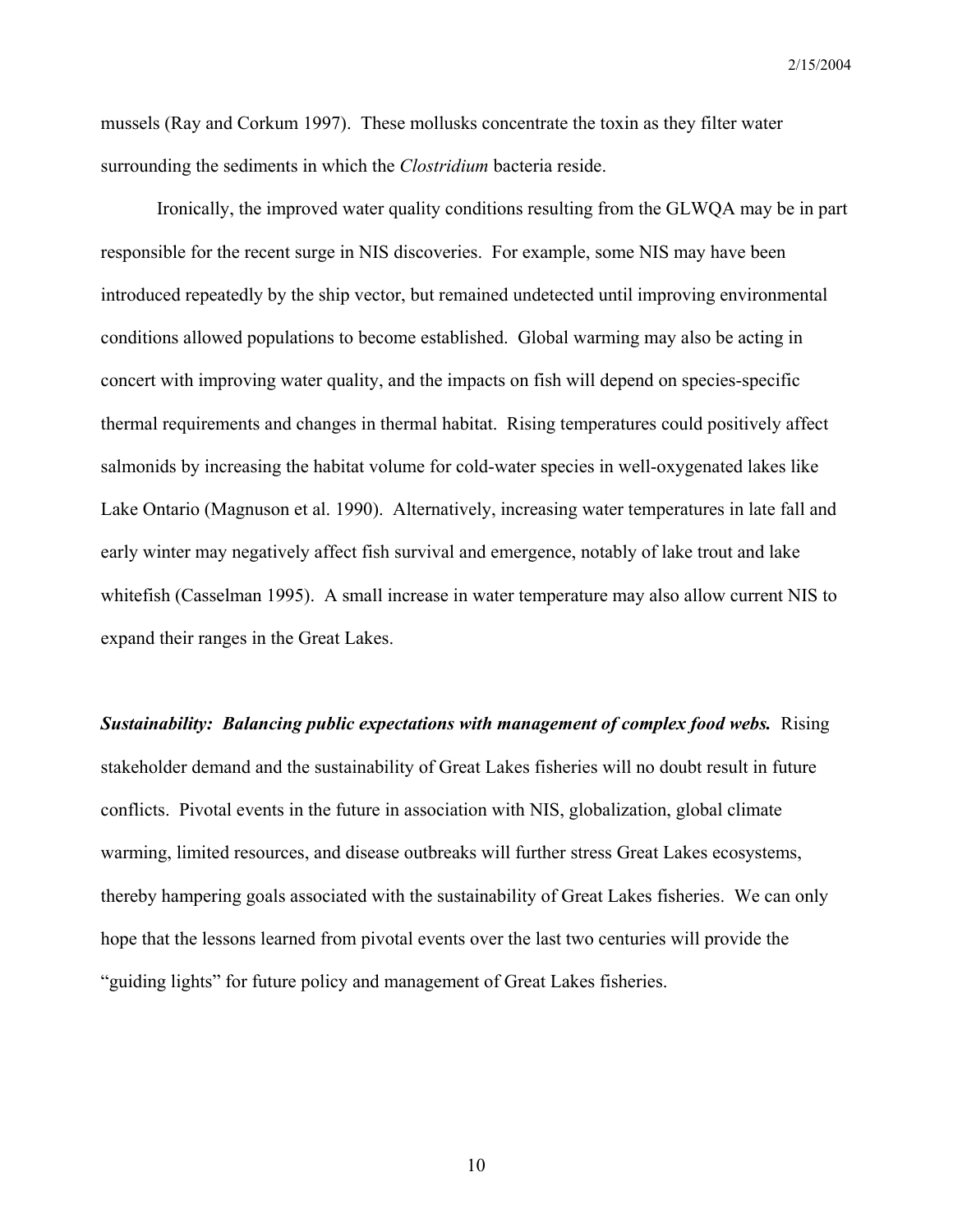mussels (Ray and Corkum 1997). These mollusks concentrate the toxin as they filter water surrounding the sediments in which the *Clostridium* bacteria reside.

Ironically, the improved water quality conditions resulting from the GLWQA may be in part responsible for the recent surge in NIS discoveries. For example, some NIS may have been introduced repeatedly by the ship vector, but remained undetected until improving environmental conditions allowed populations to become established. Global warming may also be acting in concert with improving water quality, and the impacts on fish will depend on species-specific thermal requirements and changes in thermal habitat. Rising temperatures could positively affect salmonids by increasing the habitat volume for cold-water species in well-oxygenated lakes like Lake Ontario (Magnuson et al. 1990). Alternatively, increasing water temperatures in late fall and early winter may negatively affect fish survival and emergence, notably of lake trout and lake whitefish (Casselman 1995). A small increase in water temperature may also allow current NIS to expand their ranges in the Great Lakes.

*Sustainability: Balancing public expectations with management of complex food webs.*Rising stakeholder demand and the sustainability of Great Lakes fisheries will no doubt result in future conflicts. Pivotal events in the future in association with NIS, globalization, global climate warming, limited resources, and disease outbreaks will further stress Great Lakes ecosystems, thereby hampering goals associated with the sustainability of Great Lakes fisheries. We can only hope that the lessons learned from pivotal events over the last two centuries will provide the "guiding lights" for future policy and management of Great Lakes fisheries.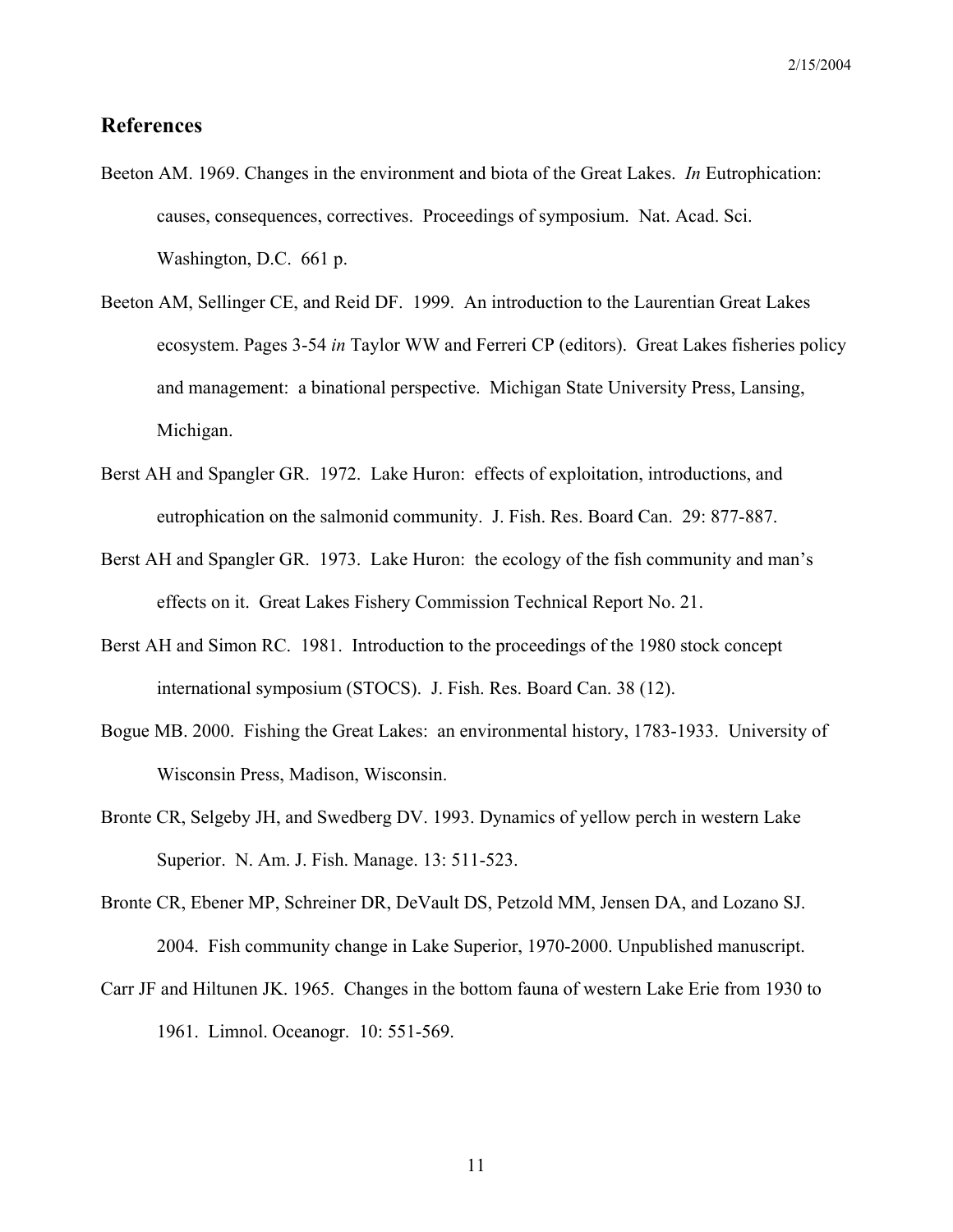## **References**

- Beeton AM. 1969. Changes in the environment and biota of the Great Lakes. *In* Eutrophication: causes, consequences, correctives. Proceedings of symposium. Nat. Acad. Sci. Washington, D.C. 661 p.
- Beeton AM, Sellinger CE, and Reid DF. 1999. An introduction to the Laurentian Great Lakes ecosystem. Pages 3-54 *in* Taylor WW and Ferreri CP (editors). Great Lakes fisheries policy and management: a binational perspective. Michigan State University Press, Lansing, Michigan.
- Berst AH and Spangler GR. 1972. Lake Huron: effects of exploitation, introductions, and eutrophication on the salmonid community. J. Fish. Res. Board Can. 29: 877-887.
- Berst AH and Spangler GR. 1973. Lake Huron: the ecology of the fish community and man's effects on it. Great Lakes Fishery Commission Technical Report No. 21.
- Berst AH and Simon RC. 1981. Introduction to the proceedings of the 1980 stock concept international symposium (STOCS). J. Fish. Res. Board Can. 38 (12).
- Bogue MB. 2000. Fishing the Great Lakes: an environmental history, 1783-1933. University of Wisconsin Press, Madison, Wisconsin.
- Bronte CR, Selgeby JH, and Swedberg DV. 1993. Dynamics of yellow perch in western Lake Superior. N. Am. J. Fish. Manage. 13: 511-523.
- Bronte CR, Ebener MP, Schreiner DR, DeVault DS, Petzold MM, Jensen DA, and Lozano SJ. 2004. Fish community change in Lake Superior, 1970-2000. Unpublished manuscript.
- Carr JF and Hiltunen JK. 1965. Changes in the bottom fauna of western Lake Erie from 1930 to 1961. Limnol. Oceanogr. 10: 551-569.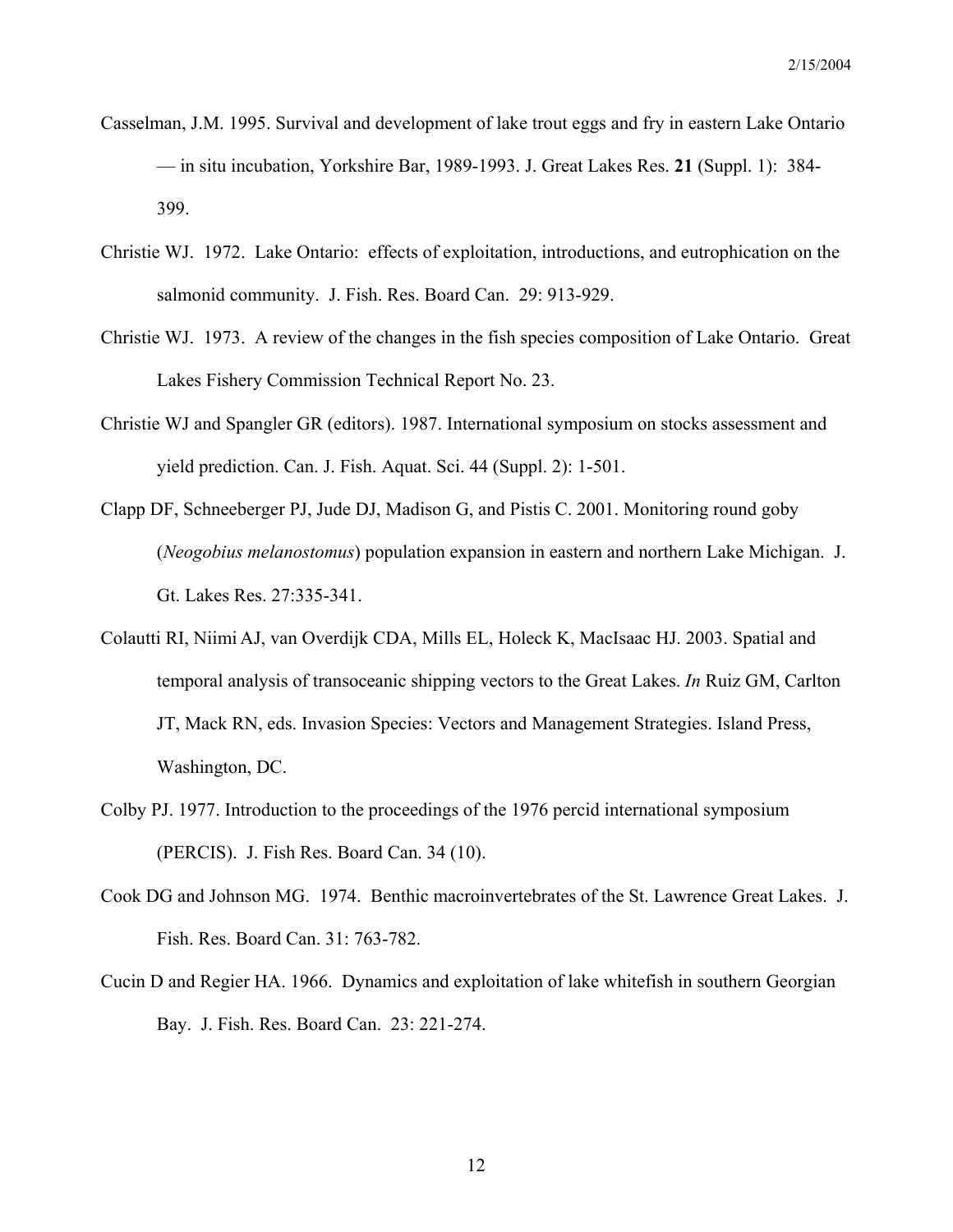- Casselman, J.M. 1995. Survival and development of lake trout eggs and fry in eastern Lake Ontario — in situ incubation, Yorkshire Bar, 1989-1993. J. Great Lakes Res. **21** (Suppl. 1): 384- 399.
- Christie WJ. 1972. Lake Ontario: effects of exploitation, introductions, and eutrophication on the salmonid community. J. Fish. Res. Board Can. 29: 913-929.
- Christie WJ. 1973. A review of the changes in the fish species composition of Lake Ontario. Great Lakes Fishery Commission Technical Report No. 23.
- Christie WJ and Spangler GR (editors). 1987. International symposium on stocks assessment and yield prediction. Can. J. Fish. Aquat. Sci. 44 (Suppl. 2): 1-501.
- Clapp DF, Schneeberger PJ, Jude DJ, Madison G, and Pistis C. 2001. Monitoring round goby (*Neogobius melanostomus*) population expansion in eastern and northern Lake Michigan. J. Gt. Lakes Res. 27:335-341.
- Colautti RI, Niimi AJ, van Overdijk CDA, Mills EL, Holeck K, MacIsaac HJ. 2003. Spatial and temporal analysis of transoceanic shipping vectors to the Great Lakes. *In* Ruiz GM, Carlton JT, Mack RN, eds. Invasion Species: Vectors and Management Strategies. Island Press, Washington, DC.
- Colby PJ. 1977. Introduction to the proceedings of the 1976 percid international symposium (PERCIS). J. Fish Res. Board Can. 34 (10).
- Cook DG and Johnson MG. 1974. Benthic macroinvertebrates of the St. Lawrence Great Lakes. J. Fish. Res. Board Can. 31: 763-782.
- Cucin D and Regier HA. 1966. Dynamics and exploitation of lake whitefish in southern Georgian Bay. J. Fish. Res. Board Can. 23: 221-274.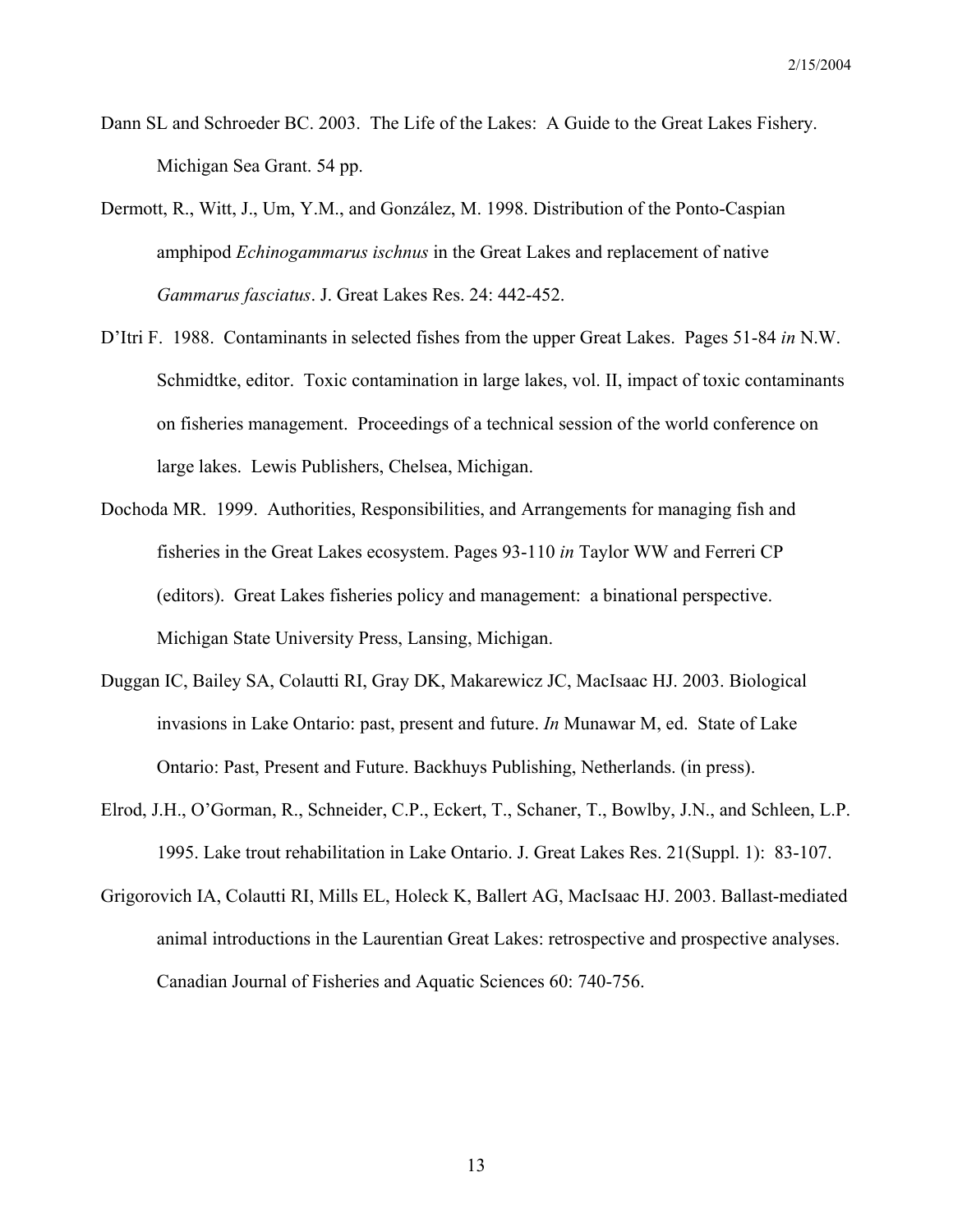- Dann SL and Schroeder BC. 2003. The Life of the Lakes: A Guide to the Great Lakes Fishery. Michigan Sea Grant. 54 pp.
- Dermott, R., Witt, J., Um, Y.M., and González, M. 1998. Distribution of the Ponto-Caspian amphipod *Echinogammarus ischnus* in the Great Lakes and replacement of native *Gammarus fasciatus*. J. Great Lakes Res. 24: 442-452.
- D'Itri F. 1988. Contaminants in selected fishes from the upper Great Lakes. Pages 51-84 *in* N.W. Schmidtke, editor. Toxic contamination in large lakes, vol. II, impact of toxic contaminants on fisheries management. Proceedings of a technical session of the world conference on large lakes. Lewis Publishers, Chelsea, Michigan.
- Dochoda MR. 1999. Authorities, Responsibilities, and Arrangements for managing fish and fisheries in the Great Lakes ecosystem. Pages 93-110 *in* Taylor WW and Ferreri CP (editors). Great Lakes fisheries policy and management: a binational perspective. Michigan State University Press, Lansing, Michigan.
- Duggan IC, Bailey SA, Colautti RI, Gray DK, Makarewicz JC, MacIsaac HJ. 2003. Biological invasions in Lake Ontario: past, present and future. *In* Munawar M, ed. State of Lake Ontario: Past, Present and Future. Backhuys Publishing, Netherlands. (in press).
- Elrod, J.H., O'Gorman, R., Schneider, C.P., Eckert, T., Schaner, T., Bowlby, J.N., and Schleen, L.P. 1995. Lake trout rehabilitation in Lake Ontario. J. Great Lakes Res. 21(Suppl. 1): 83-107.
- Grigorovich IA, Colautti RI, Mills EL, Holeck K, Ballert AG, MacIsaac HJ. 2003. Ballast-mediated animal introductions in the Laurentian Great Lakes: retrospective and prospective analyses. Canadian Journal of Fisheries and Aquatic Sciences 60: 740-756.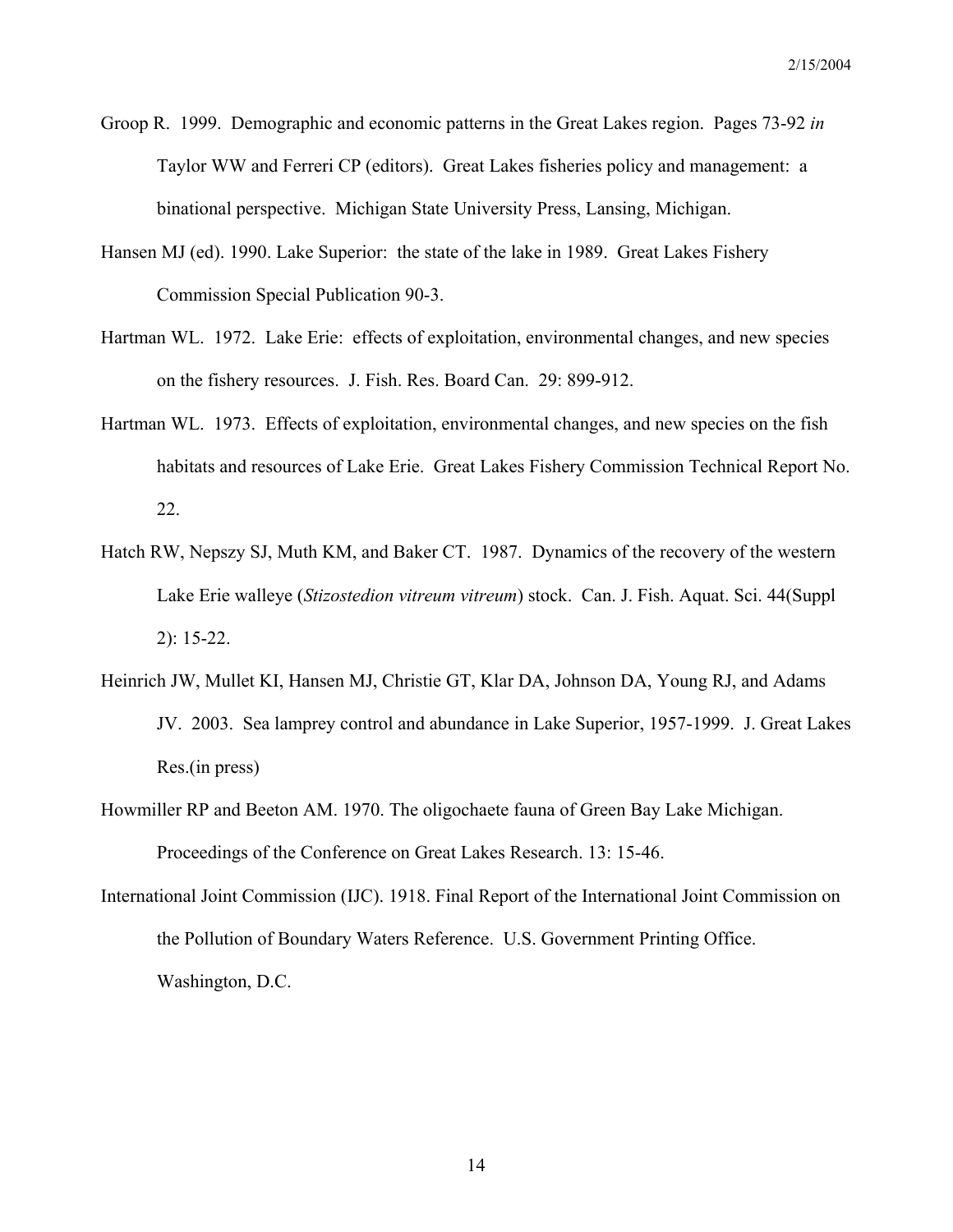- Groop R. 1999. Demographic and economic patterns in the Great Lakes region. Pages 73-92 *in*  Taylor WW and Ferreri CP (editors). Great Lakes fisheries policy and management: a binational perspective. Michigan State University Press, Lansing, Michigan.
- Hansen MJ (ed). 1990. Lake Superior: the state of the lake in 1989. Great Lakes Fishery Commission Special Publication 90-3.
- Hartman WL. 1972. Lake Erie: effects of exploitation, environmental changes, and new species on the fishery resources. J. Fish. Res. Board Can. 29: 899-912.
- Hartman WL. 1973. Effects of exploitation, environmental changes, and new species on the fish habitats and resources of Lake Erie. Great Lakes Fishery Commission Technical Report No. 22.
- Hatch RW, Nepszy SJ, Muth KM, and Baker CT. 1987. Dynamics of the recovery of the western Lake Erie walleye (*Stizostedion vitreum vitreum*) stock. Can. J. Fish. Aquat. Sci. 44(Suppl 2): 15-22.
- Heinrich JW, Mullet KI, Hansen MJ, Christie GT, Klar DA, Johnson DA, Young RJ, and Adams JV. 2003. Sea lamprey control and abundance in Lake Superior, 1957-1999. J. Great Lakes Res.(in press)
- Howmiller RP and Beeton AM. 1970. The oligochaete fauna of Green Bay Lake Michigan. Proceedings of the Conference on Great Lakes Research. 13: 15-46.
- International Joint Commission (IJC). 1918. Final Report of the International Joint Commission on the Pollution of Boundary Waters Reference. U.S. Government Printing Office. Washington, D.C.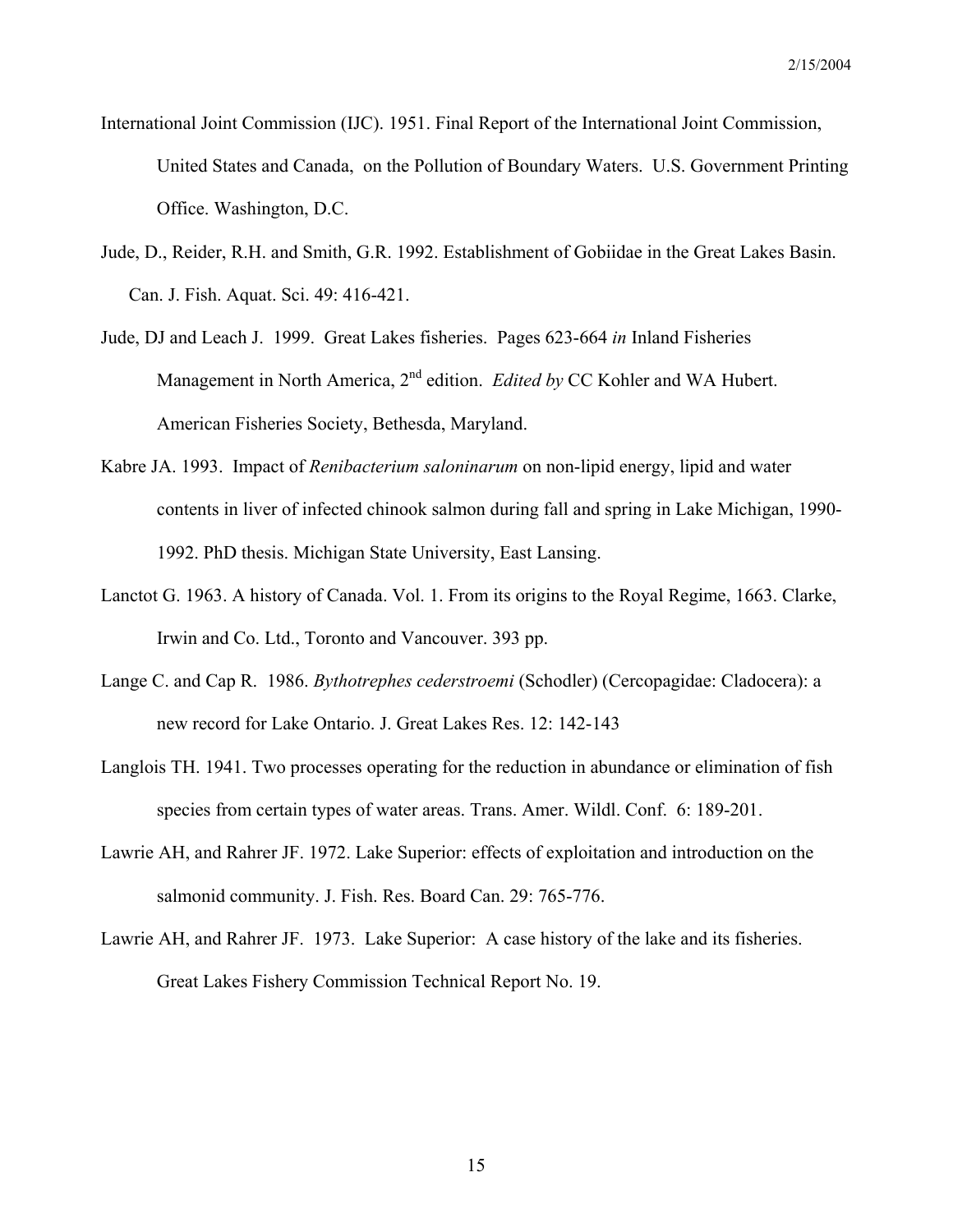- International Joint Commission (IJC). 1951. Final Report of the International Joint Commission, United States and Canada, on the Pollution of Boundary Waters. U.S. Government Printing Office. Washington, D.C.
- Jude, D., Reider, R.H. and Smith, G.R. 1992. Establishment of Gobiidae in the Great Lakes Basin. Can. J. Fish. Aquat. Sci. 49: 416-421.
- Jude, DJ and Leach J. 1999. Great Lakes fisheries. Pages 623-664 *in* Inland Fisheries Management in North America, 2nd edition. *Edited by* CC Kohler and WA Hubert. American Fisheries Society, Bethesda, Maryland.
- Kabre JA. 1993. Impact of *Renibacterium saloninarum* on non-lipid energy, lipid and water contents in liver of infected chinook salmon during fall and spring in Lake Michigan, 1990- 1992. PhD thesis. Michigan State University, East Lansing.
- Lanctot G. 1963. A history of Canada. Vol. 1. From its origins to the Royal Regime, 1663. Clarke, Irwin and Co. Ltd., Toronto and Vancouver. 393 pp.
- Lange C. and Cap R. 1986. *Bythotrephes cederstroemi* (Schodler) (Cercopagidae: Cladocera): a new record for Lake Ontario. J. Great Lakes Res. 12: 142-143
- Langlois TH. 1941. Two processes operating for the reduction in abundance or elimination of fish species from certain types of water areas. Trans. Amer. Wildl. Conf. 6: 189-201.
- Lawrie AH, and Rahrer JF. 1972. Lake Superior: effects of exploitation and introduction on the salmonid community. J. Fish. Res. Board Can. 29: 765-776.
- Lawrie AH, and Rahrer JF. 1973. Lake Superior: A case history of the lake and its fisheries. Great Lakes Fishery Commission Technical Report No. 19.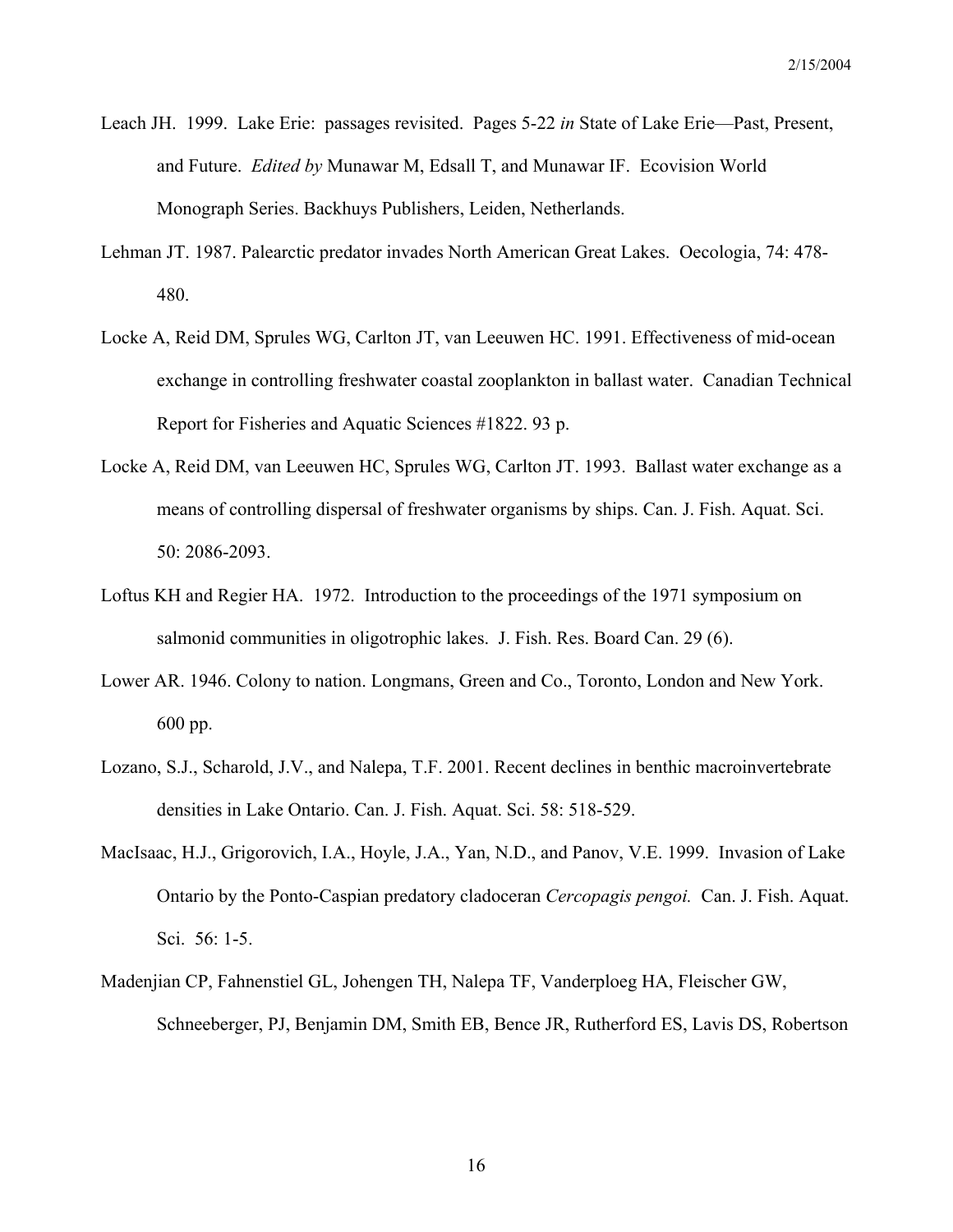- Leach JH. 1999. Lake Erie: passages revisited. Pages 5-22 *in* State of Lake Erie—Past, Present, and Future. *Edited by* Munawar M, Edsall T, and Munawar IF. Ecovision World Monograph Series. Backhuys Publishers, Leiden, Netherlands.
- Lehman JT. 1987. Palearctic predator invades North American Great Lakes. Oecologia, 74: 478- 480.
- Locke A, Reid DM, Sprules WG, Carlton JT, van Leeuwen HC. 1991. Effectiveness of mid-ocean exchange in controlling freshwater coastal zooplankton in ballast water. Canadian Technical Report for Fisheries and Aquatic Sciences #1822. 93 p.
- Locke A, Reid DM, van Leeuwen HC, Sprules WG, Carlton JT. 1993. Ballast water exchange as a means of controlling dispersal of freshwater organisms by ships. Can. J. Fish. Aquat. Sci. 50: 2086-2093.
- Loftus KH and Regier HA. 1972. Introduction to the proceedings of the 1971 symposium on salmonid communities in oligotrophic lakes. J. Fish. Res. Board Can. 29 (6).
- Lower AR. 1946. Colony to nation. Longmans, Green and Co., Toronto, London and New York. 600 pp.
- Lozano, S.J., Scharold, J.V., and Nalepa, T.F. 2001. Recent declines in benthic macroinvertebrate densities in Lake Ontario. Can. J. Fish. Aquat. Sci. 58: 518-529.
- MacIsaac, H.J., Grigorovich, I.A., Hoyle, J.A., Yan, N.D., and Panov, V.E. 1999. Invasion of Lake Ontario by the Ponto-Caspian predatory cladoceran *Cercopagis pengoi.* Can. J. Fish. Aquat. Sci. 56: 1-5.
- Madenjian CP, Fahnenstiel GL, Johengen TH, Nalepa TF, Vanderploeg HA, Fleischer GW, Schneeberger, PJ, Benjamin DM, Smith EB, Bence JR, Rutherford ES, Lavis DS, Robertson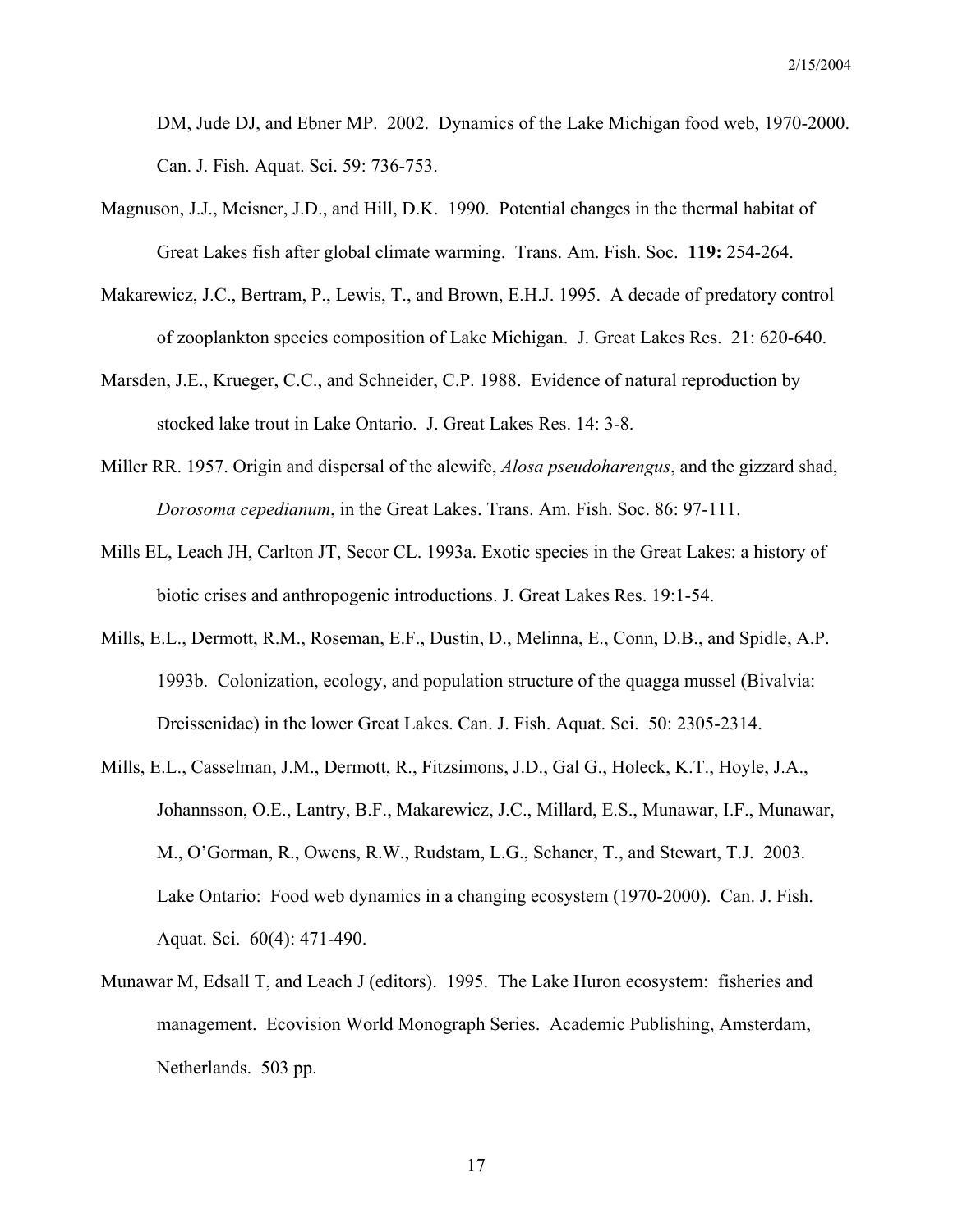DM, Jude DJ, and Ebner MP. 2002. Dynamics of the Lake Michigan food web, 1970-2000. Can. J. Fish. Aquat. Sci. 59: 736-753.

- Magnuson, J.J., Meisner, J.D., and Hill, D.K. 1990. Potential changes in the thermal habitat of Great Lakes fish after global climate warming. Trans. Am. Fish. Soc. **119:** 254-264.
- Makarewicz, J.C., Bertram, P., Lewis, T., and Brown, E.H.J. 1995. A decade of predatory control of zooplankton species composition of Lake Michigan. J. Great Lakes Res. 21: 620-640.
- Marsden, J.E., Krueger, C.C., and Schneider, C.P. 1988. Evidence of natural reproduction by stocked lake trout in Lake Ontario. J. Great Lakes Res. 14: 3-8.
- Miller RR. 1957. Origin and dispersal of the alewife, *Alosa pseudoharengus*, and the gizzard shad, *Dorosoma cepedianum*, in the Great Lakes. Trans. Am. Fish. Soc. 86: 97-111.
- Mills EL, Leach JH, Carlton JT, Secor CL. 1993a. Exotic species in the Great Lakes: a history of biotic crises and anthropogenic introductions. J. Great Lakes Res. 19:1-54.
- Mills, E.L., Dermott, R.M., Roseman, E.F., Dustin, D., Melinna, E., Conn, D.B., and Spidle, A.P. 1993b. Colonization, ecology, and population structure of the quagga mussel (Bivalvia: Dreissenidae) in the lower Great Lakes. Can. J. Fish. Aquat. Sci. 50: 2305-2314.
- Mills, E.L., Casselman, J.M., Dermott, R., Fitzsimons, J.D., Gal G., Holeck, K.T., Hoyle, J.A., Johannsson, O.E., Lantry, B.F., Makarewicz, J.C., Millard, E.S., Munawar, I.F., Munawar, M., O'Gorman, R., Owens, R.W., Rudstam, L.G., Schaner, T., and Stewart, T.J. 2003. Lake Ontario: Food web dynamics in a changing ecosystem (1970-2000). Can. J. Fish. Aquat. Sci. 60(4): 471-490.
- Munawar M, Edsall T, and Leach J (editors). 1995. The Lake Huron ecosystem: fisheries and management. Ecovision World Monograph Series. Academic Publishing, Amsterdam, Netherlands. 503 pp.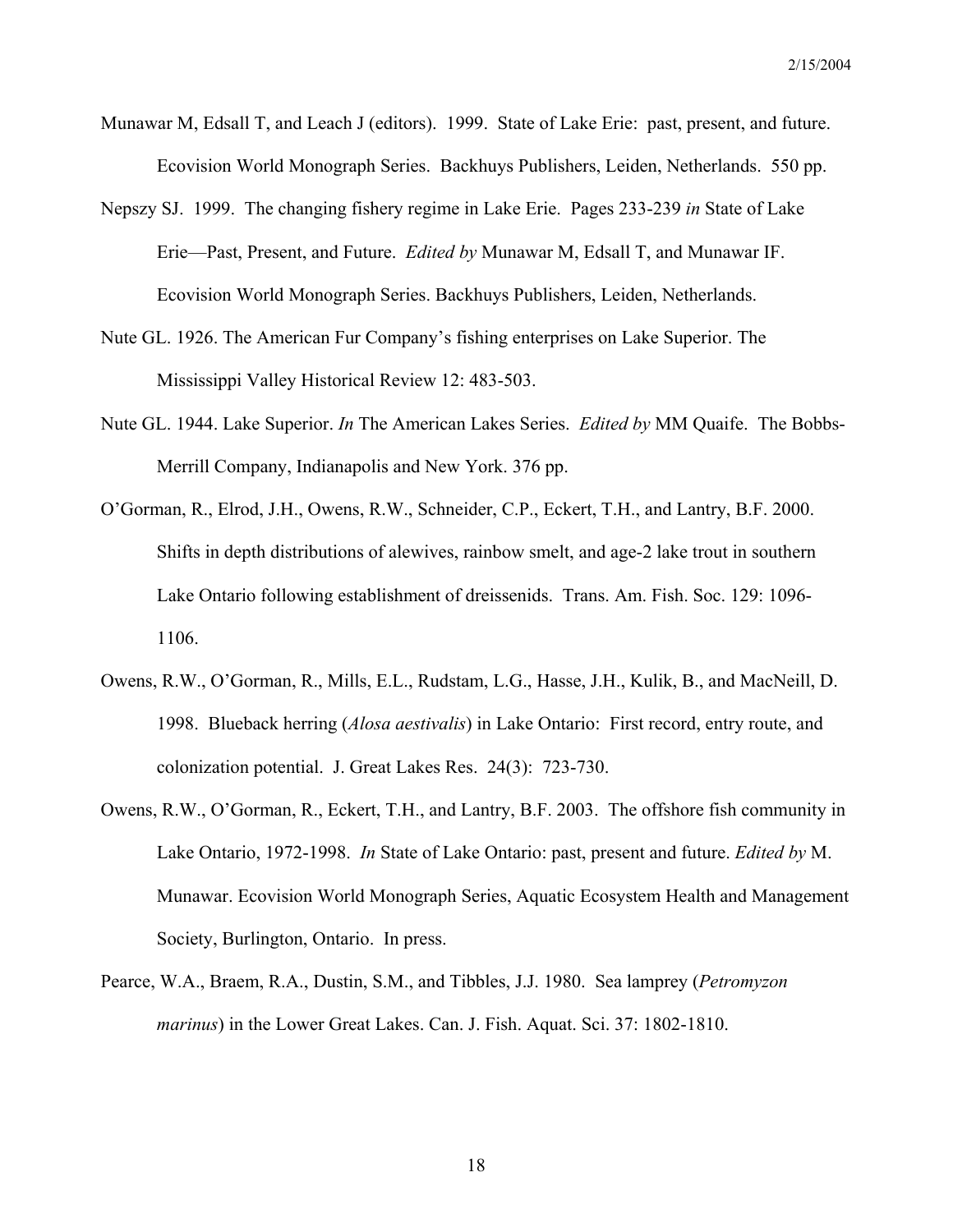- Munawar M, Edsall T, and Leach J (editors). 1999. State of Lake Erie: past, present, and future. Ecovision World Monograph Series. Backhuys Publishers, Leiden, Netherlands. 550 pp.
- Nepszy SJ. 1999. The changing fishery regime in Lake Erie. Pages 233-239 *in* State of Lake Erie—Past, Present, and Future. *Edited by* Munawar M, Edsall T, and Munawar IF. Ecovision World Monograph Series. Backhuys Publishers, Leiden, Netherlands.
- Nute GL. 1926. The American Fur Company's fishing enterprises on Lake Superior. The Mississippi Valley Historical Review 12: 483-503.
- Nute GL. 1944. Lake Superior. *In* The American Lakes Series. *Edited by* MM Quaife. The Bobbs-Merrill Company, Indianapolis and New York. 376 pp.
- O'Gorman, R., Elrod, J.H., Owens, R.W., Schneider, C.P., Eckert, T.H., and Lantry, B.F. 2000. Shifts in depth distributions of alewives, rainbow smelt, and age-2 lake trout in southern Lake Ontario following establishment of dreissenids. Trans. Am. Fish. Soc. 129: 1096- 1106.
- Owens, R.W., O'Gorman, R., Mills, E.L., Rudstam, L.G., Hasse, J.H., Kulik, B., and MacNeill, D. 1998. Blueback herring (*Alosa aestivalis*) in Lake Ontario: First record, entry route, and colonization potential. J. Great Lakes Res. 24(3): 723-730.
- Owens, R.W., O'Gorman, R., Eckert, T.H., and Lantry, B.F. 2003. The offshore fish community in Lake Ontario, 1972-1998. *In* State of Lake Ontario: past, present and future. *Edited by* M. Munawar. Ecovision World Monograph Series, Aquatic Ecosystem Health and Management Society, Burlington, Ontario. In press.
- Pearce, W.A., Braem, R.A., Dustin, S.M., and Tibbles, J.J. 1980. Sea lamprey (*Petromyzon marinus*) in the Lower Great Lakes. Can. J. Fish. Aquat. Sci. 37: 1802-1810.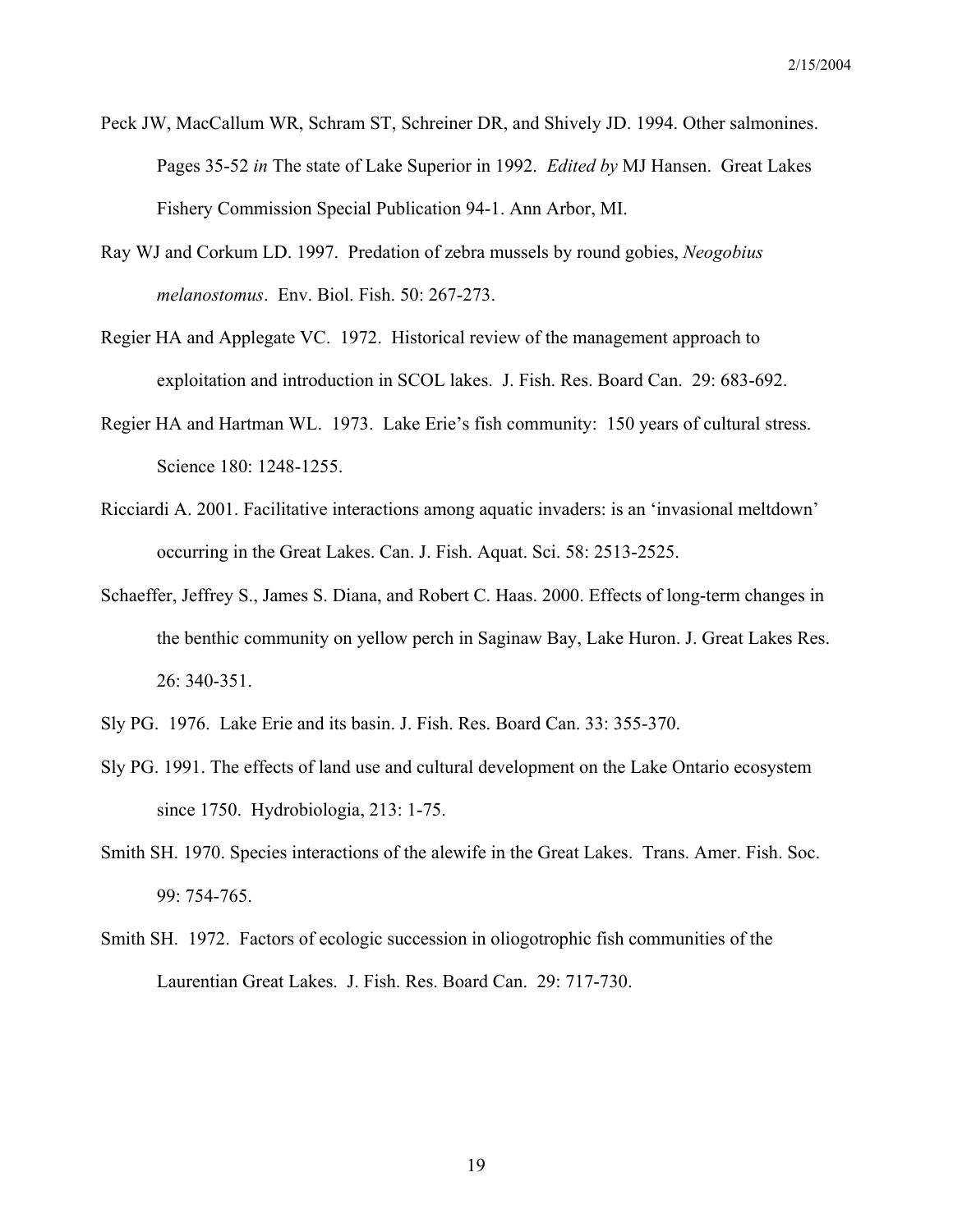- Peck JW, MacCallum WR, Schram ST, Schreiner DR, and Shively JD. 1994. Other salmonines. Pages 35-52 *in* The state of Lake Superior in 1992. *Edited by* MJ Hansen. Great Lakes Fishery Commission Special Publication 94-1. Ann Arbor, MI.
- Ray WJ and Corkum LD. 1997. Predation of zebra mussels by round gobies, *Neogobius melanostomus*. Env. Biol. Fish. 50: 267-273.
- Regier HA and Applegate VC. 1972. Historical review of the management approach to exploitation and introduction in SCOL lakes. J. Fish. Res. Board Can. 29: 683-692.
- Regier HA and Hartman WL. 1973. Lake Erie's fish community: 150 years of cultural stress. Science 180: 1248-1255.
- Ricciardi A. 2001. Facilitative interactions among aquatic invaders: is an 'invasional meltdown' occurring in the Great Lakes. Can. J. Fish. Aquat. Sci. 58: 2513-2525.
- Schaeffer, Jeffrey S., James S. Diana, and Robert C. Haas. 2000. Effects of long-term changes in the benthic community on yellow perch in Saginaw Bay, Lake Huron. J. Great Lakes Res. 26: 340-351.
- Sly PG. 1976. Lake Erie and its basin. J. Fish. Res. Board Can. 33: 355-370.
- Sly PG. 1991. The effects of land use and cultural development on the Lake Ontario ecosystem since 1750. Hydrobiologia, 213: 1-75.
- Smith SH. 1970. Species interactions of the alewife in the Great Lakes. Trans. Amer. Fish. Soc. 99: 754-765.
- Smith SH. 1972. Factors of ecologic succession in oliogotrophic fish communities of the Laurentian Great Lakes. J. Fish. Res. Board Can. 29: 717-730.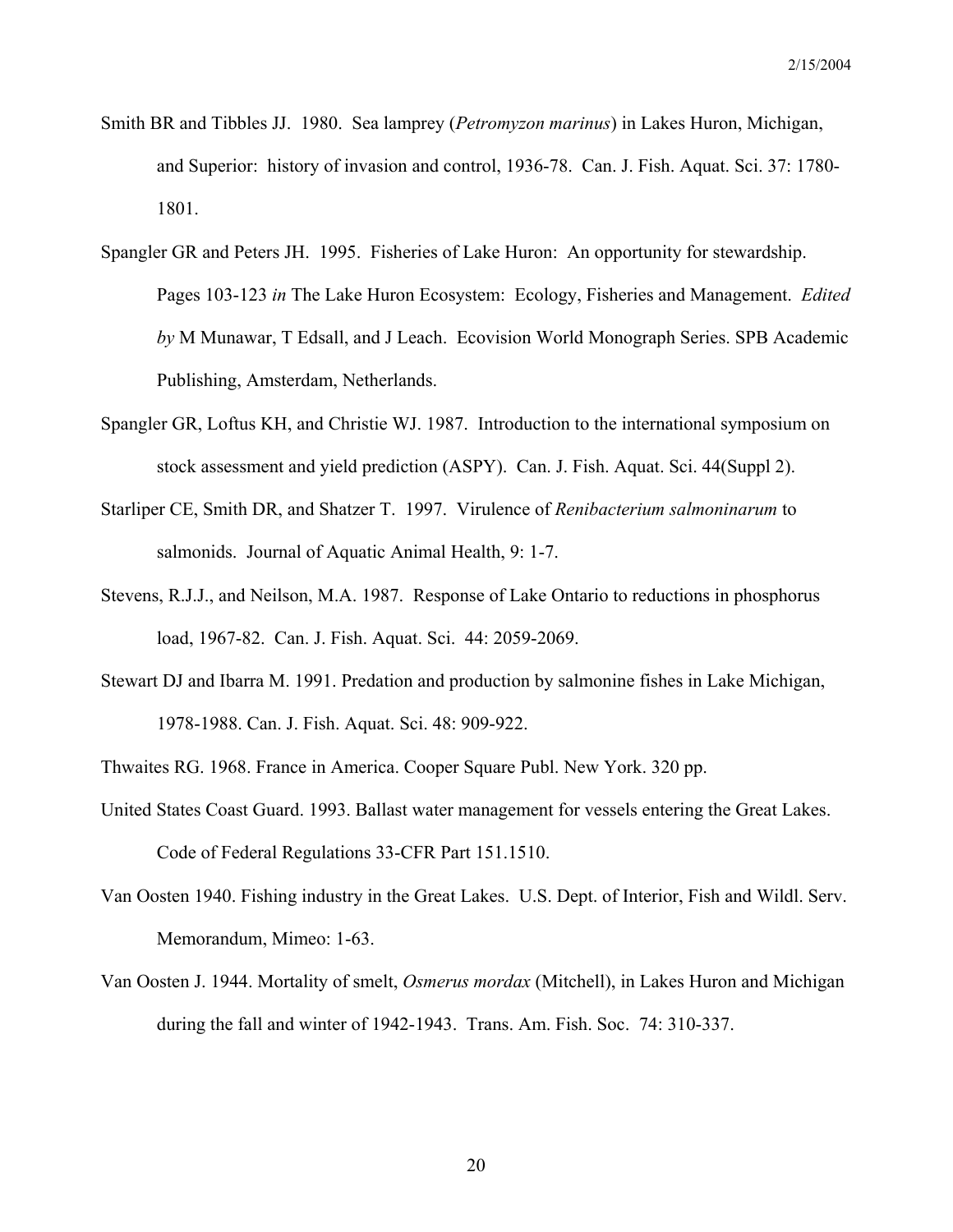- Smith BR and Tibbles JJ. 1980. Sea lamprey (*Petromyzon marinus*) in Lakes Huron, Michigan, and Superior: history of invasion and control, 1936-78. Can. J. Fish. Aquat. Sci. 37: 1780- 1801.
- Spangler GR and Peters JH. 1995. Fisheries of Lake Huron: An opportunity for stewardship. Pages 103-123 *in* The Lake Huron Ecosystem: Ecology, Fisheries and Management. *Edited by* M Munawar, T Edsall, and J Leach. Ecovision World Monograph Series. SPB Academic Publishing, Amsterdam, Netherlands.
- Spangler GR, Loftus KH, and Christie WJ. 1987. Introduction to the international symposium on stock assessment and yield prediction (ASPY). Can. J. Fish. Aquat. Sci. 44(Suppl 2).
- Starliper CE, Smith DR, and Shatzer T. 1997. Virulence of *Renibacterium salmoninarum* to salmonids. Journal of Aquatic Animal Health, 9: 1-7.
- Stevens, R.J.J., and Neilson, M.A. 1987. Response of Lake Ontario to reductions in phosphorus load, 1967-82. Can. J. Fish. Aquat. Sci. 44: 2059-2069.
- Stewart DJ and Ibarra M. 1991. Predation and production by salmonine fishes in Lake Michigan, 1978-1988. Can. J. Fish. Aquat. Sci. 48: 909-922.
- Thwaites RG. 1968. France in America. Cooper Square Publ. New York. 320 pp.
- United States Coast Guard. 1993. Ballast water management for vessels entering the Great Lakes. Code of Federal Regulations 33-CFR Part 151.1510.
- Van Oosten 1940. Fishing industry in the Great Lakes. U.S. Dept. of Interior, Fish and Wildl. Serv. Memorandum, Mimeo: 1-63.
- Van Oosten J. 1944. Mortality of smelt, *Osmerus mordax* (Mitchell), in Lakes Huron and Michigan during the fall and winter of 1942-1943. Trans. Am. Fish. Soc. 74: 310-337.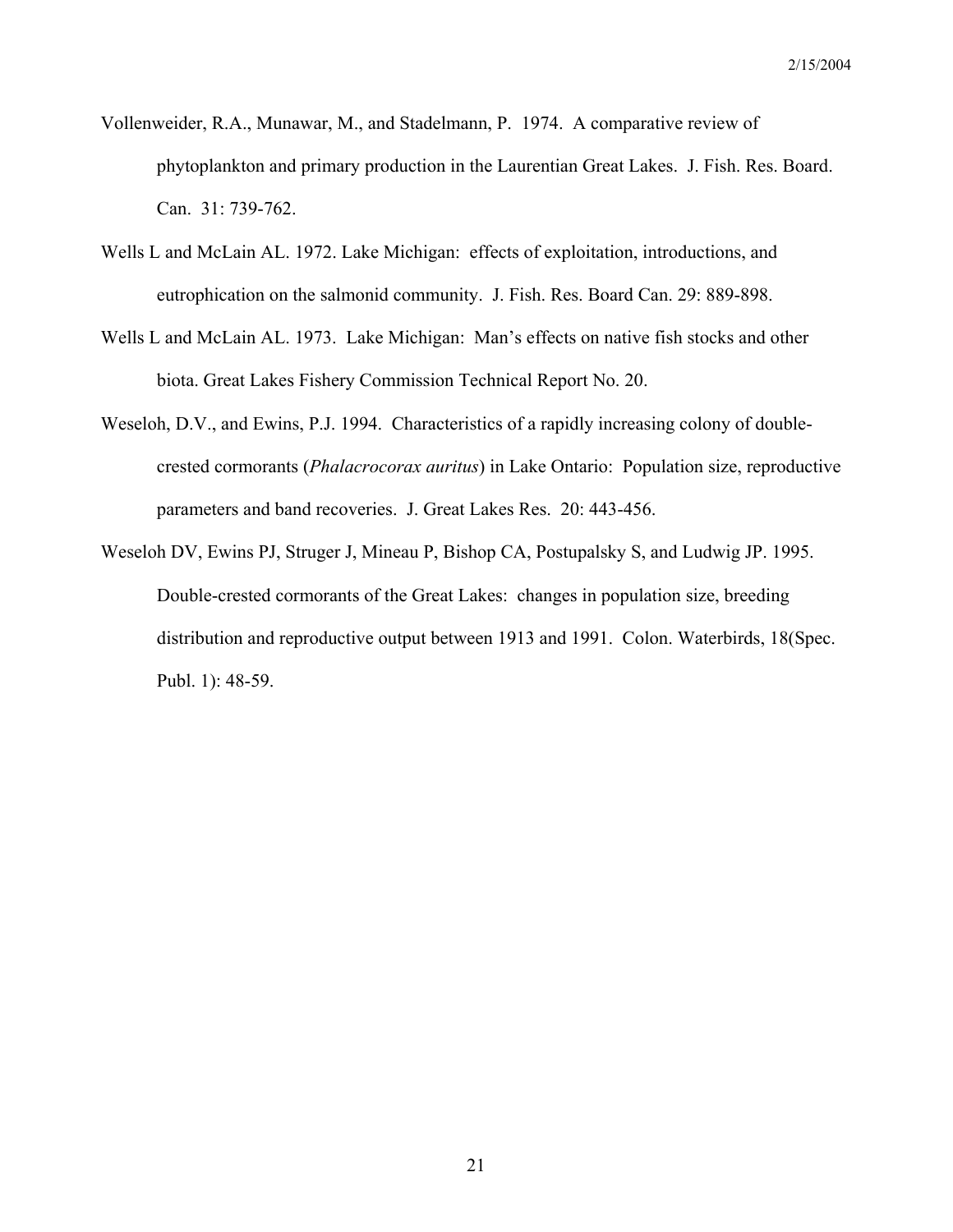- Vollenweider, R.A., Munawar, M., and Stadelmann, P. 1974. A comparative review of phytoplankton and primary production in the Laurentian Great Lakes. J. Fish. Res. Board. Can. 31: 739-762.
- Wells L and McLain AL. 1972. Lake Michigan: effects of exploitation, introductions, and eutrophication on the salmonid community. J. Fish. Res. Board Can. 29: 889-898.
- Wells L and McLain AL. 1973. Lake Michigan: Man's effects on native fish stocks and other biota. Great Lakes Fishery Commission Technical Report No. 20.
- Weseloh, D.V., and Ewins, P.J. 1994. Characteristics of a rapidly increasing colony of doublecrested cormorants (*Phalacrocorax auritus*) in Lake Ontario: Population size, reproductive parameters and band recoveries. J. Great Lakes Res. 20: 443-456.
- Weseloh DV, Ewins PJ, Struger J, Mineau P, Bishop CA, Postupalsky S, and Ludwig JP. 1995. Double-crested cormorants of the Great Lakes: changes in population size, breeding distribution and reproductive output between 1913 and 1991. Colon. Waterbirds, 18(Spec. Publ. 1): 48-59.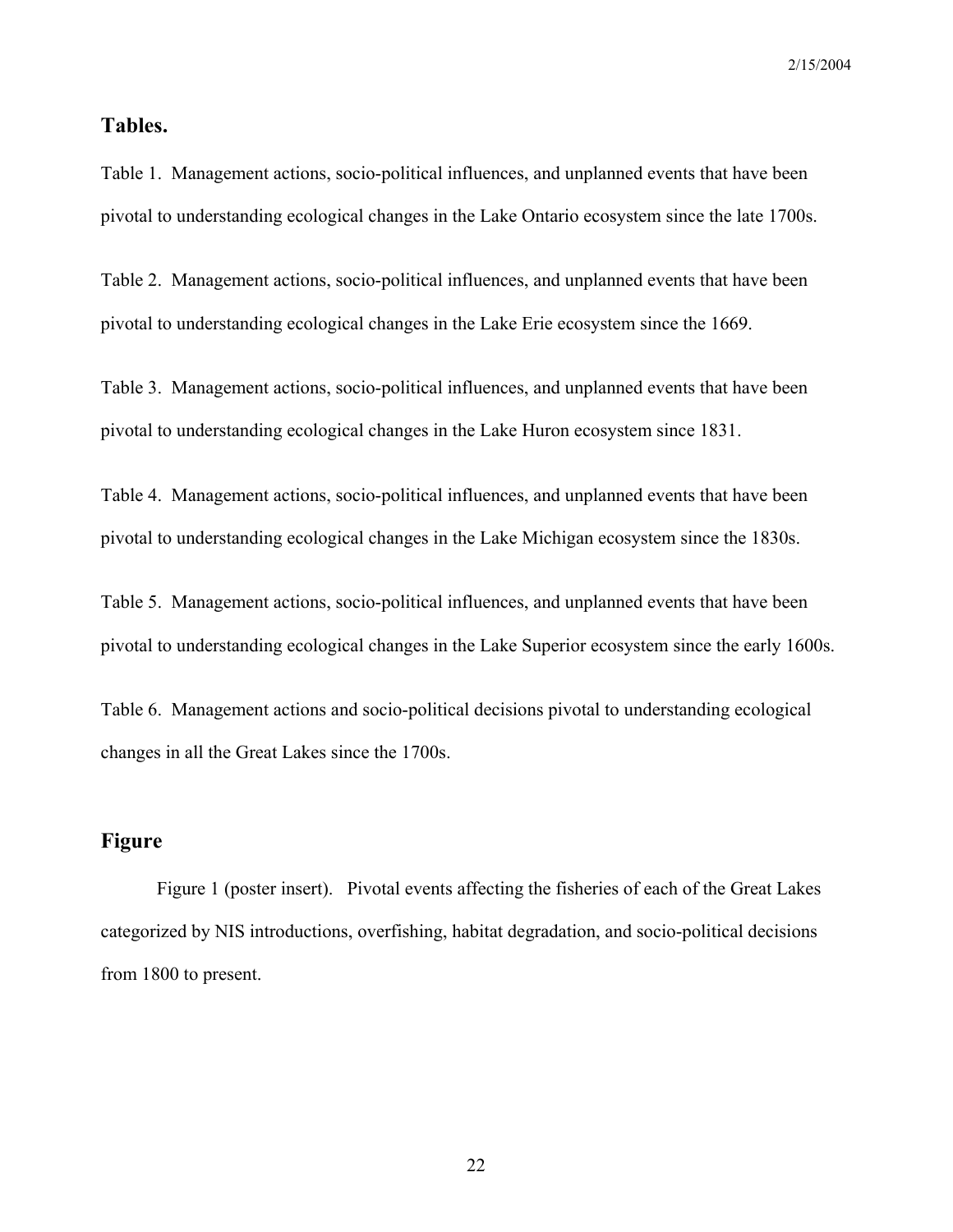# **Tables.**

Table 1. Management actions, socio-political influences, and unplanned events that have been pivotal to understanding ecological changes in the Lake Ontario ecosystem since the late 1700s.

Table 2. Management actions, socio-political influences, and unplanned events that have been pivotal to understanding ecological changes in the Lake Erie ecosystem since the 1669.

Table 3. Management actions, socio-political influences, and unplanned events that have been pivotal to understanding ecological changes in the Lake Huron ecosystem since 1831.

Table 4. Management actions, socio-political influences, and unplanned events that have been pivotal to understanding ecological changes in the Lake Michigan ecosystem since the 1830s.

Table 5. Management actions, socio-political influences, and unplanned events that have been pivotal to understanding ecological changes in the Lake Superior ecosystem since the early 1600s.

Table 6. Management actions and socio-political decisions pivotal to understanding ecological changes in all the Great Lakes since the 1700s.

# **Figure**

Figure 1 (poster insert). Pivotal events affecting the fisheries of each of the Great Lakes categorized by NIS introductions, overfishing, habitat degradation, and socio-political decisions from 1800 to present.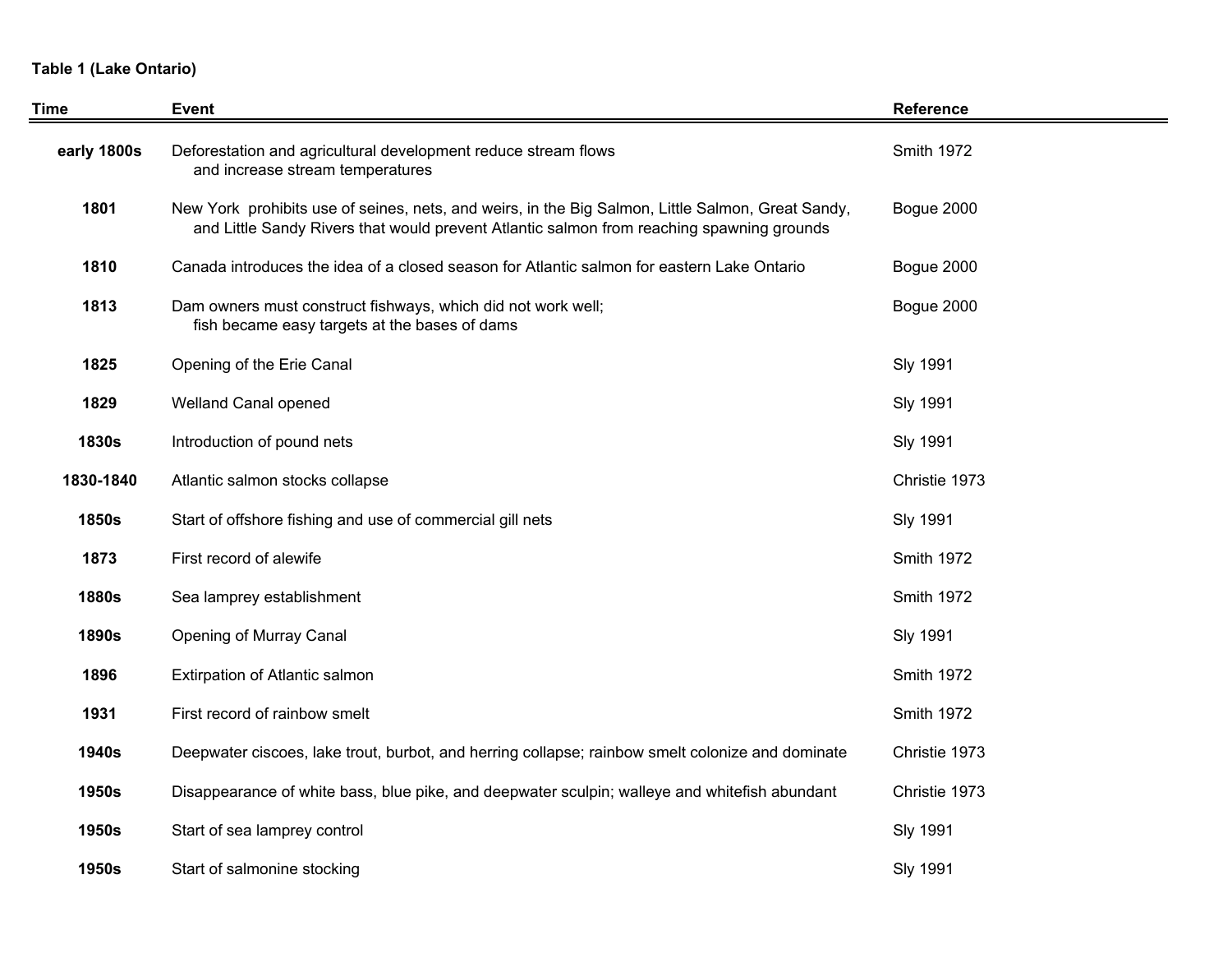### **Table 1 (Lake Ontario)**

| Time         | Event                                                                                                                                                                                          | Reference         |
|--------------|------------------------------------------------------------------------------------------------------------------------------------------------------------------------------------------------|-------------------|
| early 1800s  | Deforestation and agricultural development reduce stream flows<br>and increase stream temperatures                                                                                             | <b>Smith 1972</b> |
| 1801         | New York prohibits use of seines, nets, and weirs, in the Big Salmon, Little Salmon, Great Sandy,<br>and Little Sandy Rivers that would prevent Atlantic salmon from reaching spawning grounds | Bogue 2000        |
| 1810         | Canada introduces the idea of a closed season for Atlantic salmon for eastern Lake Ontario                                                                                                     | Bogue 2000        |
| 1813         | Dam owners must construct fishways, which did not work well;<br>fish became easy targets at the bases of dams                                                                                  | Bogue 2000        |
| 1825         | Opening of the Erie Canal                                                                                                                                                                      | <b>Sly 1991</b>   |
| 1829         | Welland Canal opened                                                                                                                                                                           | <b>Sly 1991</b>   |
| <b>1830s</b> | Introduction of pound nets                                                                                                                                                                     | <b>Sly 1991</b>   |
| 1830-1840    | Atlantic salmon stocks collapse                                                                                                                                                                | Christie 1973     |
| <b>1850s</b> | Start of offshore fishing and use of commercial gill nets                                                                                                                                      | <b>Sly 1991</b>   |
| 1873         | First record of alewife                                                                                                                                                                        | <b>Smith 1972</b> |
| <b>1880s</b> | Sea lamprey establishment                                                                                                                                                                      | <b>Smith 1972</b> |
| <b>1890s</b> | Opening of Murray Canal                                                                                                                                                                        | <b>Sly 1991</b>   |
| 1896         | Extirpation of Atlantic salmon                                                                                                                                                                 | <b>Smith 1972</b> |
| 1931         | First record of rainbow smelt                                                                                                                                                                  | Smith 1972        |
| <b>1940s</b> | Deepwater ciscoes, lake trout, burbot, and herring collapse; rainbow smelt colonize and dominate                                                                                               | Christie 1973     |
| 1950s        | Disappearance of white bass, blue pike, and deepwater sculpin; walleye and whitefish abundant                                                                                                  | Christie 1973     |
| <b>1950s</b> | Start of sea lamprey control                                                                                                                                                                   | <b>Sly 1991</b>   |
| 1950s        | Start of salmonine stocking                                                                                                                                                                    | <b>Sly 1991</b>   |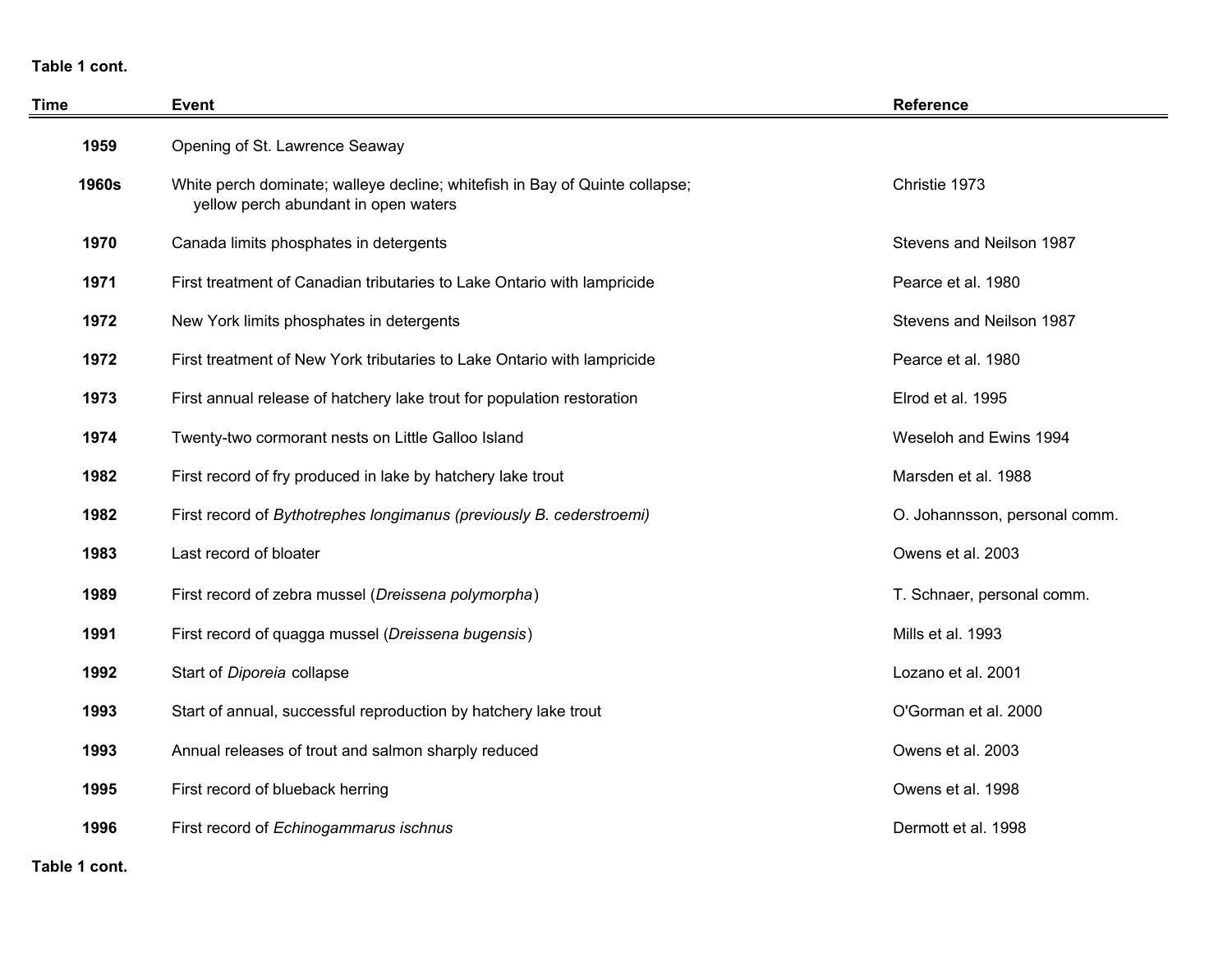**Table 1 cont.**

| Time         | Event                                                                                                               | <b>Reference</b>              |
|--------------|---------------------------------------------------------------------------------------------------------------------|-------------------------------|
| 1959         | Opening of St. Lawrence Seaway                                                                                      |                               |
| <b>1960s</b> | White perch dominate; walleye decline; whitefish in Bay of Quinte collapse;<br>yellow perch abundant in open waters | Christie 1973                 |
| 1970         | Canada limits phosphates in detergents                                                                              | Stevens and Neilson 1987      |
| 1971         | First treatment of Canadian tributaries to Lake Ontario with lampricide                                             | Pearce et al. 1980            |
| 1972         | New York limits phosphates in detergents                                                                            | Stevens and Neilson 1987      |
| 1972         | First treatment of New York tributaries to Lake Ontario with lampricide                                             | Pearce et al. 1980            |
| 1973         | First annual release of hatchery lake trout for population restoration                                              | Elrod et al. 1995             |
| 1974         | Twenty-two cormorant nests on Little Galloo Island                                                                  | Weseloh and Ewins 1994        |
| 1982         | First record of fry produced in lake by hatchery lake trout                                                         | Marsden et al. 1988           |
| 1982         | First record of Bythotrephes longimanus (previously B. cederstroemi)                                                | O. Johannsson, personal comm. |
| 1983         | Last record of bloater                                                                                              | Owens et al. 2003             |
| 1989         | First record of zebra mussel (Dreissena polymorpha)                                                                 | T. Schnaer, personal comm.    |
| 1991         | First record of quagga mussel (Dreissena bugensis)                                                                  | Mills et al. 1993             |
| 1992         | Start of Diporeia collapse                                                                                          | Lozano et al. 2001            |
| 1993         | Start of annual, successful reproduction by hatchery lake trout                                                     | O'Gorman et al. 2000          |
| 1993         | Annual releases of trout and salmon sharply reduced                                                                 | Owens et al. 2003             |
| 1995         | First record of blueback herring                                                                                    | Owens et al. 1998             |
| 1996         | First record of Echinogammarus ischnus                                                                              | Dermott et al. 1998           |

**Table 1 cont.**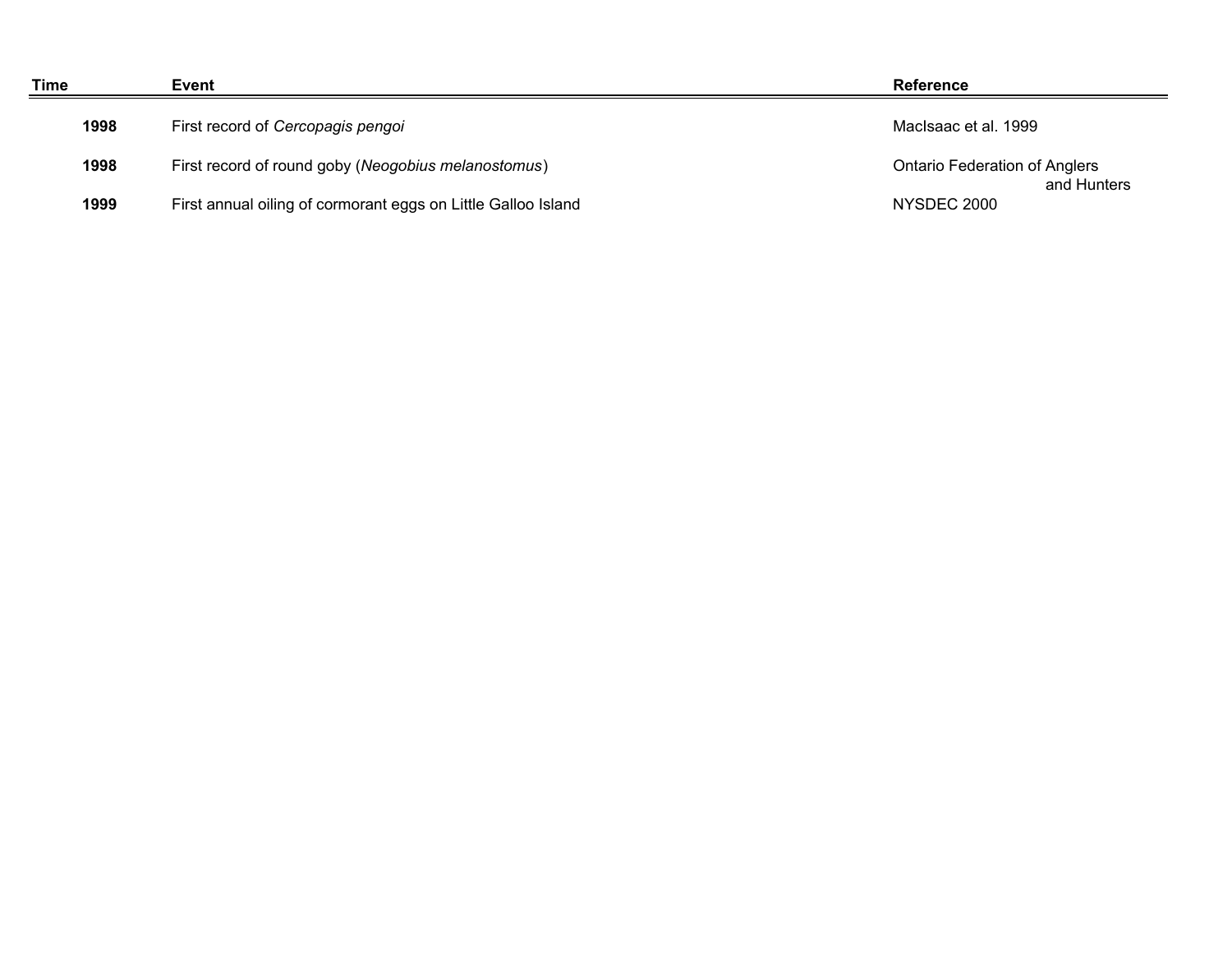| Time | Event                                                         | <b>Reference</b>                                    |
|------|---------------------------------------------------------------|-----------------------------------------------------|
| 1998 | First record of Cercopagis pengoi                             | MacIsaac et al. 1999                                |
| 1998 | First record of round goby (Neogobius melanostomus)           | <b>Ontario Federation of Anglers</b><br>and Hunters |
| 1999 | First annual oiling of cormorant eggs on Little Galloo Island | NYSDEC 2000                                         |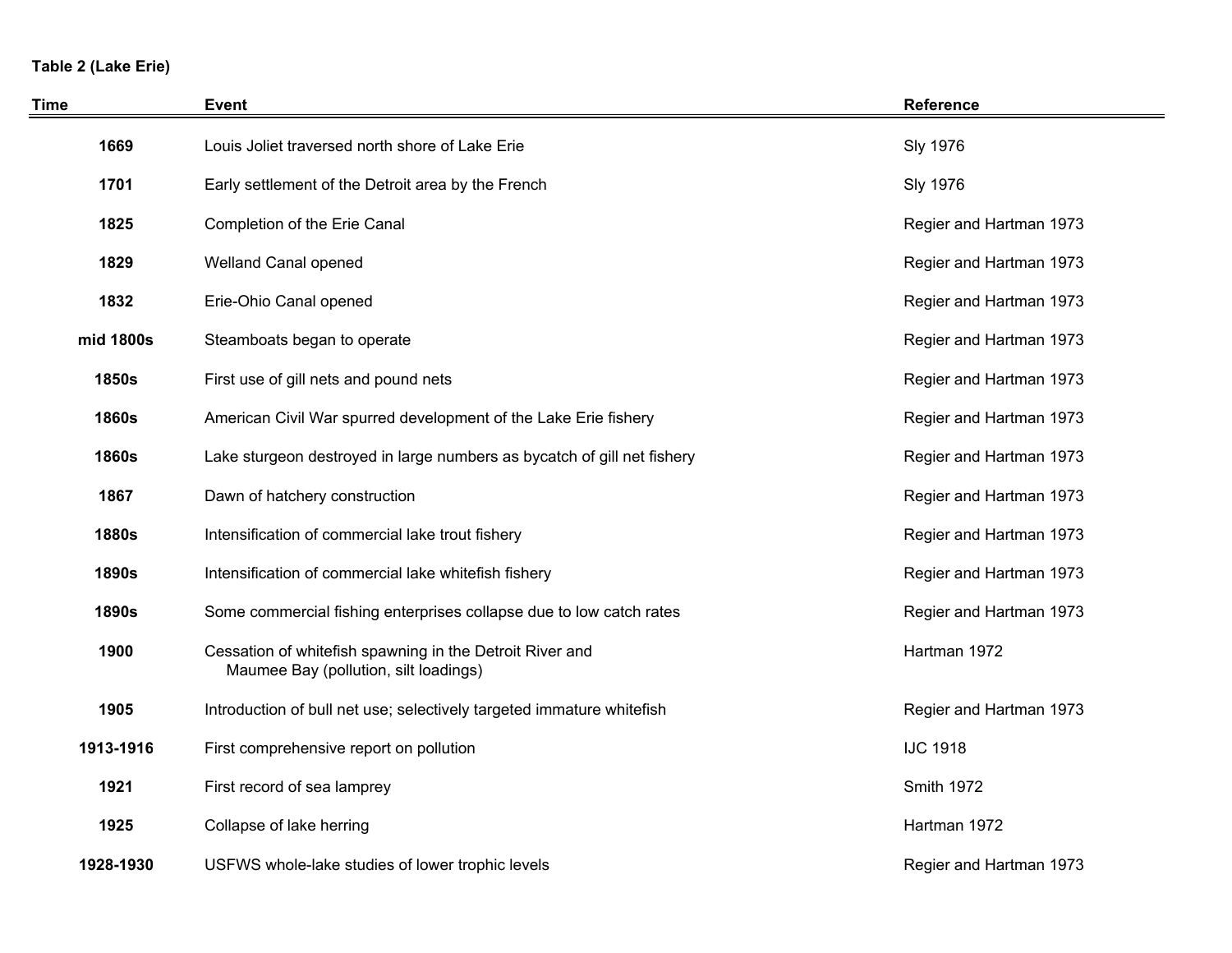# **Table 2 (Lake Erie)**

| <b>Time</b>  | <b>Event</b>                                                                                      | <b>Reference</b>        |
|--------------|---------------------------------------------------------------------------------------------------|-------------------------|
| 1669         | Louis Joliet traversed north shore of Lake Erie                                                   | <b>Sly 1976</b>         |
| 1701         | Early settlement of the Detroit area by the French                                                | <b>Sly 1976</b>         |
| 1825         | Completion of the Erie Canal                                                                      | Regier and Hartman 1973 |
| 1829         | Welland Canal opened                                                                              | Regier and Hartman 1973 |
| 1832         | Erie-Ohio Canal opened                                                                            | Regier and Hartman 1973 |
| mid 1800s    | Steamboats began to operate                                                                       | Regier and Hartman 1973 |
| <b>1850s</b> | First use of gill nets and pound nets                                                             | Regier and Hartman 1973 |
| <b>1860s</b> | American Civil War spurred development of the Lake Erie fishery                                   | Regier and Hartman 1973 |
| <b>1860s</b> | Lake sturgeon destroyed in large numbers as bycatch of gill net fishery                           | Regier and Hartman 1973 |
| 1867         | Dawn of hatchery construction                                                                     | Regier and Hartman 1973 |
| <b>1880s</b> | Intensification of commercial lake trout fishery                                                  | Regier and Hartman 1973 |
| <b>1890s</b> | Intensification of commercial lake whitefish fishery                                              | Regier and Hartman 1973 |
| <b>1890s</b> | Some commercial fishing enterprises collapse due to low catch rates                               | Regier and Hartman 1973 |
| 1900         | Cessation of whitefish spawning in the Detroit River and<br>Maumee Bay (pollution, silt loadings) | Hartman 1972            |
| 1905         | Introduction of bull net use; selectively targeted immature whitefish                             | Regier and Hartman 1973 |
| 1913-1916    | First comprehensive report on pollution                                                           | <b>IJC 1918</b>         |
| 1921         | First record of sea lamprey                                                                       | Smith 1972              |
| 1925         | Collapse of lake herring                                                                          | Hartman 1972            |
| 1928-1930    | USFWS whole-lake studies of lower trophic levels                                                  | Regier and Hartman 1973 |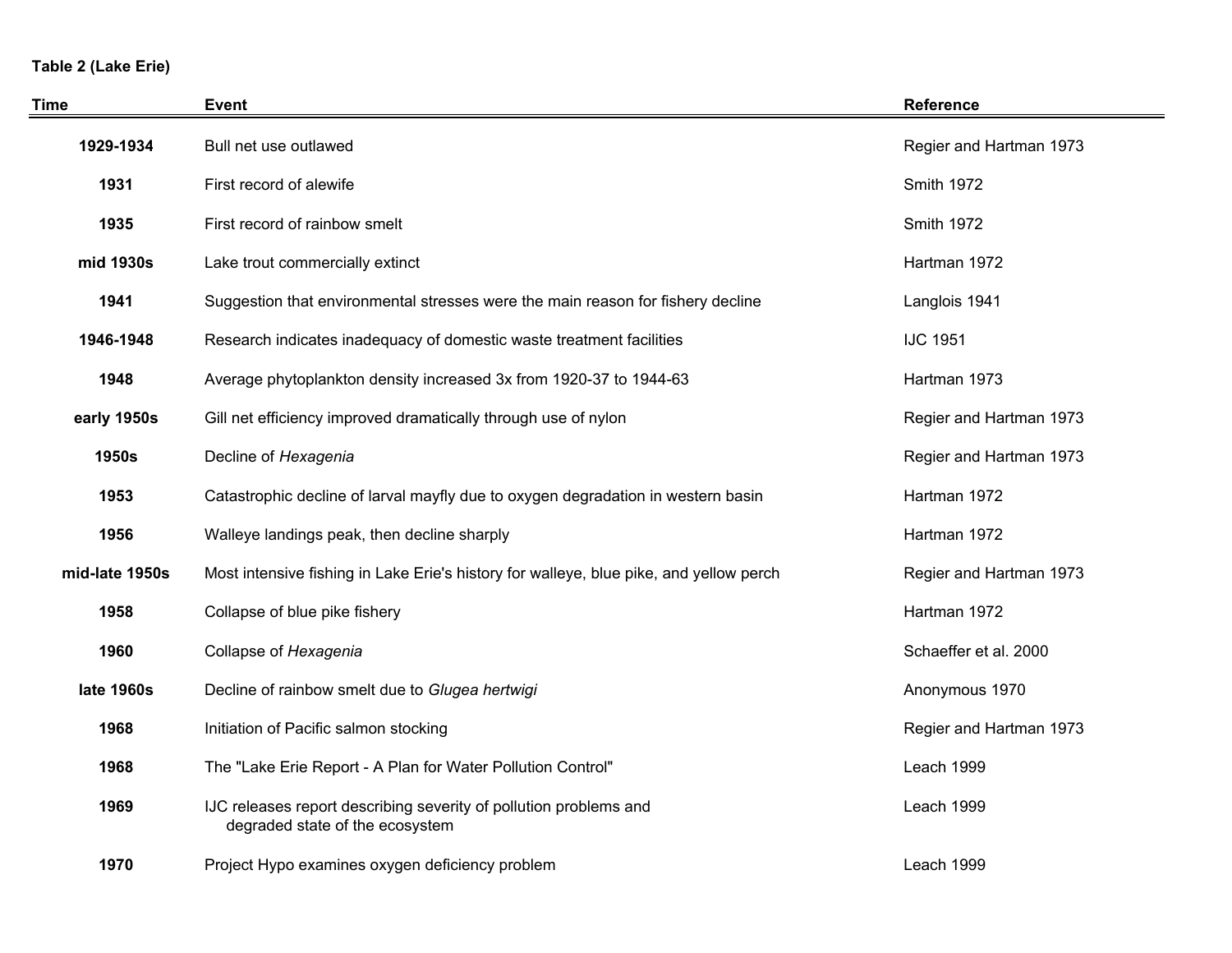# **Table 2 (Lake Erie)**

| <b>Time</b>    | <b>Event</b>                                                                                         | Reference               |
|----------------|------------------------------------------------------------------------------------------------------|-------------------------|
| 1929-1934      | Bull net use outlawed                                                                                | Regier and Hartman 1973 |
| 1931           | First record of alewife                                                                              | Smith 1972              |
| 1935           | First record of rainbow smelt                                                                        | <b>Smith 1972</b>       |
| mid 1930s      | Lake trout commercially extinct                                                                      | Hartman 1972            |
| 1941           | Suggestion that environmental stresses were the main reason for fishery decline                      | Langlois 1941           |
| 1946-1948      | Research indicates inadequacy of domestic waste treatment facilities                                 | <b>IJC 1951</b>         |
| 1948           | Average phytoplankton density increased 3x from 1920-37 to 1944-63                                   | Hartman 1973            |
| early 1950s    | Gill net efficiency improved dramatically through use of nylon                                       | Regier and Hartman 1973 |
| <b>1950s</b>   | Decline of Hexagenia                                                                                 | Regier and Hartman 1973 |
| 1953           | Catastrophic decline of larval mayfly due to oxygen degradation in western basin                     | Hartman 1972            |
| 1956           | Walleye landings peak, then decline sharply                                                          | Hartman 1972            |
| mid-late 1950s | Most intensive fishing in Lake Erie's history for walleye, blue pike, and yellow perch               | Regier and Hartman 1973 |
| 1958           | Collapse of blue pike fishery                                                                        | Hartman 1972            |
| 1960           | Collapse of Hexagenia                                                                                | Schaeffer et al. 2000   |
| late 1960s     | Decline of rainbow smelt due to Glugea hertwigi                                                      | Anonymous 1970          |
| 1968           | Initiation of Pacific salmon stocking                                                                | Regier and Hartman 1973 |
| 1968           | The "Lake Erie Report - A Plan for Water Pollution Control"                                          | Leach 1999              |
| 1969           | IJC releases report describing severity of pollution problems and<br>degraded state of the ecosystem | Leach 1999              |
| 1970           | Project Hypo examines oxygen deficiency problem                                                      | Leach 1999              |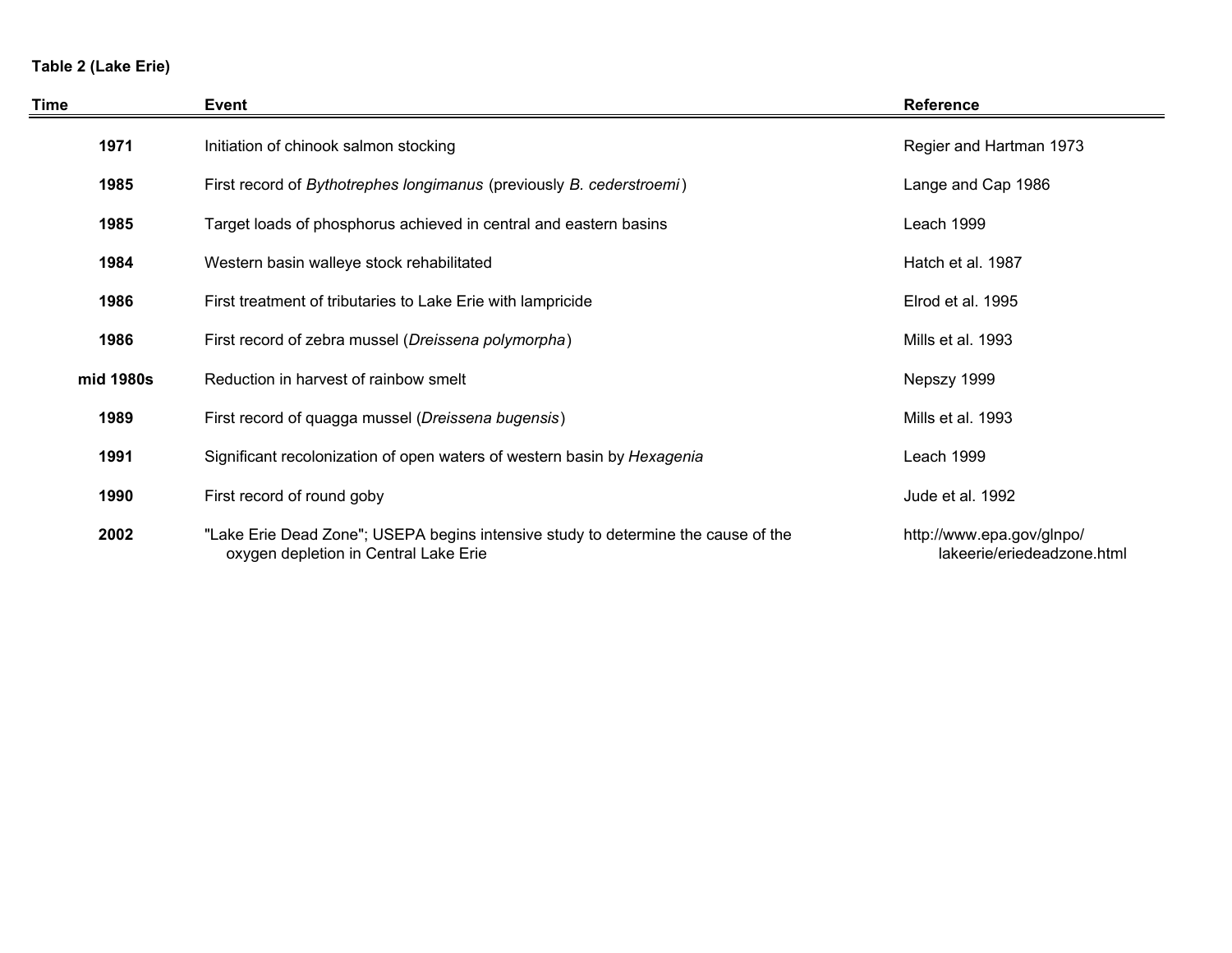# **Table 2 (Lake Erie)**

| Time      | Event                                                                                                                      | <b>Reference</b>                                        |
|-----------|----------------------------------------------------------------------------------------------------------------------------|---------------------------------------------------------|
| 1971      | Initiation of chinook salmon stocking                                                                                      | Regier and Hartman 1973                                 |
| 1985      | First record of Bythotrephes longimanus (previously B. cederstroemi)                                                       | Lange and Cap 1986                                      |
| 1985      | Target loads of phosphorus achieved in central and eastern basins                                                          | Leach 1999                                              |
| 1984      | Western basin walleye stock rehabilitated                                                                                  | Hatch et al. 1987                                       |
| 1986      | First treatment of tributaries to Lake Erie with lampricide                                                                | Elrod et al. 1995                                       |
| 1986      | First record of zebra mussel (Dreissena polymorpha)                                                                        | Mills et al. 1993                                       |
| mid 1980s | Reduction in harvest of rainbow smelt                                                                                      | Nepszy 1999                                             |
| 1989      | First record of quagga mussel (Dreissena bugensis)                                                                         | Mills et al. 1993                                       |
| 1991      | Significant recolonization of open waters of western basin by Hexagenia                                                    | Leach 1999                                              |
| 1990      | First record of round goby                                                                                                 | Jude et al. 1992                                        |
| 2002      | "Lake Erie Dead Zone"; USEPA begins intensive study to determine the cause of the<br>oxygen depletion in Central Lake Erie | http://www.epa.gov/glnpo/<br>lakeerie/eriedeadzone.html |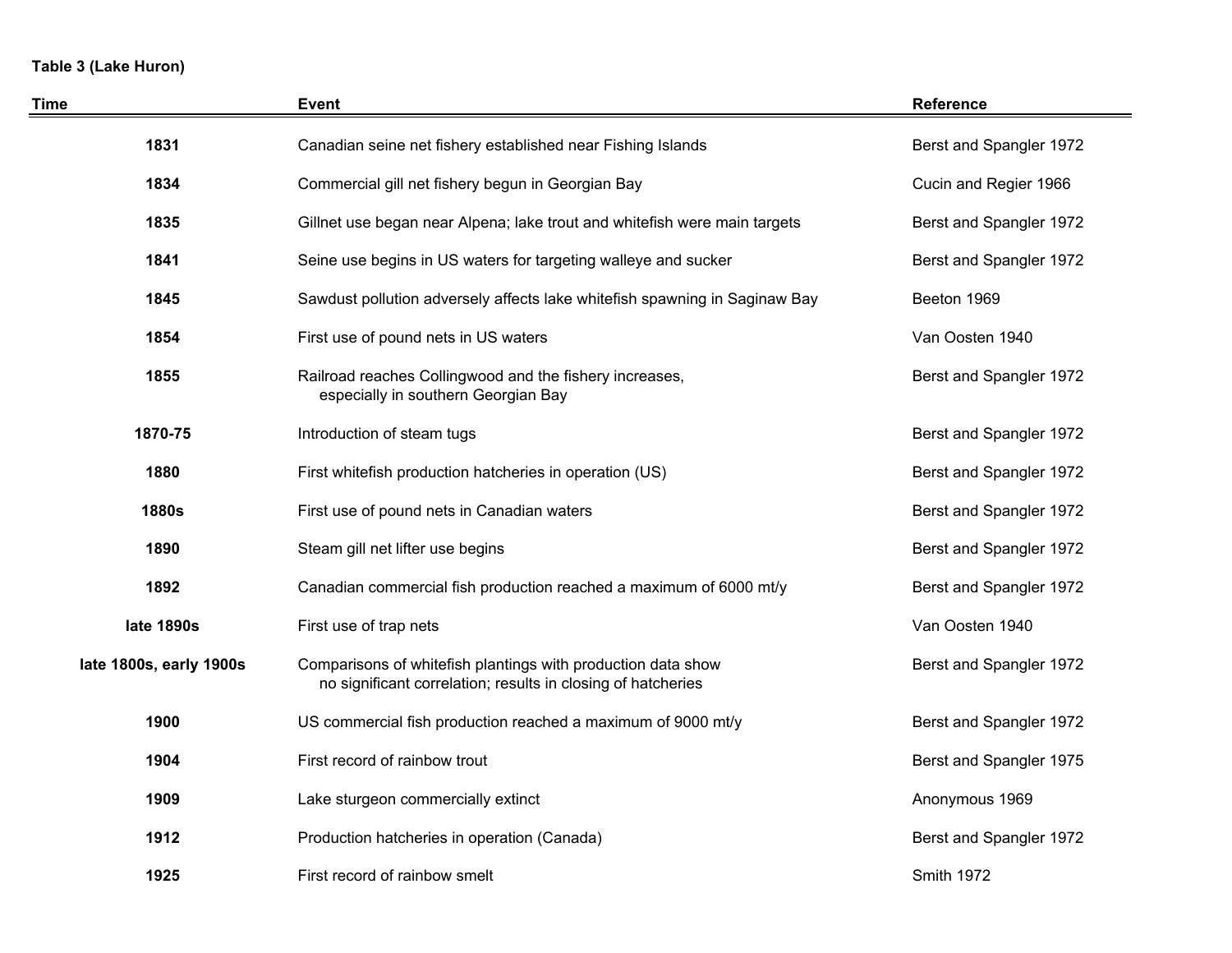# **Table 3 (Lake Huron)**

| Time                    | <b>Event</b>                                                                                                                 | Reference               |
|-------------------------|------------------------------------------------------------------------------------------------------------------------------|-------------------------|
| 1831                    | Canadian seine net fishery established near Fishing Islands                                                                  | Berst and Spangler 1972 |
| 1834                    | Commercial gill net fishery begun in Georgian Bay                                                                            | Cucin and Regier 1966   |
| 1835                    | Gillnet use began near Alpena; lake trout and whitefish were main targets                                                    | Berst and Spangler 1972 |
| 1841                    | Seine use begins in US waters for targeting walleye and sucker                                                               | Berst and Spangler 1972 |
| 1845                    | Sawdust pollution adversely affects lake whitefish spawning in Saginaw Bay                                                   | Beeton 1969             |
| 1854                    | First use of pound nets in US waters                                                                                         | Van Oosten 1940         |
| 1855                    | Railroad reaches Collingwood and the fishery increases,<br>especially in southern Georgian Bay                               | Berst and Spangler 1972 |
| 1870-75                 | Introduction of steam tugs                                                                                                   | Berst and Spangler 1972 |
| 1880                    | First whitefish production hatcheries in operation (US)                                                                      | Berst and Spangler 1972 |
| <b>1880s</b>            | First use of pound nets in Canadian waters                                                                                   | Berst and Spangler 1972 |
| 1890                    | Steam gill net lifter use begins                                                                                             | Berst and Spangler 1972 |
| 1892                    | Canadian commercial fish production reached a maximum of 6000 mt/y                                                           | Berst and Spangler 1972 |
| late 1890s              | First use of trap nets                                                                                                       | Van Oosten 1940         |
| late 1800s, early 1900s | Comparisons of whitefish plantings with production data show<br>no significant correlation; results in closing of hatcheries | Berst and Spangler 1972 |
| 1900                    | US commercial fish production reached a maximum of 9000 mt/y                                                                 | Berst and Spangler 1972 |
| 1904                    | First record of rainbow trout                                                                                                | Berst and Spangler 1975 |
| 1909                    | Lake sturgeon commercially extinct                                                                                           | Anonymous 1969          |
| 1912                    | Production hatcheries in operation (Canada)                                                                                  | Berst and Spangler 1972 |
| 1925                    | First record of rainbow smelt                                                                                                | Smith 1972              |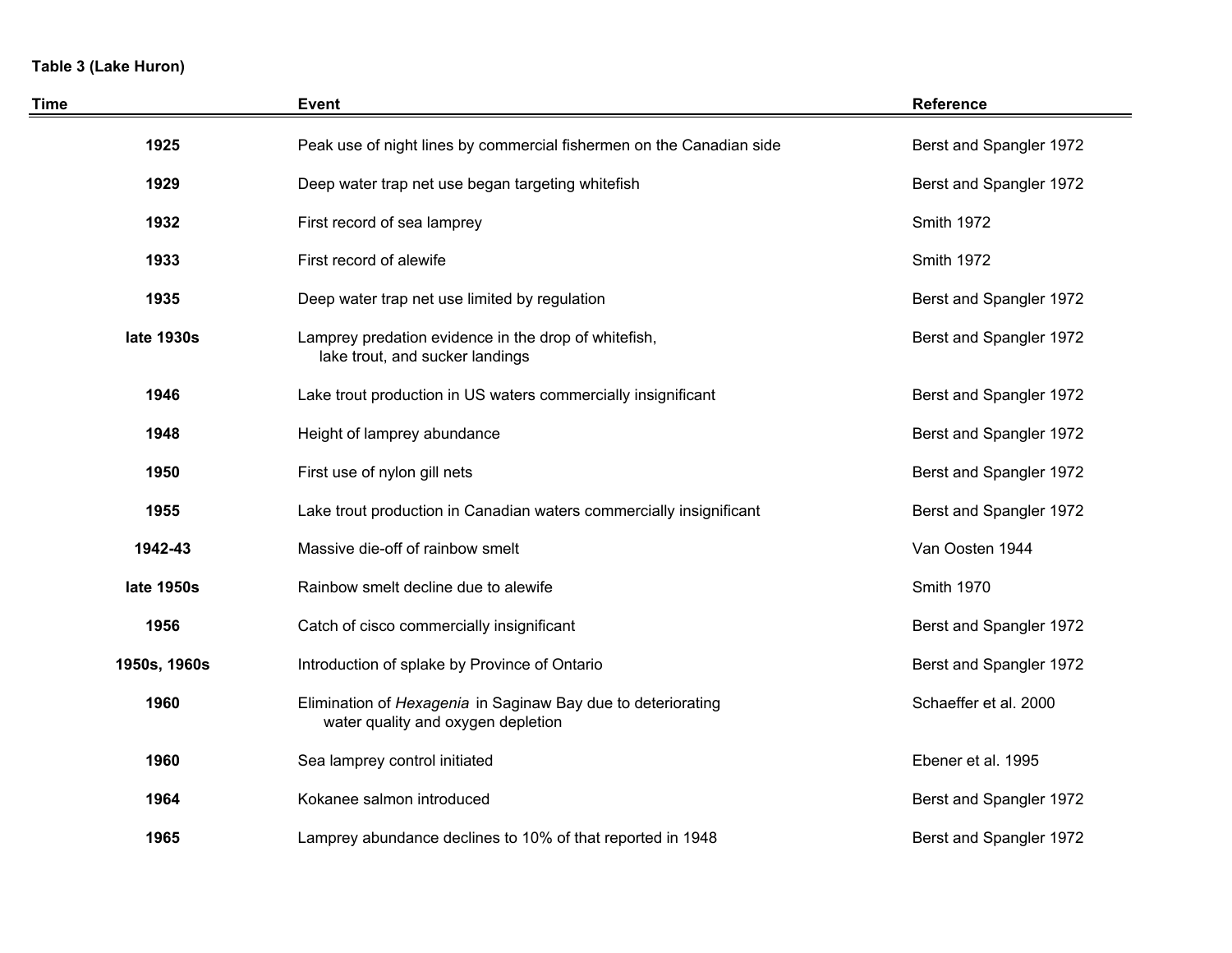# **Table 3 (Lake Huron)**

| <b>Time</b>  | <b>Event</b>                                                                                       | <b>Reference</b>        |
|--------------|----------------------------------------------------------------------------------------------------|-------------------------|
| 1925         | Peak use of night lines by commercial fishermen on the Canadian side                               | Berst and Spangler 1972 |
| 1929         | Deep water trap net use began targeting whitefish                                                  | Berst and Spangler 1972 |
| 1932         | First record of sea lamprey                                                                        | Smith 1972              |
| 1933         | First record of alewife                                                                            | <b>Smith 1972</b>       |
| 1935         | Deep water trap net use limited by regulation                                                      | Berst and Spangler 1972 |
| late 1930s   | Lamprey predation evidence in the drop of whitefish,<br>lake trout, and sucker landings            | Berst and Spangler 1972 |
| 1946         | Lake trout production in US waters commercially insignificant                                      | Berst and Spangler 1972 |
| 1948         | Height of lamprey abundance                                                                        | Berst and Spangler 1972 |
| 1950         | First use of nylon gill nets                                                                       | Berst and Spangler 1972 |
| 1955         | Lake trout production in Canadian waters commercially insignificant                                | Berst and Spangler 1972 |
| 1942-43      | Massive die-off of rainbow smelt                                                                   | Van Oosten 1944         |
| late 1950s   | Rainbow smelt decline due to alewife                                                               | <b>Smith 1970</b>       |
| 1956         | Catch of cisco commercially insignificant                                                          | Berst and Spangler 1972 |
| 1950s, 1960s | Introduction of splake by Province of Ontario                                                      | Berst and Spangler 1972 |
| 1960         | Elimination of Hexagenia in Saginaw Bay due to deteriorating<br>water quality and oxygen depletion | Schaeffer et al. 2000   |
| 1960         | Sea lamprey control initiated                                                                      | Ebener et al. 1995      |
| 1964         | Kokanee salmon introduced                                                                          | Berst and Spangler 1972 |
| 1965         | Lamprey abundance declines to 10% of that reported in 1948                                         | Berst and Spangler 1972 |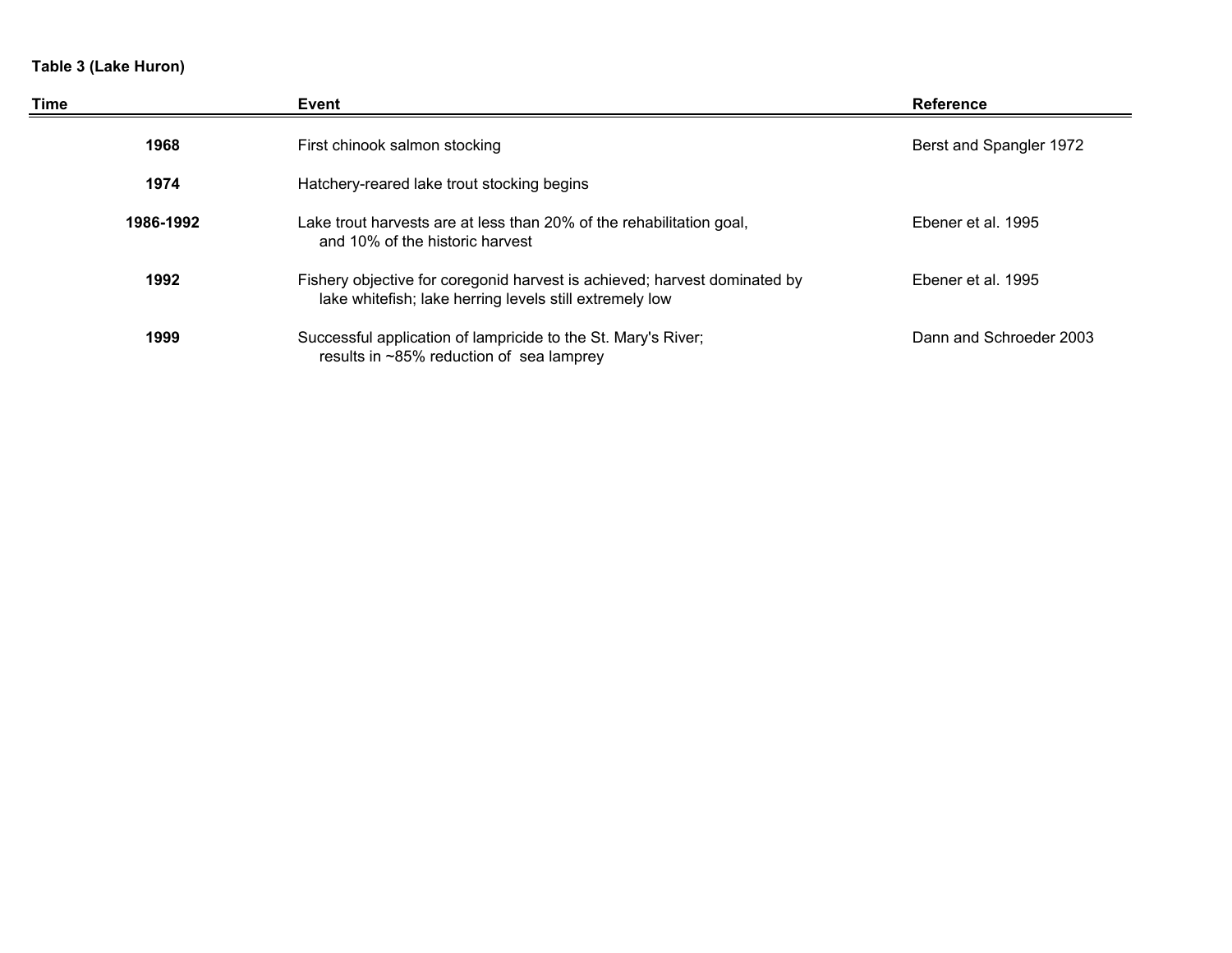# **Table 3 (Lake Huron)**

| Time      | Event                                                                                                                                | <b>Reference</b>        |
|-----------|--------------------------------------------------------------------------------------------------------------------------------------|-------------------------|
| 1968      | First chinook salmon stocking                                                                                                        | Berst and Spangler 1972 |
| 1974      | Hatchery-reared lake trout stocking begins                                                                                           |                         |
| 1986-1992 | Lake trout harvests are at less than 20% of the rehabilitation goal,<br>and 10% of the historic harvest                              | Ebener et al. 1995      |
| 1992      | Fishery objective for coregonid harvest is achieved; harvest dominated by<br>lake whitefish; lake herring levels still extremely low | Ebener et al. 1995      |
| 1999      | Successful application of lampricide to the St. Mary's River;<br>results in ~85% reduction of sea lamprey                            | Dann and Schroeder 2003 |

e e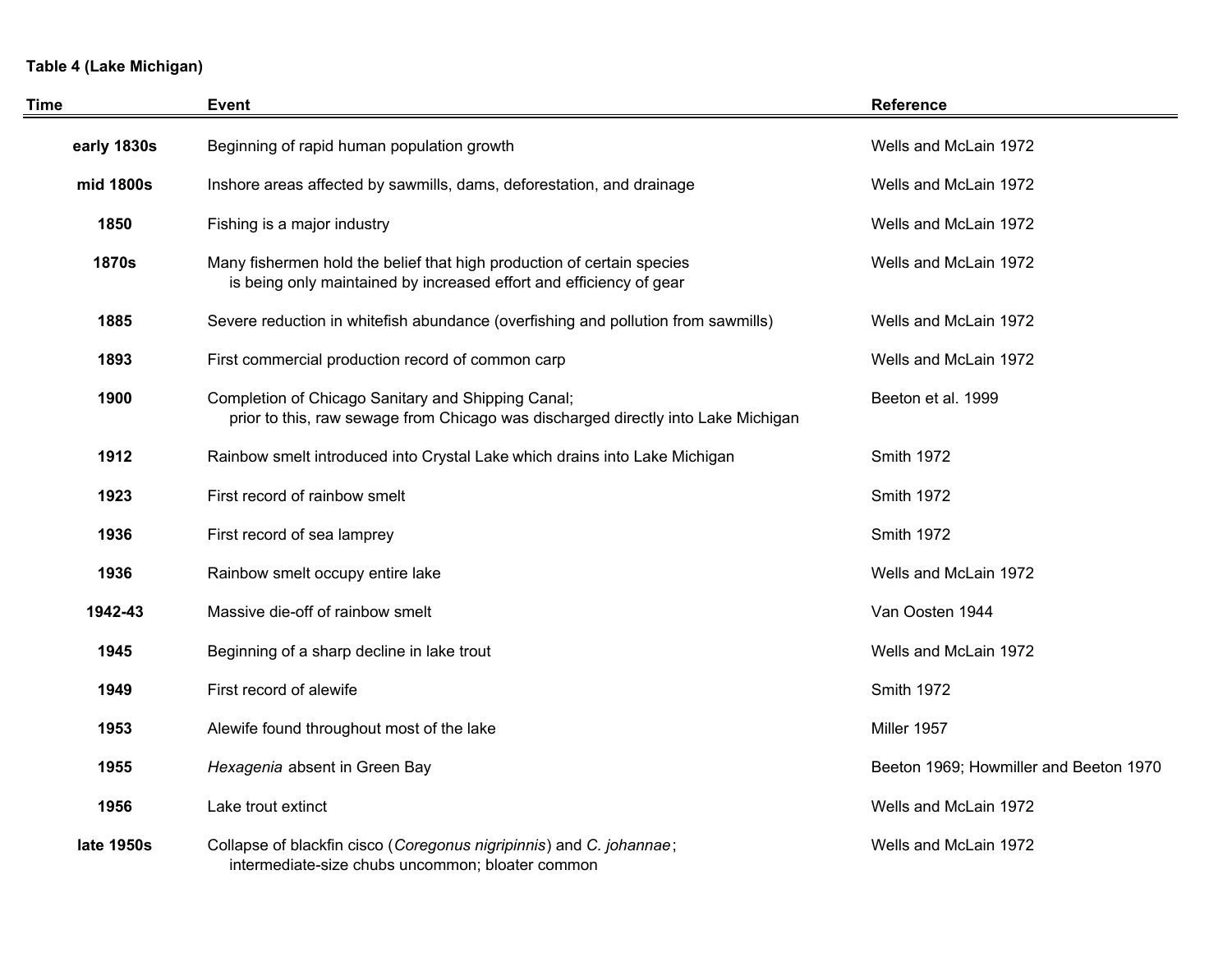# **Table 4 (Lake Michigan)**

| Time         | <b>Event</b>                                                                                                                                  | <b>Reference</b>                       |
|--------------|-----------------------------------------------------------------------------------------------------------------------------------------------|----------------------------------------|
| early 1830s  | Beginning of rapid human population growth                                                                                                    | Wells and McLain 1972                  |
| mid 1800s    | Inshore areas affected by sawmills, dams, deforestation, and drainage                                                                         | Wells and McLain 1972                  |
| 1850         | Fishing is a major industry                                                                                                                   | Wells and McLain 1972                  |
| <b>1870s</b> | Many fishermen hold the belief that high production of certain species<br>is being only maintained by increased effort and efficiency of gear | Wells and McLain 1972                  |
| 1885         | Severe reduction in whitefish abundance (overfishing and pollution from sawmills)                                                             | Wells and McLain 1972                  |
| 1893         | First commercial production record of common carp                                                                                             | Wells and McLain 1972                  |
| 1900         | Completion of Chicago Sanitary and Shipping Canal;<br>prior to this, raw sewage from Chicago was discharged directly into Lake Michigan       | Beeton et al. 1999                     |
| 1912         | Rainbow smelt introduced into Crystal Lake which drains into Lake Michigan                                                                    | <b>Smith 1972</b>                      |
| 1923         | First record of rainbow smelt                                                                                                                 | <b>Smith 1972</b>                      |
| 1936         | First record of sea lamprey                                                                                                                   | <b>Smith 1972</b>                      |
| 1936         | Rainbow smelt occupy entire lake                                                                                                              | Wells and McLain 1972                  |
| 1942-43      | Massive die-off of rainbow smelt                                                                                                              | Van Oosten 1944                        |
| 1945         | Beginning of a sharp decline in lake trout                                                                                                    | Wells and McLain 1972                  |
| 1949         | First record of alewife                                                                                                                       | <b>Smith 1972</b>                      |
| 1953         | Alewife found throughout most of the lake                                                                                                     | Miller 1957                            |
| 1955         | Hexagenia absent in Green Bay                                                                                                                 | Beeton 1969; Howmiller and Beeton 1970 |
| 1956         | Lake trout extinct                                                                                                                            | Wells and McLain 1972                  |
| late 1950s   | Collapse of blackfin cisco (Coregonus nigripinnis) and C. johannae;<br>intermediate-size chubs uncommon; bloater common                       | Wells and McLain 1972                  |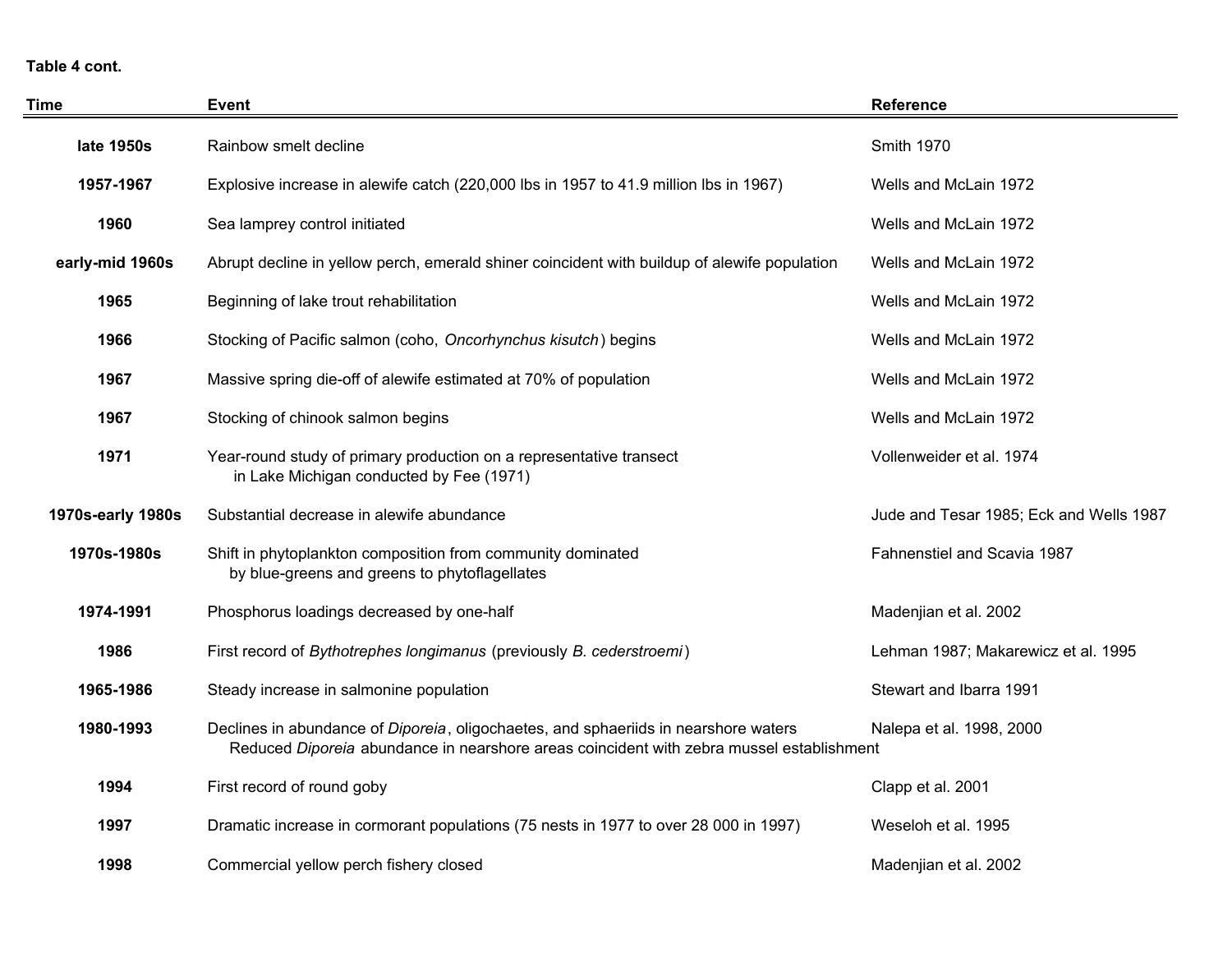#### **Table 4 cont.**

| <b>Time</b>       | <b>Event</b>                                                                                                                                                                    | <b>Reference</b>                        |
|-------------------|---------------------------------------------------------------------------------------------------------------------------------------------------------------------------------|-----------------------------------------|
| late 1950s        | Rainbow smelt decline                                                                                                                                                           | Smith 1970                              |
| 1957-1967         | Explosive increase in alewife catch (220,000 lbs in 1957 to 41.9 million lbs in 1967)                                                                                           | Wells and McLain 1972                   |
| 1960              | Sea lamprey control initiated                                                                                                                                                   | Wells and McLain 1972                   |
| early-mid 1960s   | Abrupt decline in yellow perch, emerald shiner coincident with buildup of alewife population                                                                                    | Wells and McLain 1972                   |
| 1965              | Beginning of lake trout rehabilitation                                                                                                                                          | Wells and McLain 1972                   |
| 1966              | Stocking of Pacific salmon (coho, Oncorhynchus kisutch) begins                                                                                                                  | Wells and McLain 1972                   |
| 1967              | Massive spring die-off of alewife estimated at 70% of population                                                                                                                | Wells and McLain 1972                   |
| 1967              | Stocking of chinook salmon begins                                                                                                                                               | Wells and McLain 1972                   |
| 1971              | Year-round study of primary production on a representative transect<br>in Lake Michigan conducted by Fee (1971)                                                                 | Vollenweider et al. 1974                |
| 1970s-early 1980s | Substantial decrease in alewife abundance                                                                                                                                       | Jude and Tesar 1985; Eck and Wells 1987 |
| 1970s-1980s       | Shift in phytoplankton composition from community dominated<br>by blue-greens and greens to phytoflagellates                                                                    | Fahnenstiel and Scavia 1987             |
| 1974-1991         | Phosphorus loadings decreased by one-half                                                                                                                                       | Madenjian et al. 2002                   |
| 1986              | First record of Bythotrephes longimanus (previously B. cederstroemi)                                                                                                            | Lehman 1987; Makarewicz et al. 1995     |
| 1965-1986         | Steady increase in salmonine population                                                                                                                                         | Stewart and Ibarra 1991                 |
| 1980-1993         | Declines in abundance of Diporeia, oligochaetes, and sphaeriids in nearshore waters<br>Reduced Diporeia abundance in nearshore areas coincident with zebra mussel establishment | Nalepa et al. 1998, 2000                |
| 1994              | First record of round goby                                                                                                                                                      | Clapp et al. 2001                       |
| 1997              | Dramatic increase in cormorant populations (75 nests in 1977 to over 28 000 in 1997)                                                                                            | Weseloh et al. 1995                     |
| 1998              | Commercial yellow perch fishery closed                                                                                                                                          | Madenjian et al. 2002                   |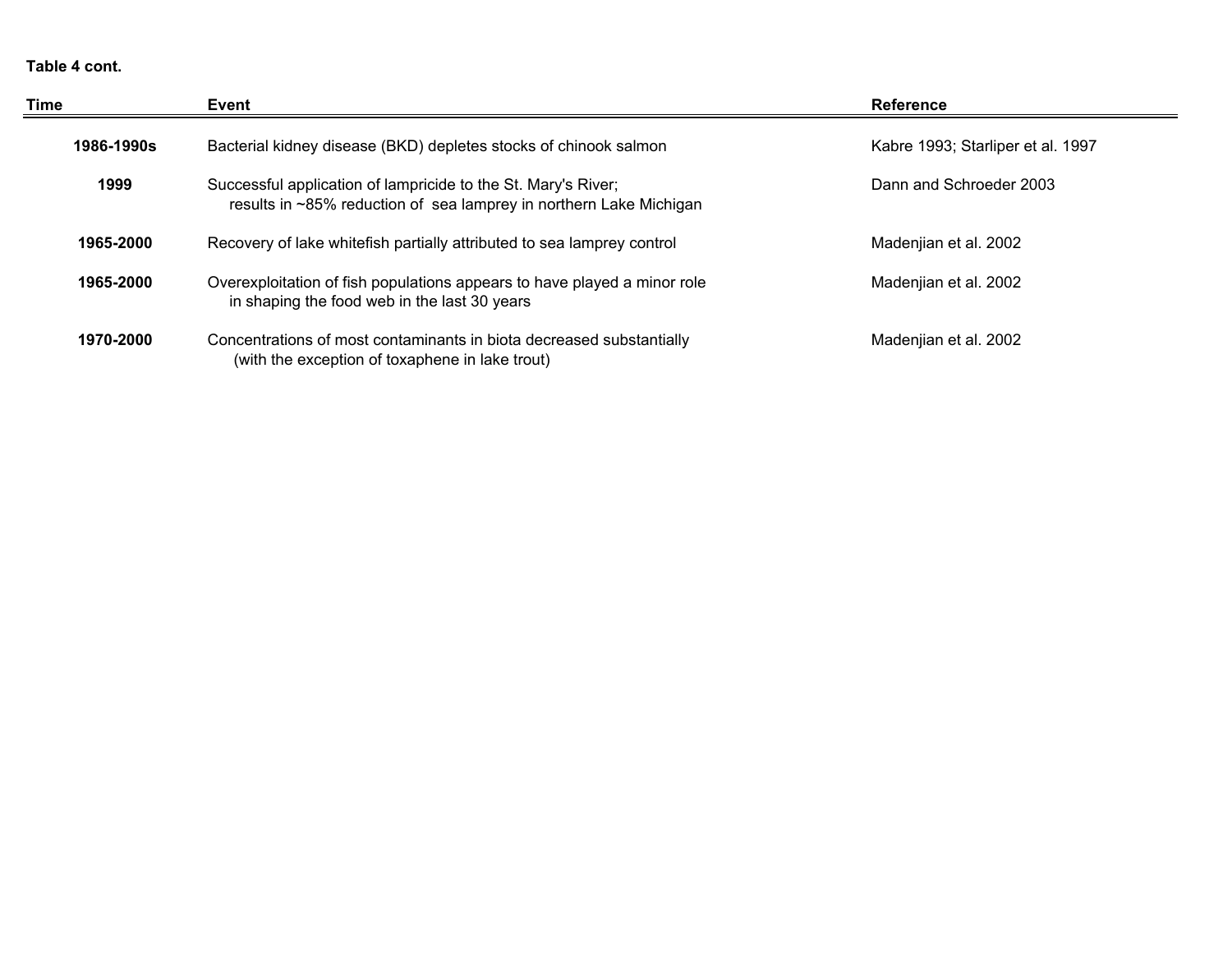#### **Table 4 cont.**

| Time       | Event                                                                                                                               | <b>Reference</b>                  |
|------------|-------------------------------------------------------------------------------------------------------------------------------------|-----------------------------------|
| 1986-1990s | Bacterial kidney disease (BKD) depletes stocks of chinook salmon                                                                    | Kabre 1993; Starliper et al. 1997 |
| 1999       | Successful application of lampricide to the St. Mary's River;<br>results in ~85% reduction of sea lamprey in northern Lake Michigan | Dann and Schroeder 2003           |
| 1965-2000  | Recovery of lake whitefish partially attributed to sea lamprey control                                                              | Madenjian et al. 2002             |
| 1965-2000  | Overexploitation of fish populations appears to have played a minor role<br>in shaping the food web in the last 30 years            | Madenjian et al. 2002             |
| 1970-2000  | Concentrations of most contaminants in biota decreased substantially<br>(with the exception of toxaphene in lake trout)             | Madenjian et al. 2002             |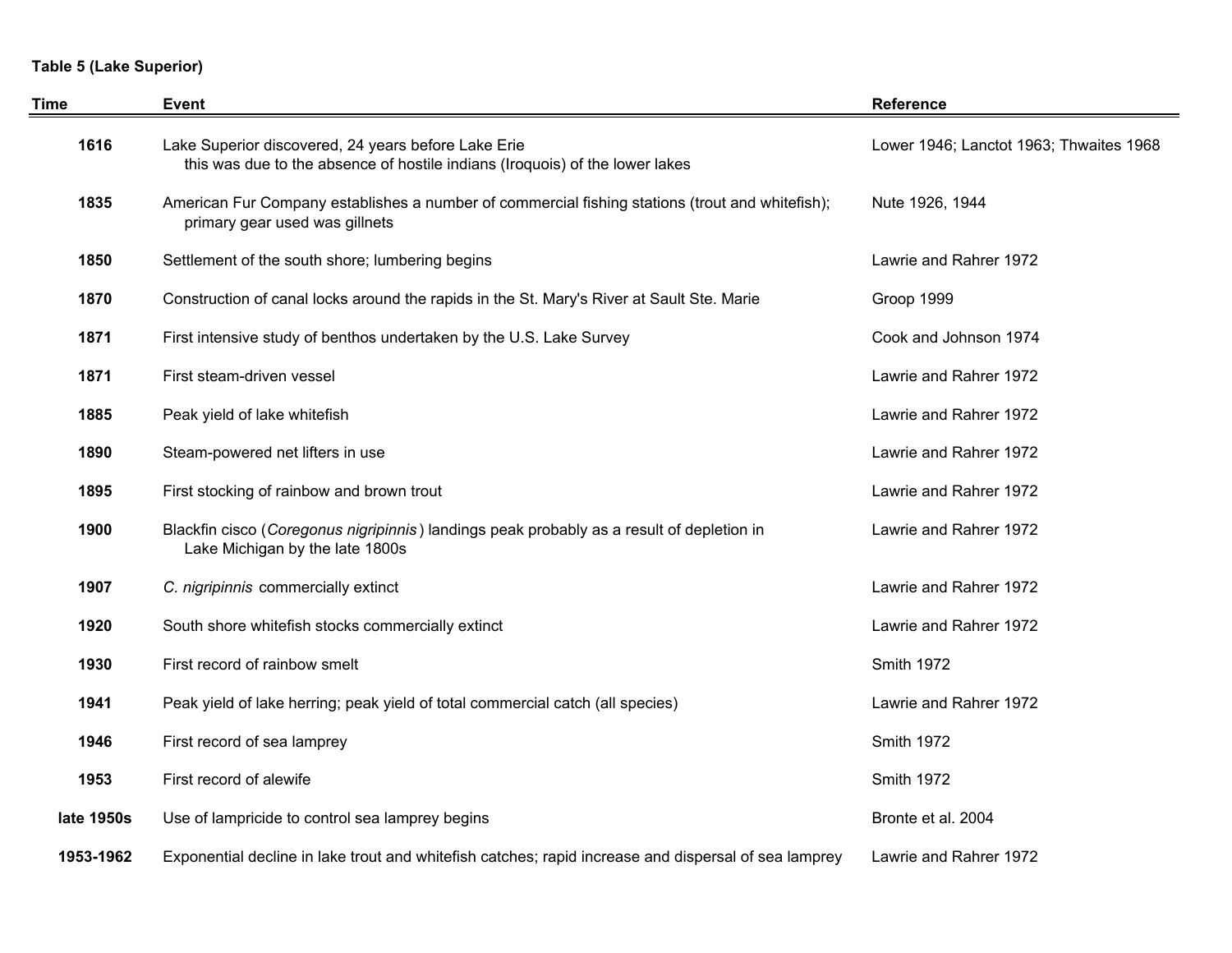# **Table 5 (Lake Superior)**

| Time       | <b>Event</b>                                                                                                                        | <b>Reference</b>                        |  |  |
|------------|-------------------------------------------------------------------------------------------------------------------------------------|-----------------------------------------|--|--|
| 1616       | Lake Superior discovered, 24 years before Lake Erie<br>this was due to the absence of hostile indians (Iroquois) of the lower lakes | Lower 1946; Lanctot 1963; Thwaites 1968 |  |  |
| 1835       | American Fur Company establishes a number of commercial fishing stations (trout and whitefish);<br>primary gear used was gillnets   | Nute 1926, 1944                         |  |  |
| 1850       | Settlement of the south shore; lumbering begins                                                                                     | Lawrie and Rahrer 1972                  |  |  |
| 1870       | Construction of canal locks around the rapids in the St. Mary's River at Sault Ste. Marie                                           | Groop 1999                              |  |  |
| 1871       | First intensive study of benthos undertaken by the U.S. Lake Survey                                                                 | Cook and Johnson 1974                   |  |  |
| 1871       | First steam-driven vessel                                                                                                           | Lawrie and Rahrer 1972                  |  |  |
| 1885       | Peak yield of lake whitefish                                                                                                        | Lawrie and Rahrer 1972                  |  |  |
| 1890       | Steam-powered net lifters in use                                                                                                    | Lawrie and Rahrer 1972                  |  |  |
| 1895       | First stocking of rainbow and brown trout                                                                                           | Lawrie and Rahrer 1972                  |  |  |
| 1900       | Blackfin cisco (Coregonus nigripinnis) landings peak probably as a result of depletion in<br>Lake Michigan by the late 1800s        | Lawrie and Rahrer 1972                  |  |  |
| 1907       | C. nigripinnis commercially extinct                                                                                                 | Lawrie and Rahrer 1972                  |  |  |
| 1920       | South shore whitefish stocks commercially extinct                                                                                   | Lawrie and Rahrer 1972                  |  |  |
| 1930       | First record of rainbow smelt                                                                                                       | Smith 1972                              |  |  |
| 1941       | Peak yield of lake herring; peak yield of total commercial catch (all species)                                                      | Lawrie and Rahrer 1972                  |  |  |
| 1946       | First record of sea lamprey                                                                                                         | Smith 1972                              |  |  |
| 1953       | First record of alewife                                                                                                             | Smith 1972                              |  |  |
| late 1950s | Use of lampricide to control sea lamprey begins                                                                                     | Bronte et al. 2004                      |  |  |
| 1953-1962  | Exponential decline in lake trout and whitefish catches; rapid increase and dispersal of sea lamprey                                | Lawrie and Rahrer 1972                  |  |  |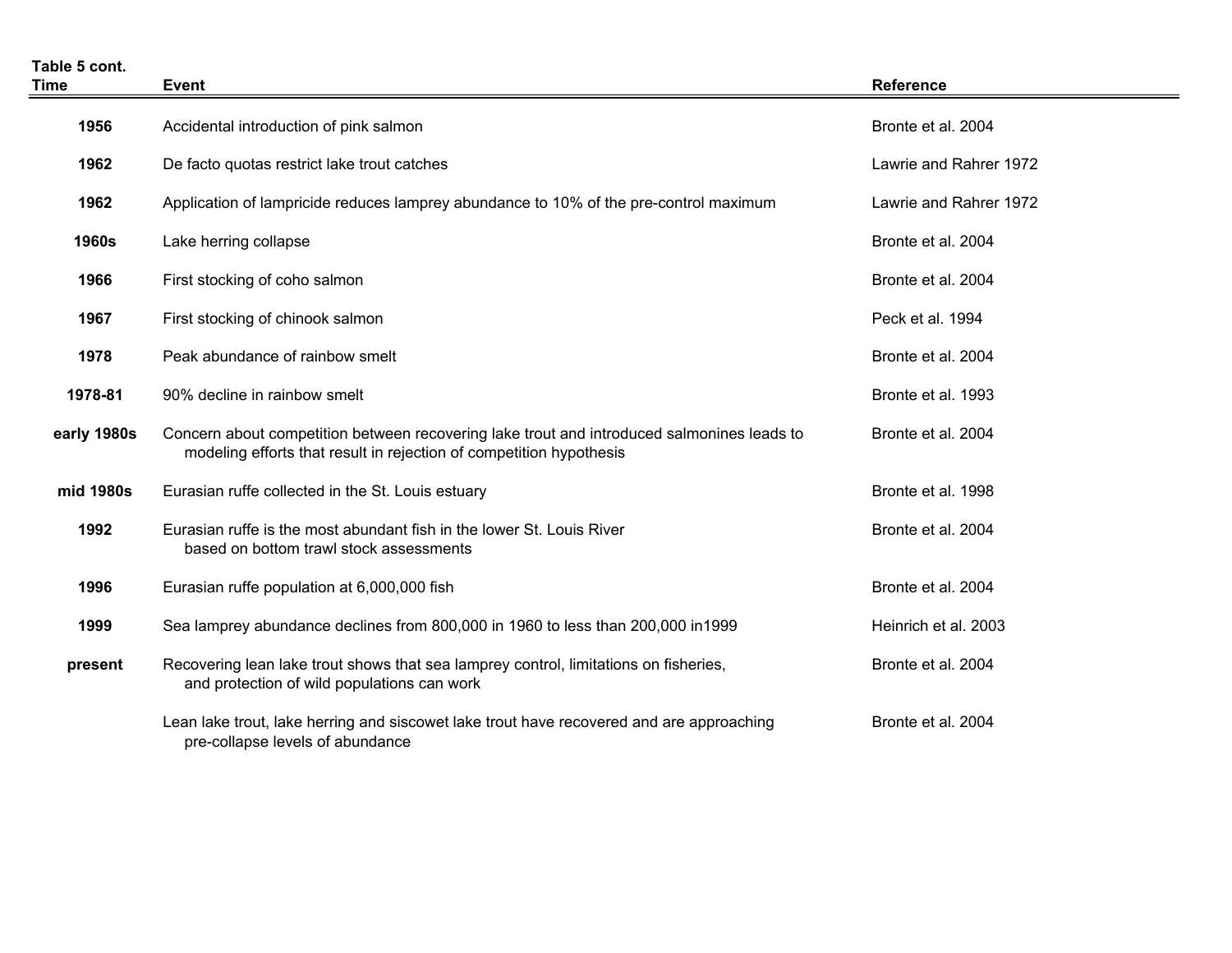| Table 5 cont.<br><b>Time</b> | <b>Event</b>                                                                                                                                                      | <b>Reference</b>       |
|------------------------------|-------------------------------------------------------------------------------------------------------------------------------------------------------------------|------------------------|
| 1956                         | Accidental introduction of pink salmon                                                                                                                            | Bronte et al. 2004     |
| 1962                         | De facto quotas restrict lake trout catches                                                                                                                       | Lawrie and Rahrer 1972 |
| 1962                         | Application of lampricide reduces lamprey abundance to 10% of the pre-control maximum                                                                             | Lawrie and Rahrer 1972 |
| <b>1960s</b>                 | Lake herring collapse                                                                                                                                             | Bronte et al. 2004     |
| 1966                         | First stocking of coho salmon                                                                                                                                     | Bronte et al. 2004     |
| 1967                         | First stocking of chinook salmon                                                                                                                                  | Peck et al. 1994       |
| 1978                         | Peak abundance of rainbow smelt                                                                                                                                   | Bronte et al. 2004     |
| 1978-81                      | 90% decline in rainbow smelt                                                                                                                                      | Bronte et al. 1993     |
| early 1980s                  | Concern about competition between recovering lake trout and introduced salmonines leads to<br>modeling efforts that result in rejection of competition hypothesis | Bronte et al. 2004     |
| mid 1980s                    | Eurasian ruffe collected in the St. Louis estuary                                                                                                                 | Bronte et al. 1998     |
| 1992                         | Eurasian ruffe is the most abundant fish in the lower St. Louis River<br>based on bottom trawl stock assessments                                                  | Bronte et al. 2004     |
| 1996                         | Eurasian ruffe population at 6,000,000 fish                                                                                                                       | Bronte et al. 2004     |
| 1999                         | Sea lamprey abundance declines from 800,000 in 1960 to less than 200,000 in1999                                                                                   | Heinrich et al. 2003   |
| present                      | Recovering lean lake trout shows that sea lamprey control, limitations on fisheries,<br>and protection of wild populations can work                               | Bronte et al. 2004     |
|                              | Lean lake trout, lake herring and siscowet lake trout have recovered and are approaching<br>pre-collapse levels of abundance                                      | Bronte et al. 2004     |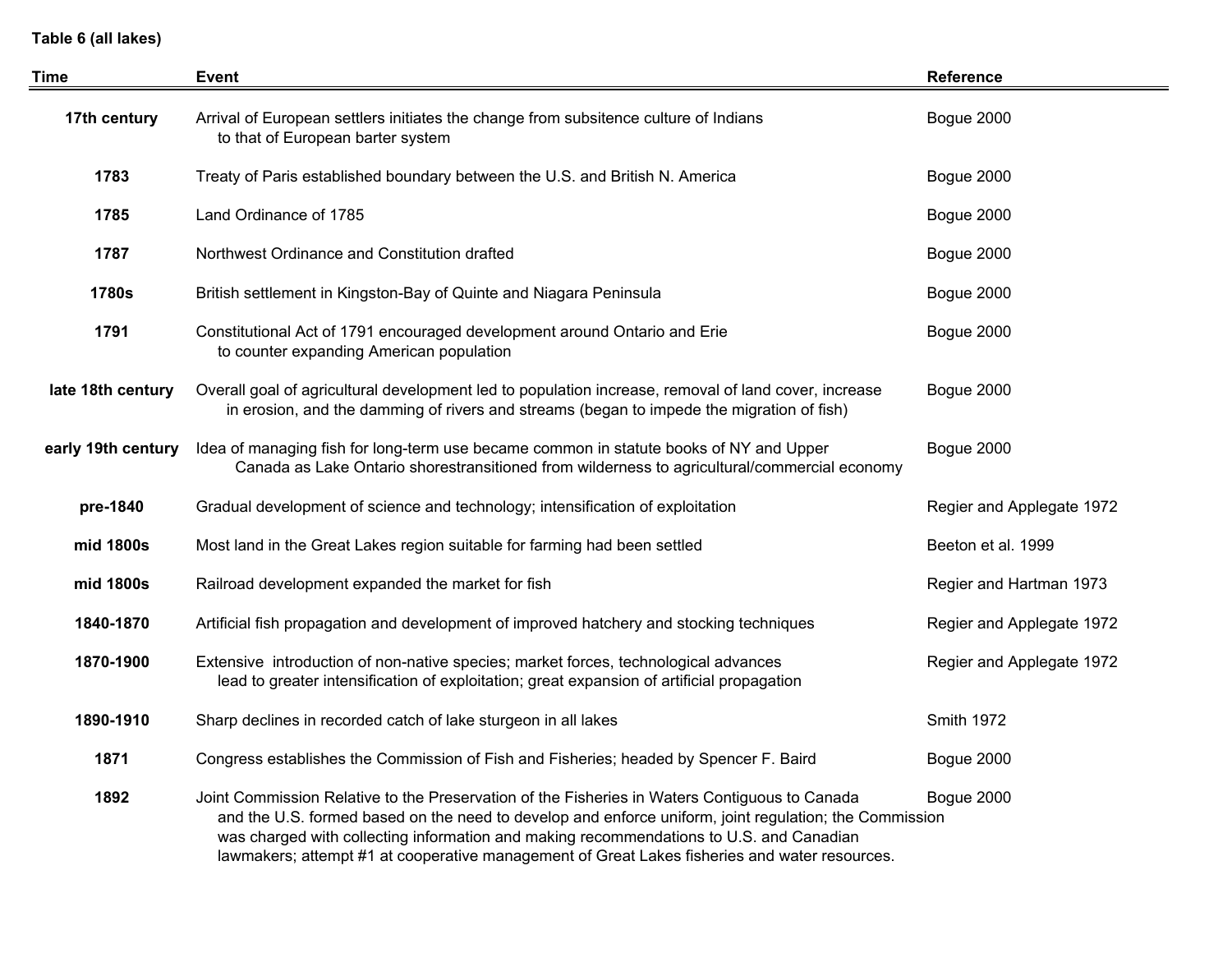**Table 6 (all lakes)**

| Time                                                                                                                                                                                                                   | <b>Event</b>                                                                                                                                                                                                                                                                                                                                                                                        | <b>Reference</b>          |
|------------------------------------------------------------------------------------------------------------------------------------------------------------------------------------------------------------------------|-----------------------------------------------------------------------------------------------------------------------------------------------------------------------------------------------------------------------------------------------------------------------------------------------------------------------------------------------------------------------------------------------------|---------------------------|
| 17th century                                                                                                                                                                                                           | Arrival of European settlers initiates the change from subsitence culture of Indians<br>to that of European barter system                                                                                                                                                                                                                                                                           | Bogue 2000                |
| 1783                                                                                                                                                                                                                   | Treaty of Paris established boundary between the U.S. and British N. America                                                                                                                                                                                                                                                                                                                        | Bogue 2000                |
| 1785                                                                                                                                                                                                                   | Land Ordinance of 1785                                                                                                                                                                                                                                                                                                                                                                              | Bogue 2000                |
| 1787                                                                                                                                                                                                                   | Northwest Ordinance and Constitution drafted                                                                                                                                                                                                                                                                                                                                                        | Bogue 2000                |
| 1780s                                                                                                                                                                                                                  | British settlement in Kingston-Bay of Quinte and Niagara Peninsula                                                                                                                                                                                                                                                                                                                                  | Bogue 2000                |
| 1791                                                                                                                                                                                                                   | Constitutional Act of 1791 encouraged development around Ontario and Erie<br>to counter expanding American population                                                                                                                                                                                                                                                                               | Bogue 2000                |
| Overall goal of agricultural development led to population increase, removal of land cover, increase<br>late 18th century<br>in erosion, and the damming of rivers and streams (began to impede the migration of fish) |                                                                                                                                                                                                                                                                                                                                                                                                     | Bogue 2000                |
| early 19th century                                                                                                                                                                                                     | Idea of managing fish for long-term use became common in statute books of NY and Upper<br>Canada as Lake Ontario shorestransitioned from wilderness to agricultural/commercial economy                                                                                                                                                                                                              | Bogue 2000                |
| pre-1840                                                                                                                                                                                                               | Gradual development of science and technology; intensification of exploitation                                                                                                                                                                                                                                                                                                                      | Regier and Applegate 1972 |
| mid 1800s                                                                                                                                                                                                              | Most land in the Great Lakes region suitable for farming had been settled                                                                                                                                                                                                                                                                                                                           | Beeton et al. 1999        |
| mid 1800s                                                                                                                                                                                                              | Railroad development expanded the market for fish                                                                                                                                                                                                                                                                                                                                                   | Regier and Hartman 1973   |
| 1840-1870                                                                                                                                                                                                              | Artificial fish propagation and development of improved hatchery and stocking techniques                                                                                                                                                                                                                                                                                                            | Regier and Applegate 1972 |
| 1870-1900                                                                                                                                                                                                              | Extensive introduction of non-native species; market forces, technological advances<br>lead to greater intensification of exploitation; great expansion of artificial propagation                                                                                                                                                                                                                   | Regier and Applegate 1972 |
| 1890-1910                                                                                                                                                                                                              | Sharp declines in recorded catch of lake sturgeon in all lakes                                                                                                                                                                                                                                                                                                                                      | <b>Smith 1972</b>         |
| 1871                                                                                                                                                                                                                   | Congress establishes the Commission of Fish and Fisheries; headed by Spencer F. Baird                                                                                                                                                                                                                                                                                                               | Bogue 2000                |
| 1892                                                                                                                                                                                                                   | Joint Commission Relative to the Preservation of the Fisheries in Waters Contiguous to Canada<br>and the U.S. formed based on the need to develop and enforce uniform, joint regulation; the Commission<br>was charged with collecting information and making recommendations to U.S. and Canadian<br>lawmakers; attempt #1 at cooperative management of Great Lakes fisheries and water resources. | Bogue 2000                |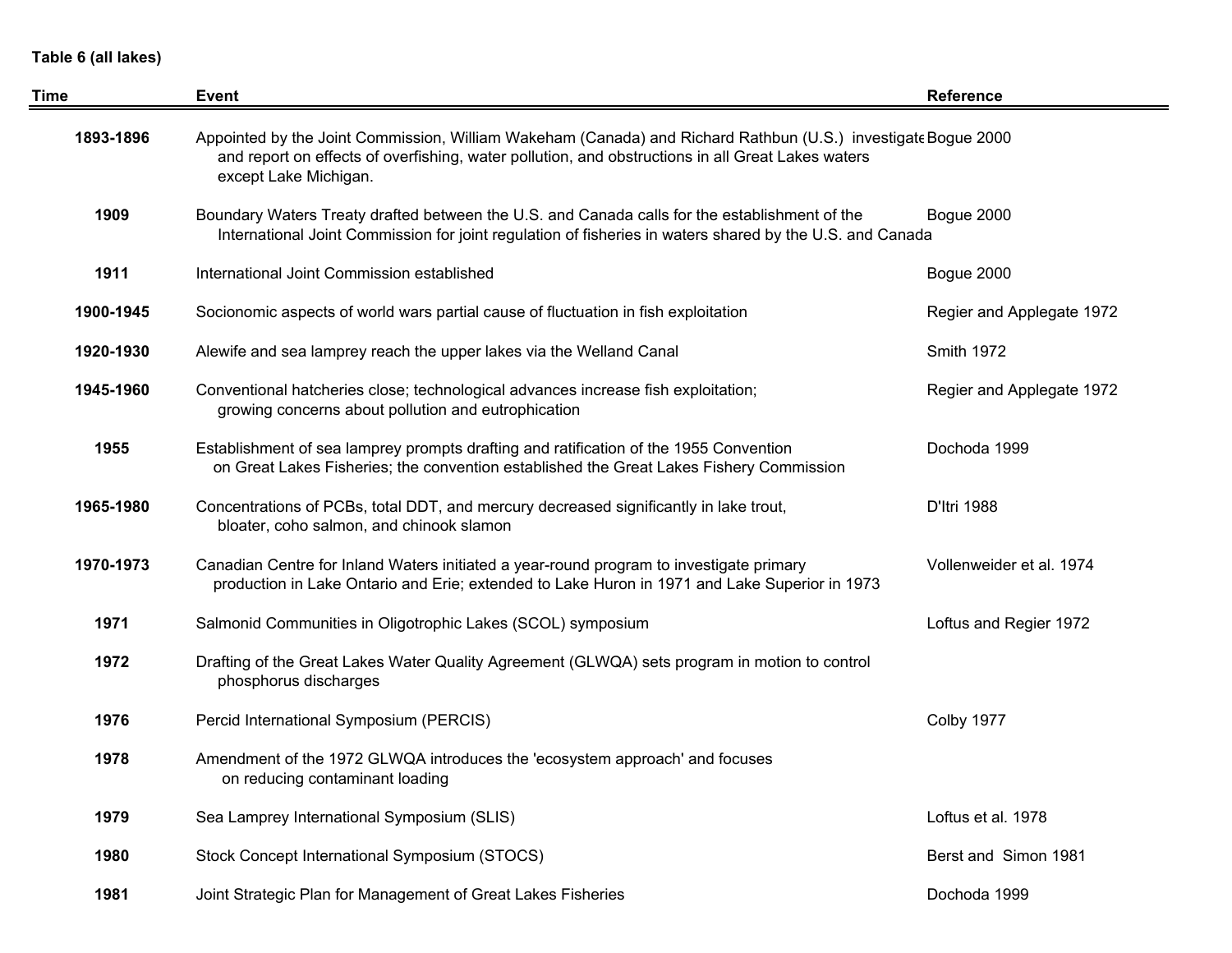### **Table 6 (all lakes)**

| Time      | Event                                                                                                                                                                                                                                       | <b>Reference</b>          |
|-----------|---------------------------------------------------------------------------------------------------------------------------------------------------------------------------------------------------------------------------------------------|---------------------------|
| 1893-1896 | Appointed by the Joint Commission, William Wakeham (Canada) and Richard Rathbun (U.S.) investigate Bogue 2000<br>and report on effects of overfishing, water pollution, and obstructions in all Great Lakes waters<br>except Lake Michigan. |                           |
| 1909      | Boundary Waters Treaty drafted between the U.S. and Canada calls for the establishment of the<br>International Joint Commission for joint regulation of fisheries in waters shared by the U.S. and Canada                                   | Bogue 2000                |
| 1911      | International Joint Commission established                                                                                                                                                                                                  | Bogue 2000                |
| 1900-1945 | Socionomic aspects of world wars partial cause of fluctuation in fish exploitation                                                                                                                                                          | Regier and Applegate 1972 |
| 1920-1930 | Alewife and sea lamprey reach the upper lakes via the Welland Canal                                                                                                                                                                         | <b>Smith 1972</b>         |
| 1945-1960 | Conventional hatcheries close; technological advances increase fish exploitation;<br>growing concerns about pollution and eutrophication                                                                                                    | Regier and Applegate 1972 |
| 1955      | Establishment of sea lamprey prompts drafting and ratification of the 1955 Convention<br>on Great Lakes Fisheries; the convention established the Great Lakes Fishery Commission                                                            | Dochoda 1999              |
| 1965-1980 | Concentrations of PCBs, total DDT, and mercury decreased significantly in lake trout,<br>bloater, coho salmon, and chinook slamon                                                                                                           | D'Itri 1988               |
| 1970-1973 | Canadian Centre for Inland Waters initiated a year-round program to investigate primary<br>production in Lake Ontario and Erie; extended to Lake Huron in 1971 and Lake Superior in 1973                                                    | Vollenweider et al. 1974  |
| 1971      | Salmonid Communities in Oligotrophic Lakes (SCOL) symposium                                                                                                                                                                                 | Loftus and Regier 1972    |
| 1972      | Drafting of the Great Lakes Water Quality Agreement (GLWQA) sets program in motion to control<br>phosphorus discharges                                                                                                                      |                           |
| 1976      | Percid International Symposium (PERCIS)                                                                                                                                                                                                     | Colby 1977                |
| 1978      | Amendment of the 1972 GLWQA introduces the 'ecosystem approach' and focuses<br>on reducing contaminant loading                                                                                                                              |                           |
| 1979      | Sea Lamprey International Symposium (SLIS)                                                                                                                                                                                                  | Loftus et al. 1978        |
| 1980      | Stock Concept International Symposium (STOCS)                                                                                                                                                                                               | Berst and Simon 1981      |
| 1981      | Joint Strategic Plan for Management of Great Lakes Fisheries                                                                                                                                                                                | Dochoda 1999              |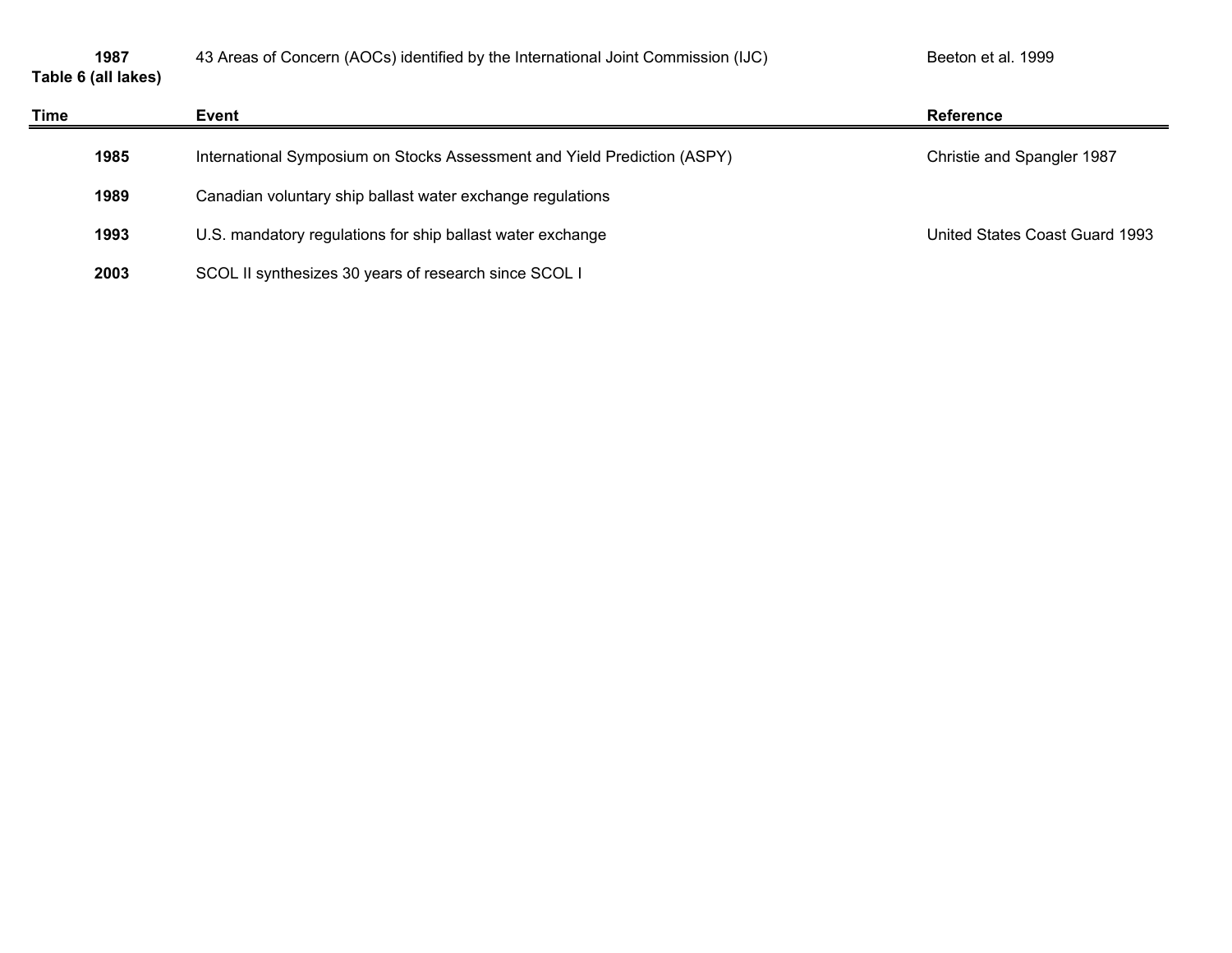|  | 1987 |                     |
|--|------|---------------------|
|  |      | Table 6 (all lakes) |

| Time | Event                                                                    | <b>Reference</b>               |
|------|--------------------------------------------------------------------------|--------------------------------|
| 1985 | International Symposium on Stocks Assessment and Yield Prediction (ASPY) | Christie and Spangler 1987     |
| 1989 | Canadian voluntary ship ballast water exchange regulations               |                                |
| 1993 | U.S. mandatory regulations for ship ballast water exchange               | United States Coast Guard 1993 |
| 2003 | SCOL II synthesizes 30 years of research since SCOL I                    |                                |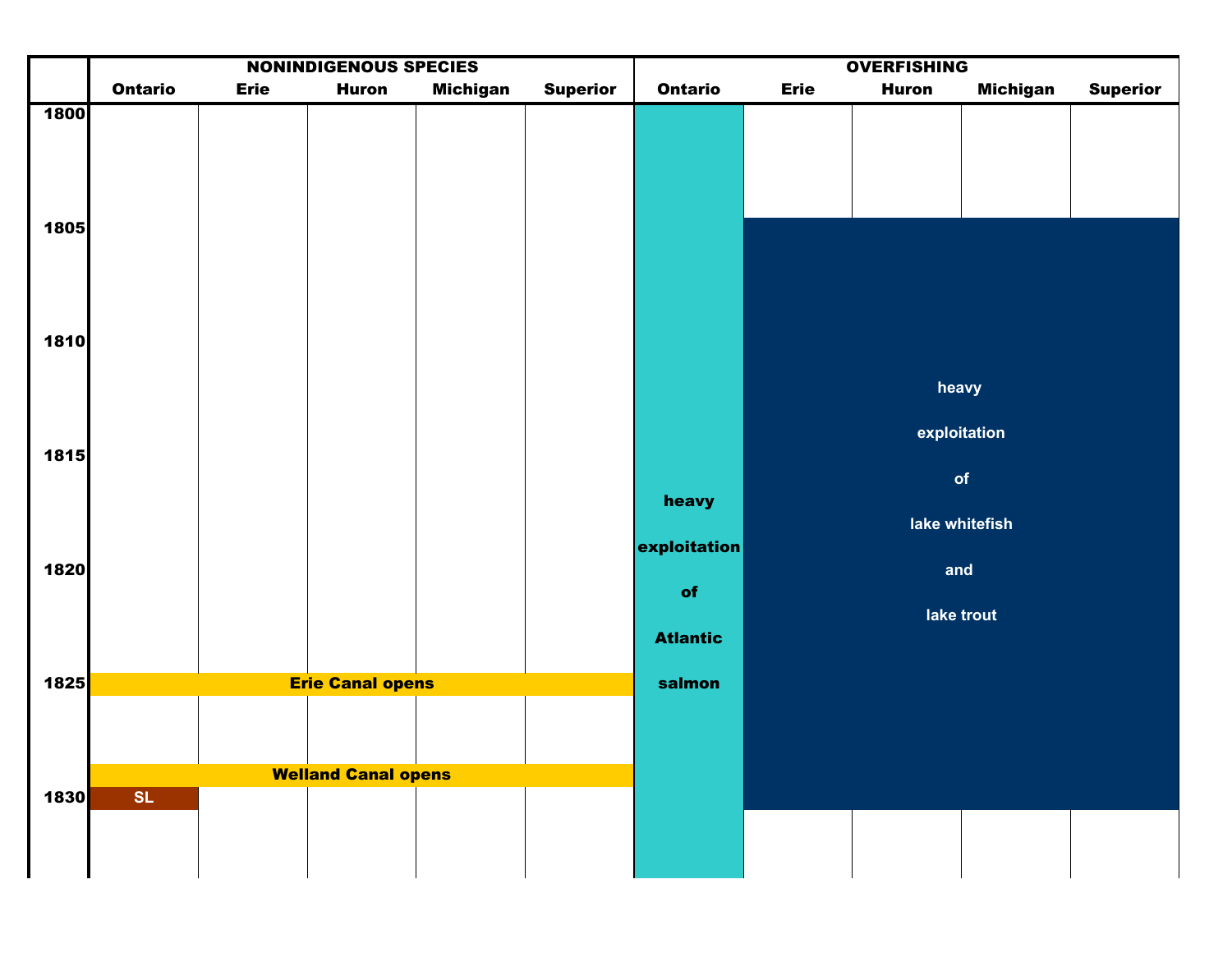|              |                |             | <b>NONINDIGENOUS SPECIES</b> |                 |                 |                 |             | <b>OVERFISHING</b> |                       |                 |
|--------------|----------------|-------------|------------------------------|-----------------|-----------------|-----------------|-------------|--------------------|-----------------------|-----------------|
|              | <b>Ontario</b> | <b>Erie</b> | <b>Huron</b>                 | <b>Michigan</b> | <b>Superior</b> | <b>Ontario</b>  | <b>Erie</b> | <b>Huron</b>       | <b>Michigan</b>       | <b>Superior</b> |
| 1800<br>1805 |                |             |                              |                 |                 |                 |             |                    |                       |                 |
| 1810         |                |             |                              |                 |                 |                 |             |                    | heavy<br>exploitation |                 |
| 1815         |                |             |                              |                 |                 |                 |             |                    | of                    |                 |
|              |                |             |                              |                 |                 | heavy           |             |                    |                       |                 |
|              |                |             |                              |                 |                 | exploitation    |             |                    | lake whitefish        |                 |
| 1820         |                |             |                              |                 |                 | of              |             | and                |                       |                 |
|              |                |             |                              |                 |                 |                 |             |                    | lake trout            |                 |
|              |                |             |                              |                 |                 | <b>Atlantic</b> |             |                    |                       |                 |
| 1825         |                |             | <b>Erie Canal opens</b>      |                 |                 | salmon          |             |                    |                       |                 |
|              |                |             |                              |                 |                 |                 |             |                    |                       |                 |
|              |                |             | <b>Welland Canal opens</b>   |                 |                 |                 |             |                    |                       |                 |
| 1830         | SL             |             |                              |                 |                 |                 |             |                    |                       |                 |
|              |                |             |                              |                 |                 |                 |             |                    |                       |                 |
|              |                |             |                              |                 |                 |                 |             |                    |                       |                 |
|              |                |             |                              |                 |                 |                 |             |                    |                       |                 |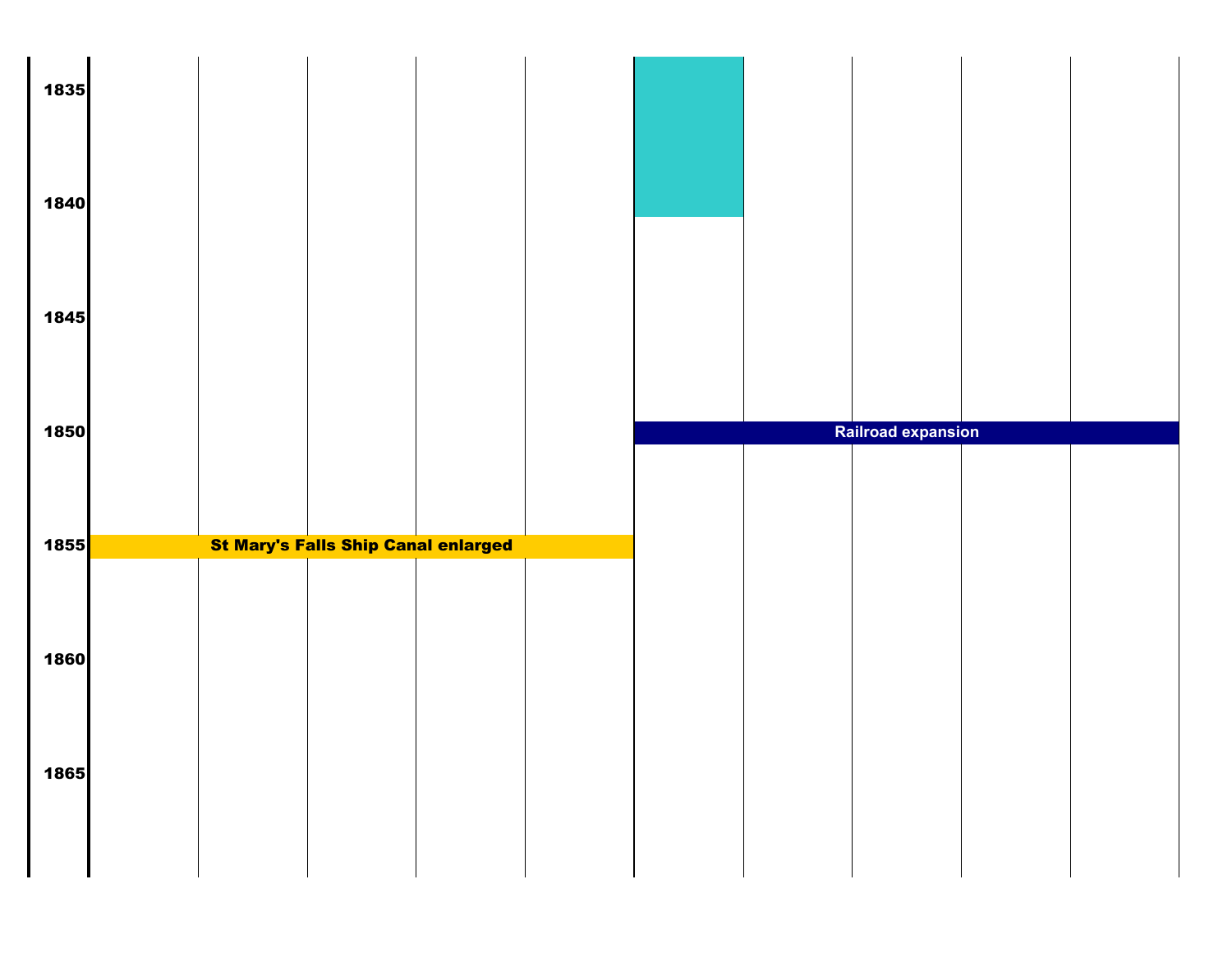| 1835 |  |                                            |  |                           |  |
|------|--|--------------------------------------------|--|---------------------------|--|
| 1840 |  |                                            |  |                           |  |
| 1845 |  |                                            |  |                           |  |
|      |  |                                            |  |                           |  |
| 1850 |  |                                            |  | <b>Railroad expansion</b> |  |
| 1855 |  | <b>St Mary's Falls Ship Canal enlarged</b> |  |                           |  |
|      |  |                                            |  |                           |  |
| 1860 |  |                                            |  |                           |  |
| 1865 |  |                                            |  |                           |  |
|      |  |                                            |  |                           |  |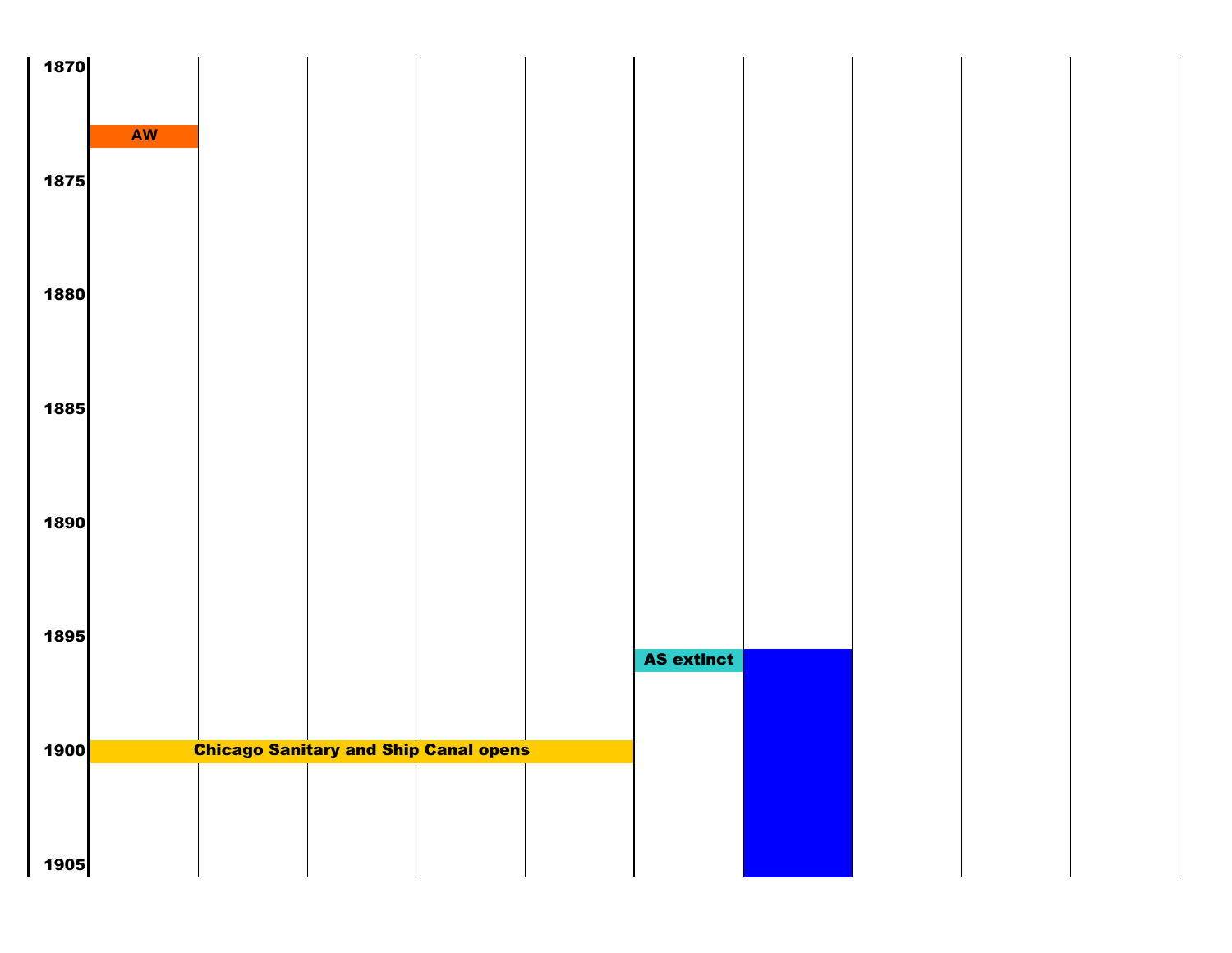| 1870                |           |                                              |                   |  |  |
|---------------------|-----------|----------------------------------------------|-------------------|--|--|
|                     |           |                                              |                   |  |  |
|                     |           |                                              |                   |  |  |
|                     | <b>AW</b> |                                              |                   |  |  |
| 1875                |           |                                              |                   |  |  |
|                     |           |                                              |                   |  |  |
|                     |           |                                              |                   |  |  |
|                     |           |                                              |                   |  |  |
|                     |           |                                              |                   |  |  |
| 1880                |           |                                              |                   |  |  |
|                     |           |                                              |                   |  |  |
|                     |           |                                              |                   |  |  |
|                     |           |                                              |                   |  |  |
| 1885                |           |                                              |                   |  |  |
|                     |           |                                              |                   |  |  |
|                     |           |                                              |                   |  |  |
|                     |           |                                              |                   |  |  |
| 1890                |           |                                              |                   |  |  |
|                     |           |                                              |                   |  |  |
|                     |           |                                              |                   |  |  |
|                     |           |                                              |                   |  |  |
| 1895                |           |                                              |                   |  |  |
|                     |           |                                              | <b>AS extinct</b> |  |  |
|                     |           |                                              |                   |  |  |
|                     |           |                                              |                   |  |  |
|                     |           |                                              |                   |  |  |
| 1900 <mark> </mark> |           | <b>Chicago Sanitary and Ship Canal opens</b> |                   |  |  |
|                     |           |                                              |                   |  |  |
|                     |           |                                              |                   |  |  |
|                     |           |                                              |                   |  |  |
| 1905                |           |                                              |                   |  |  |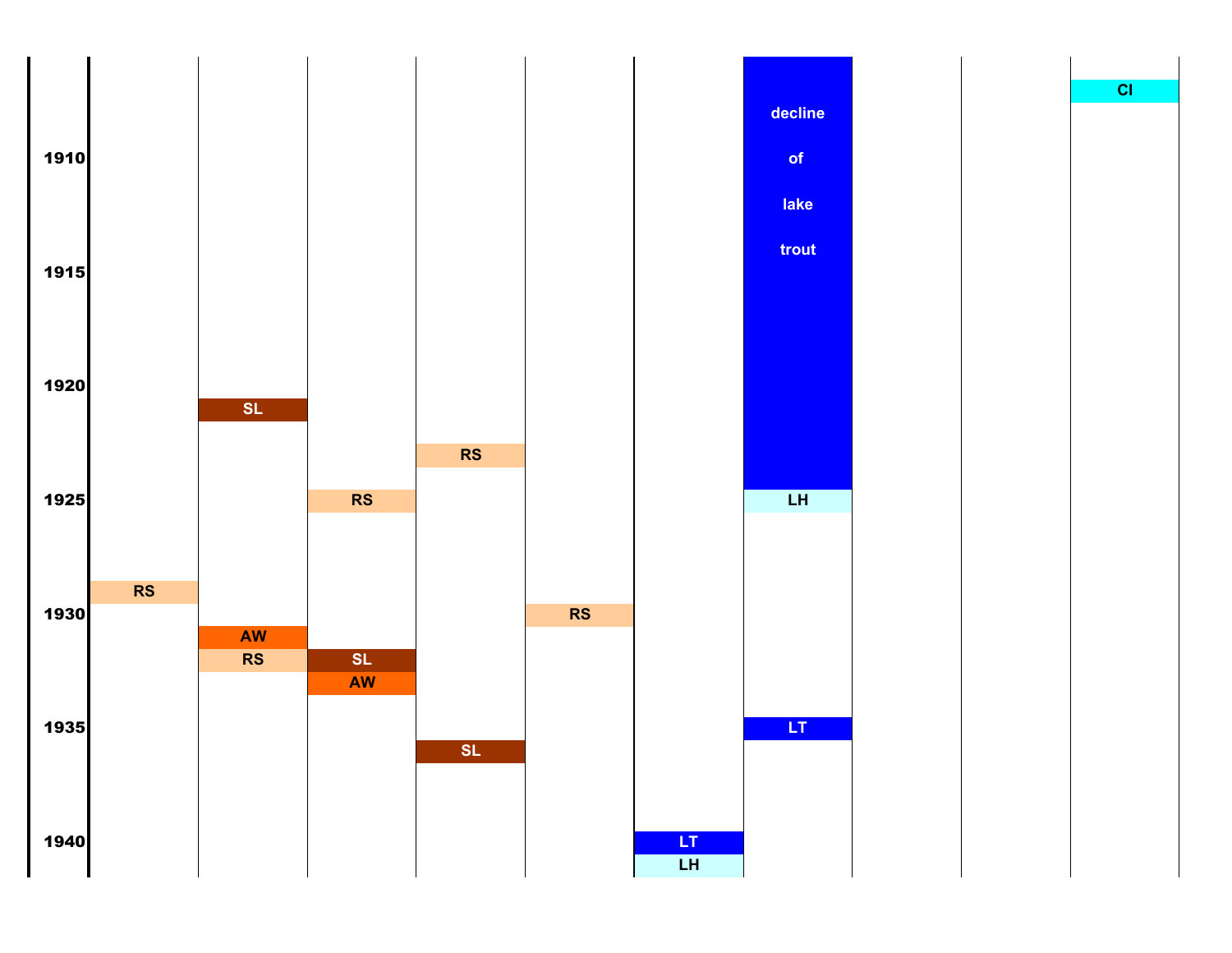

**CI**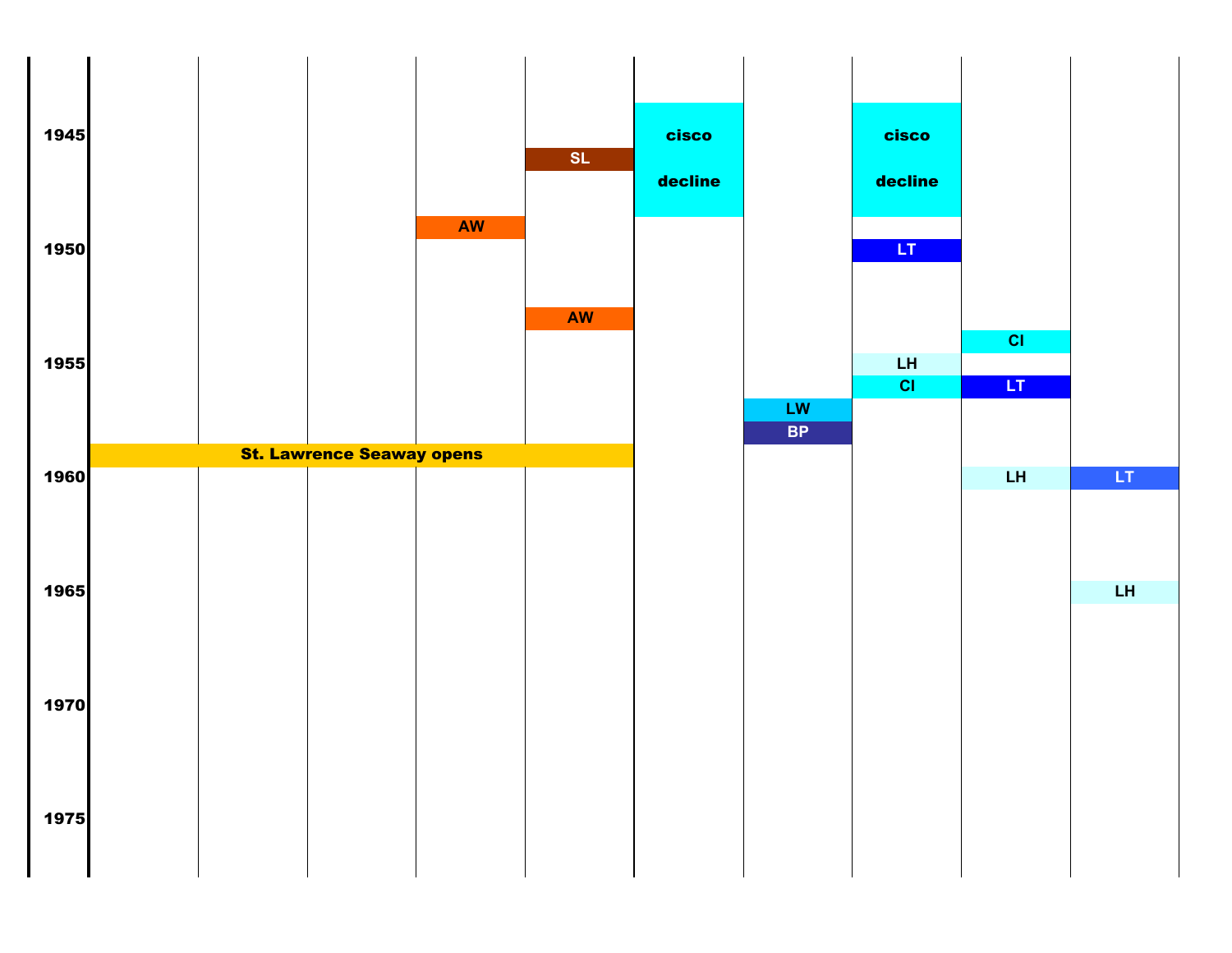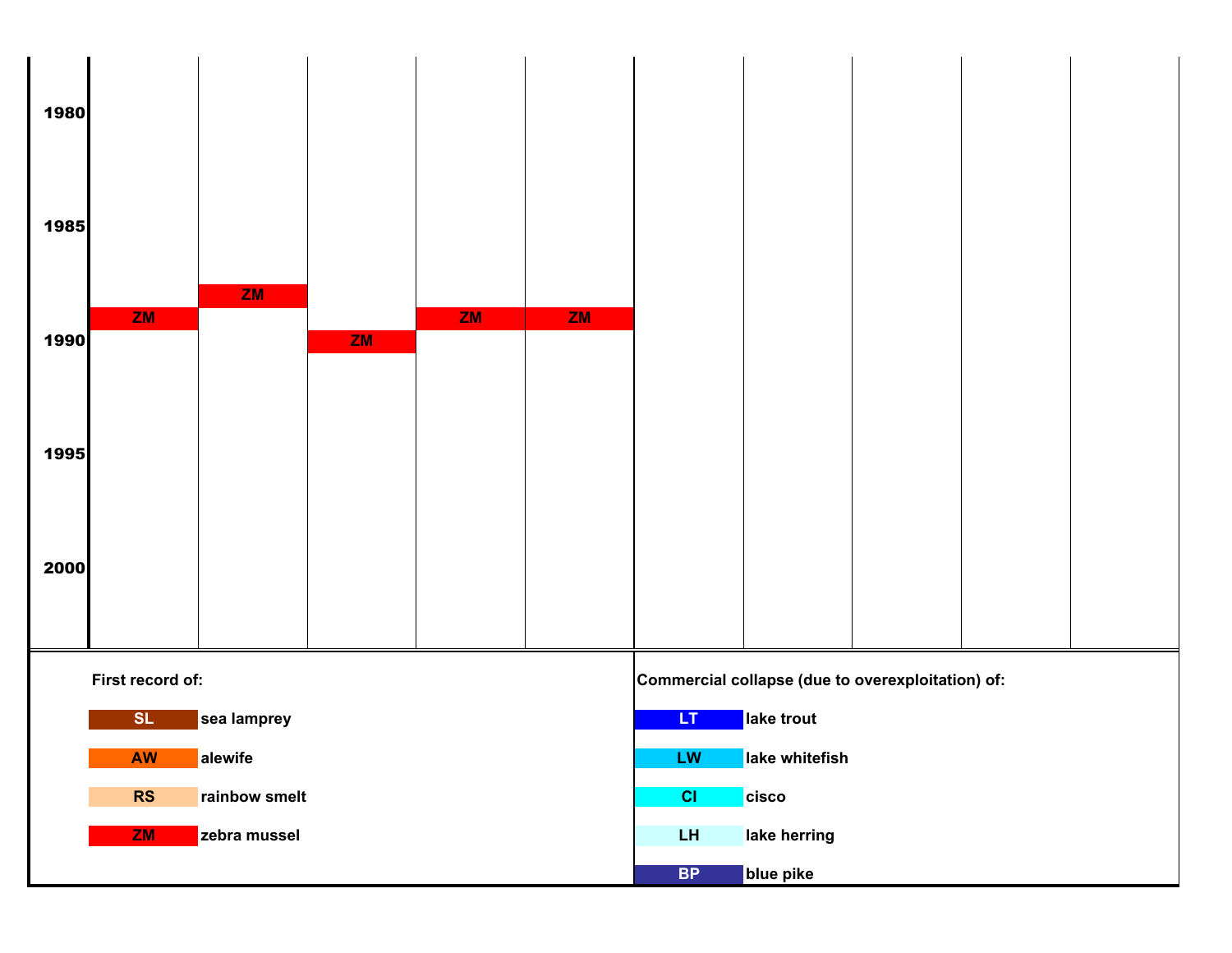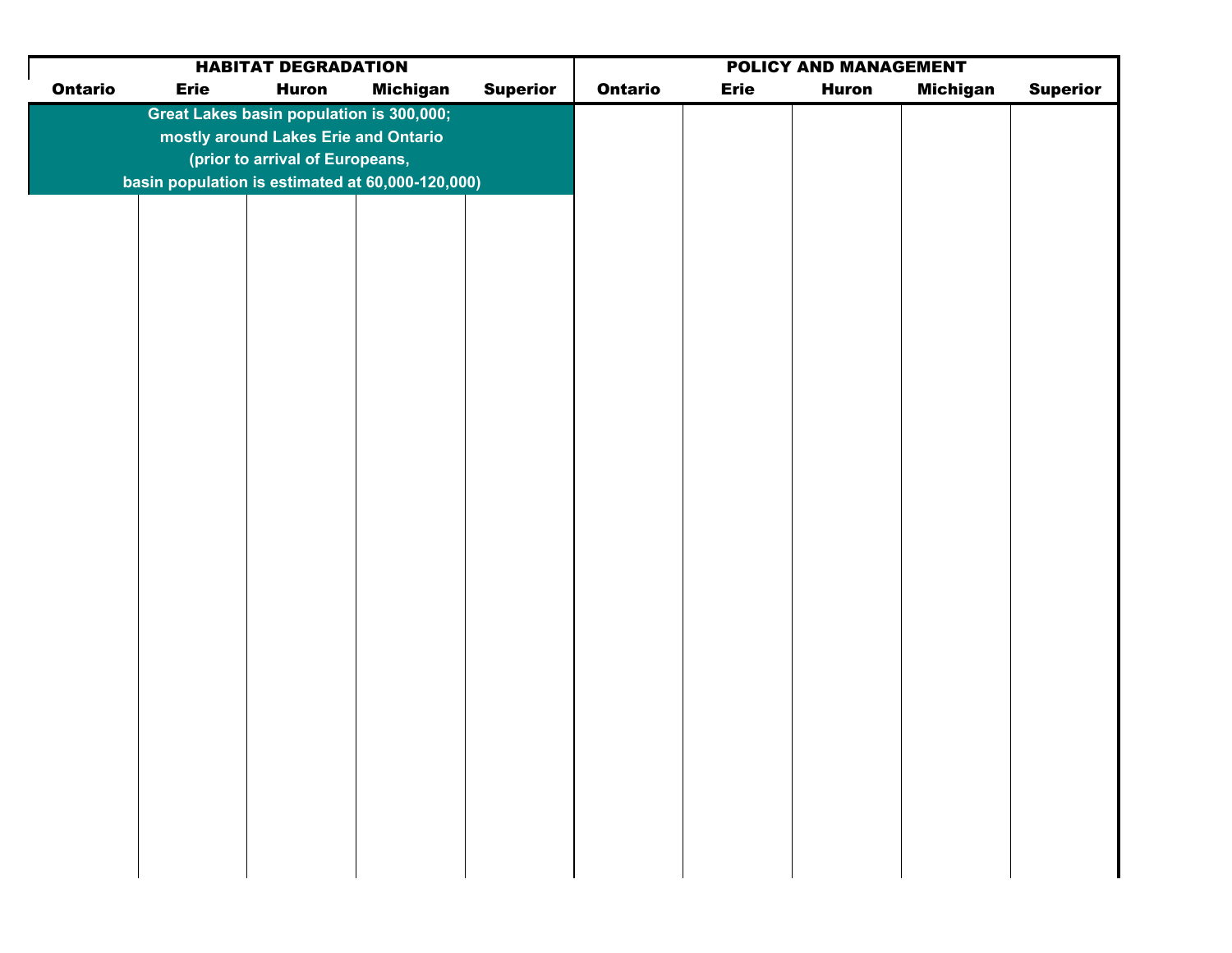| <b>Ontario</b><br><b>Michigan</b><br><b>Superior</b><br><b>Ontario</b><br><b>Erie</b><br><b>Erie</b><br><b>Huron</b><br><b>Huron</b><br>Great Lakes basin population is 300,000; | <b>Superior</b><br><b>Michigan</b> |  | <b>HABITAT DEGRADATION</b> |  |  |  |  |  |  |  |
|----------------------------------------------------------------------------------------------------------------------------------------------------------------------------------|------------------------------------|--|----------------------------|--|--|--|--|--|--|--|
|                                                                                                                                                                                  |                                    |  |                            |  |  |  |  |  |  |  |
|                                                                                                                                                                                  |                                    |  |                            |  |  |  |  |  |  |  |
| mostly around Lakes Erie and Ontario                                                                                                                                             |                                    |  |                            |  |  |  |  |  |  |  |
| (prior to arrival of Europeans,                                                                                                                                                  |                                    |  |                            |  |  |  |  |  |  |  |
| basin population is estimated at 60,000-120,000)                                                                                                                                 |                                    |  |                            |  |  |  |  |  |  |  |
|                                                                                                                                                                                  |                                    |  |                            |  |  |  |  |  |  |  |
|                                                                                                                                                                                  |                                    |  |                            |  |  |  |  |  |  |  |
|                                                                                                                                                                                  |                                    |  |                            |  |  |  |  |  |  |  |
|                                                                                                                                                                                  |                                    |  |                            |  |  |  |  |  |  |  |
|                                                                                                                                                                                  |                                    |  |                            |  |  |  |  |  |  |  |
|                                                                                                                                                                                  |                                    |  |                            |  |  |  |  |  |  |  |
|                                                                                                                                                                                  |                                    |  |                            |  |  |  |  |  |  |  |
|                                                                                                                                                                                  |                                    |  |                            |  |  |  |  |  |  |  |
|                                                                                                                                                                                  |                                    |  |                            |  |  |  |  |  |  |  |
|                                                                                                                                                                                  |                                    |  |                            |  |  |  |  |  |  |  |
|                                                                                                                                                                                  |                                    |  |                            |  |  |  |  |  |  |  |
|                                                                                                                                                                                  |                                    |  |                            |  |  |  |  |  |  |  |
|                                                                                                                                                                                  |                                    |  |                            |  |  |  |  |  |  |  |
|                                                                                                                                                                                  |                                    |  |                            |  |  |  |  |  |  |  |
|                                                                                                                                                                                  |                                    |  |                            |  |  |  |  |  |  |  |
|                                                                                                                                                                                  |                                    |  |                            |  |  |  |  |  |  |  |
|                                                                                                                                                                                  |                                    |  |                            |  |  |  |  |  |  |  |
|                                                                                                                                                                                  |                                    |  |                            |  |  |  |  |  |  |  |
|                                                                                                                                                                                  |                                    |  |                            |  |  |  |  |  |  |  |
|                                                                                                                                                                                  |                                    |  |                            |  |  |  |  |  |  |  |
|                                                                                                                                                                                  |                                    |  |                            |  |  |  |  |  |  |  |
|                                                                                                                                                                                  |                                    |  |                            |  |  |  |  |  |  |  |
|                                                                                                                                                                                  |                                    |  |                            |  |  |  |  |  |  |  |
|                                                                                                                                                                                  |                                    |  |                            |  |  |  |  |  |  |  |
|                                                                                                                                                                                  |                                    |  |                            |  |  |  |  |  |  |  |
|                                                                                                                                                                                  |                                    |  |                            |  |  |  |  |  |  |  |
|                                                                                                                                                                                  |                                    |  |                            |  |  |  |  |  |  |  |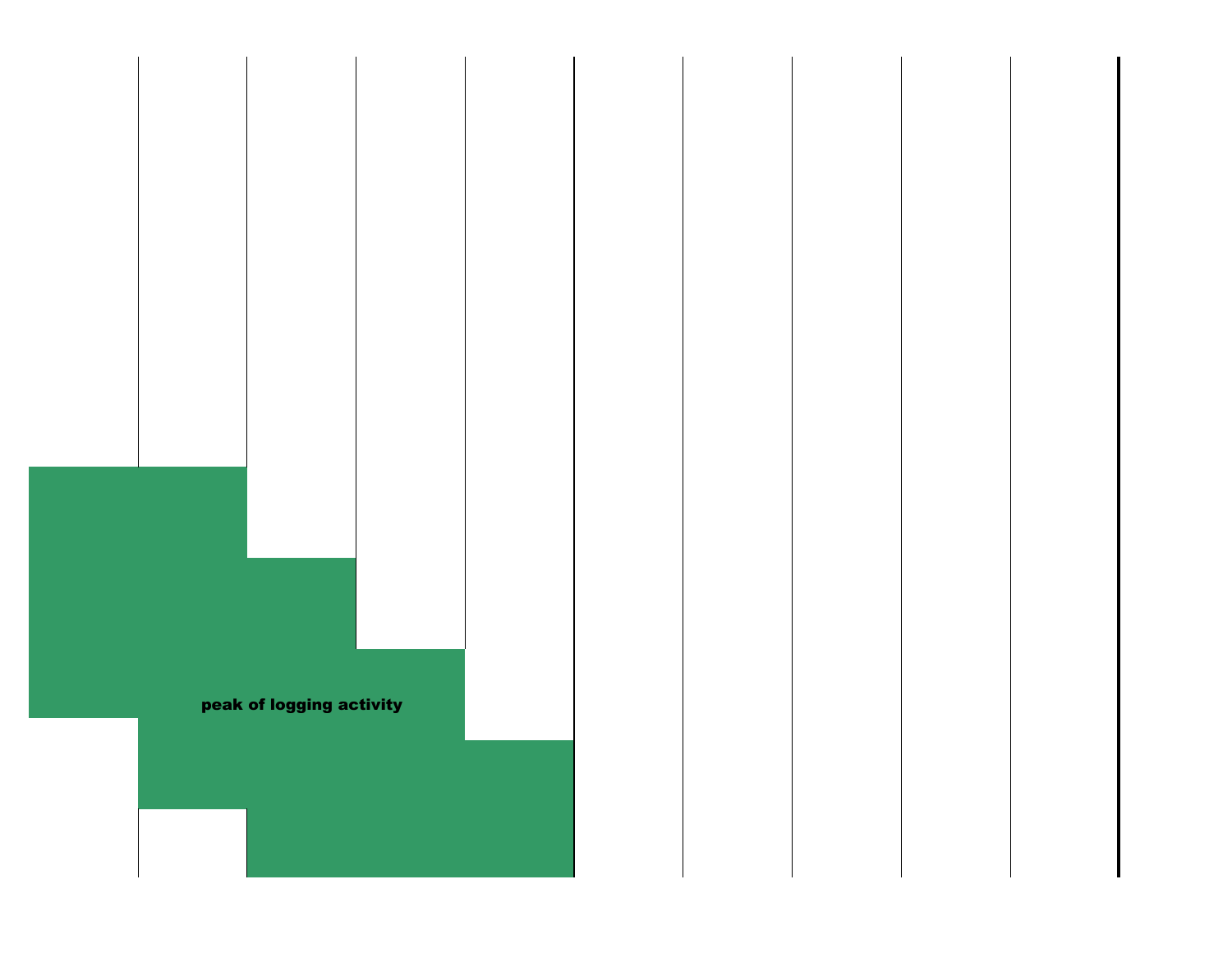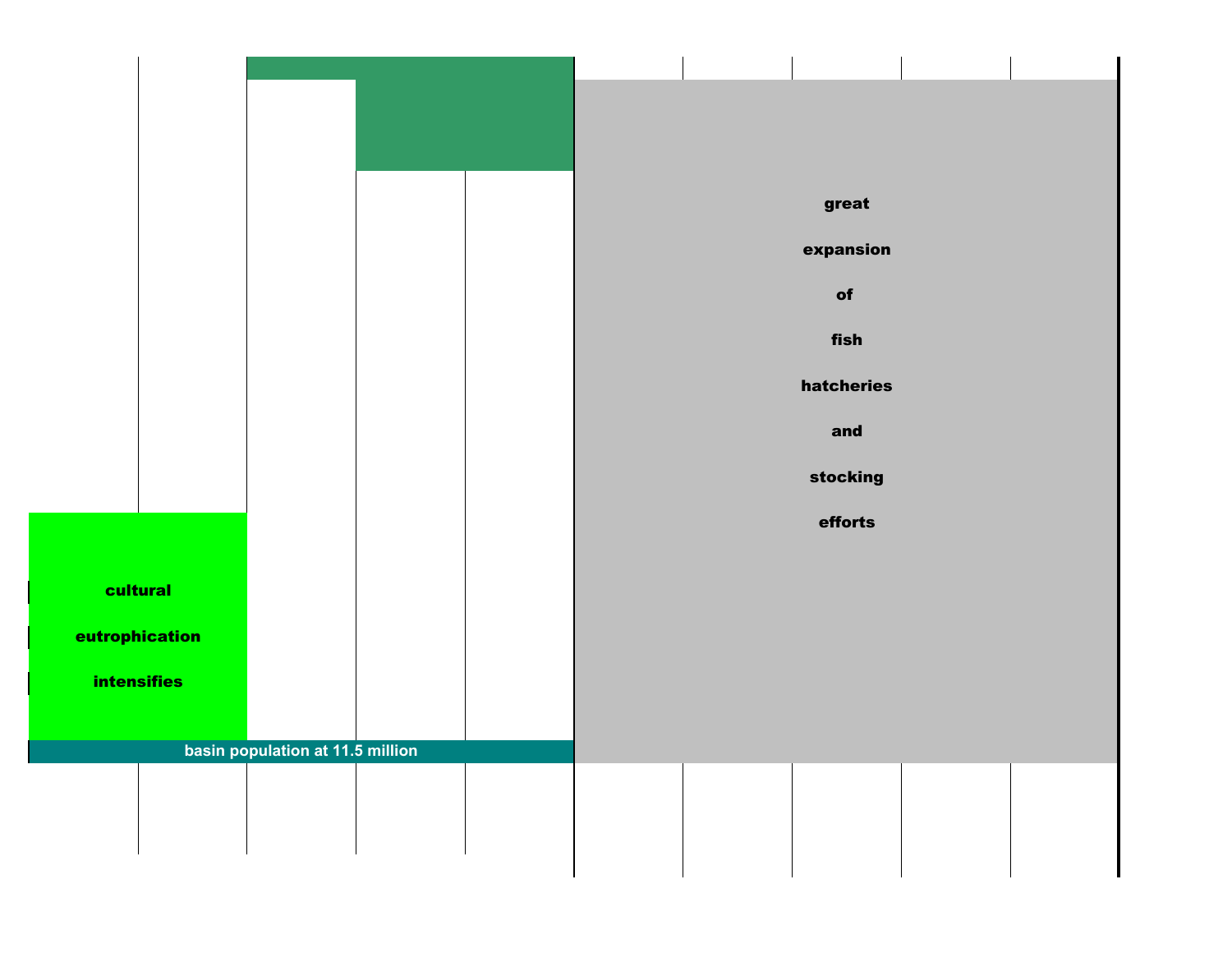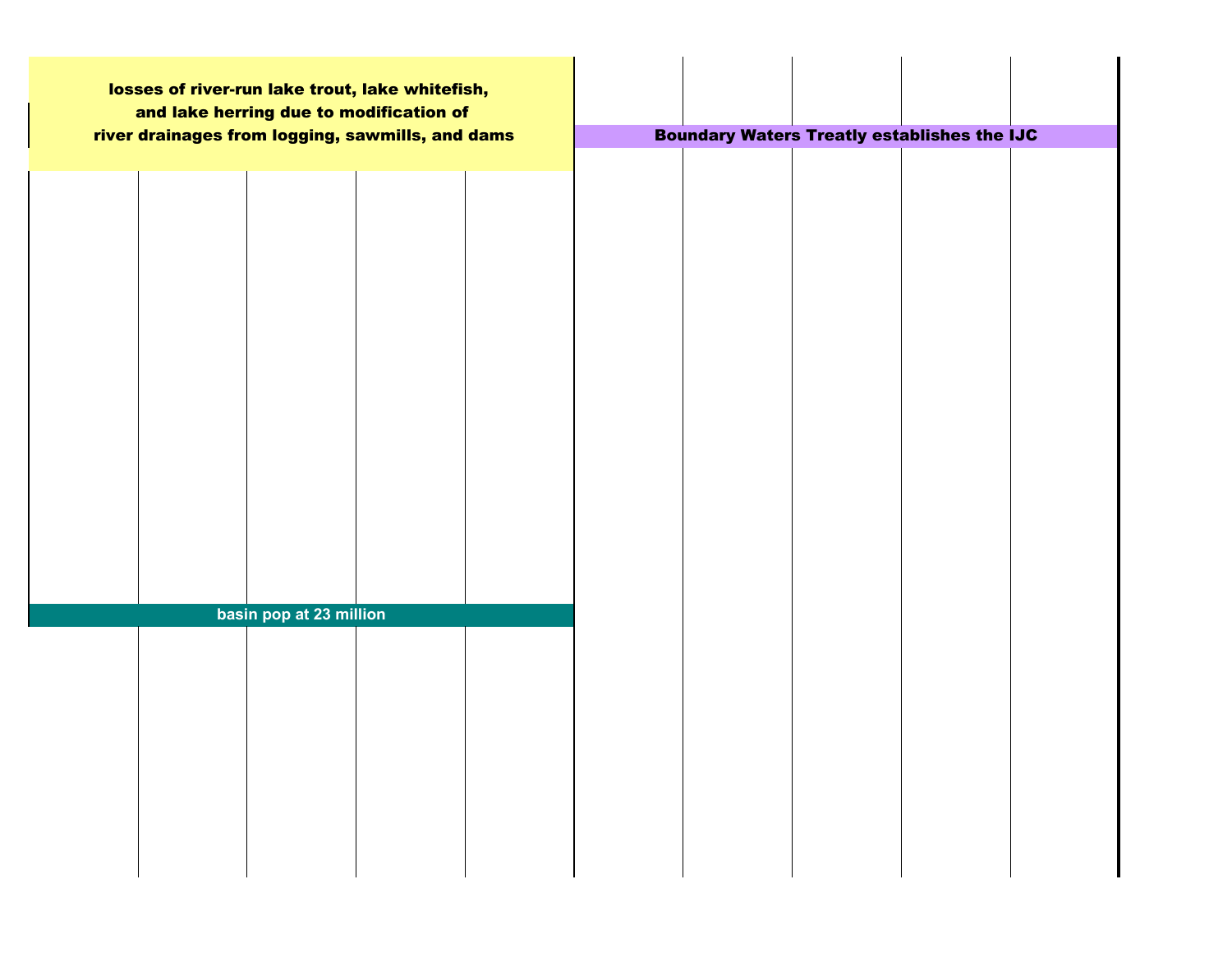| losses of river-run lake trout, lake whitefish,<br>and lake herring due to modification of |  |                                                    |  |
|--------------------------------------------------------------------------------------------|--|----------------------------------------------------|--|
| river drainages from logging, sawmills, and dams                                           |  | <b>Boundary Waters Treatly establishes the IJC</b> |  |
|                                                                                            |  |                                                    |  |
|                                                                                            |  |                                                    |  |
|                                                                                            |  |                                                    |  |
|                                                                                            |  |                                                    |  |
|                                                                                            |  |                                                    |  |
|                                                                                            |  |                                                    |  |
|                                                                                            |  |                                                    |  |
|                                                                                            |  |                                                    |  |
| basin pop at 23 million                                                                    |  |                                                    |  |
|                                                                                            |  |                                                    |  |
|                                                                                            |  |                                                    |  |
|                                                                                            |  |                                                    |  |
|                                                                                            |  |                                                    |  |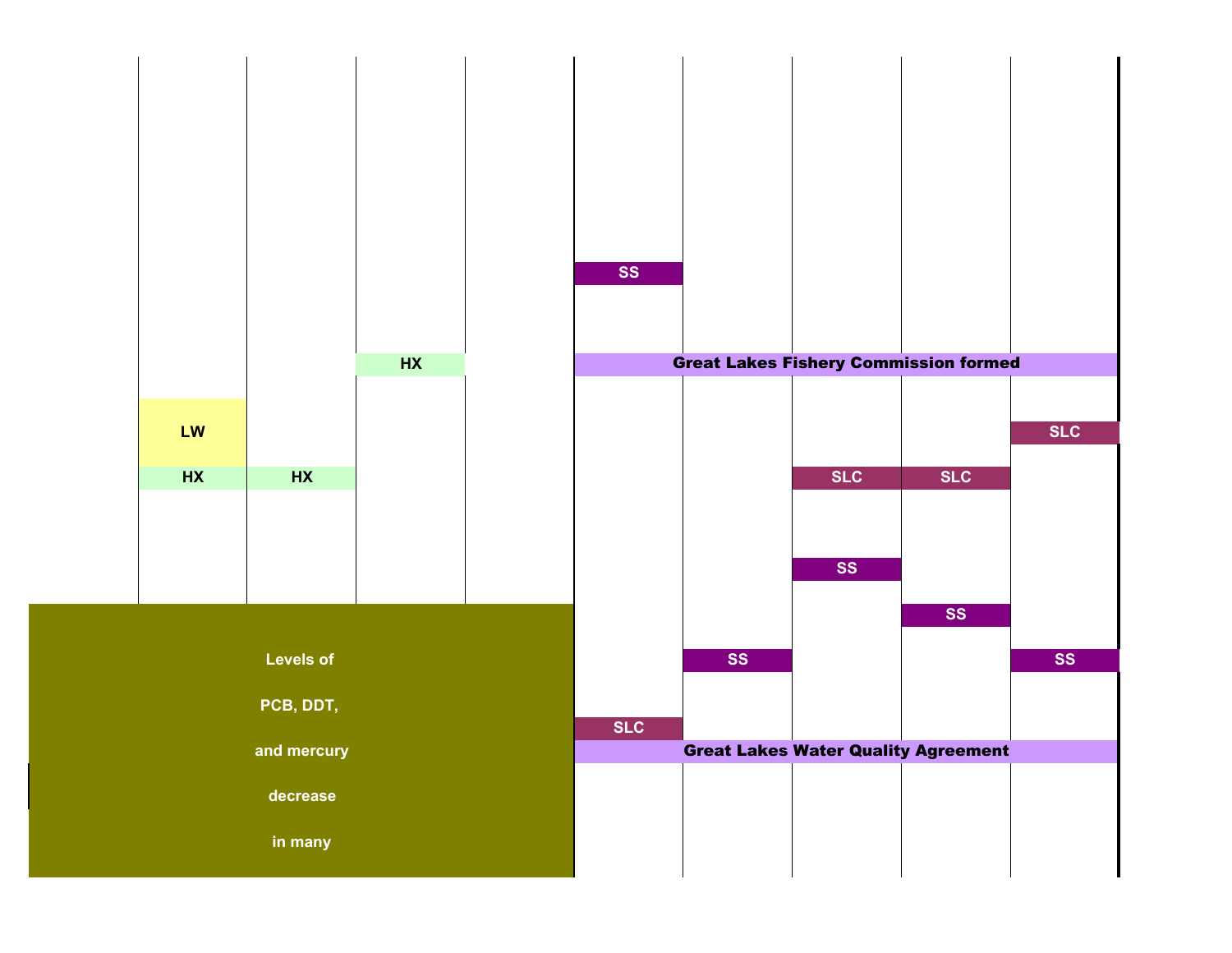